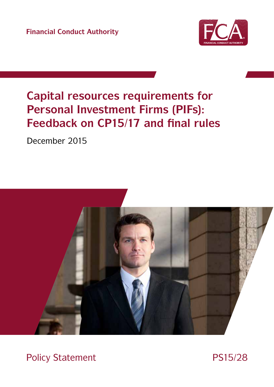**Financial Conduct Authority**



# **Capital resources requirements for Personal Investment Firms (PIFs): Feedback on CP15/17 and final rules**

December 2015



Policy Statement PS15/28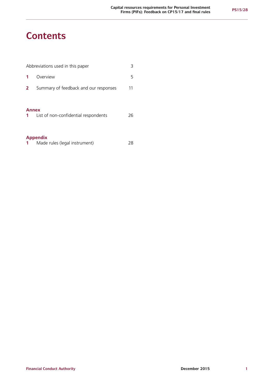# **Contents**

| 3<br>Abbreviations used in this paper |                                       |    |
|---------------------------------------|---------------------------------------|----|
|                                       | Overview                              | 5  |
| $\mathbf{2}$                          | Summary of feedback and our responses | 11 |
| <b>Annex</b><br>$\mathbf{1}$          | List of non-confidential respondents  | 26 |
| <b>Appendix</b>                       |                                       |    |

| Made rules (legal instrument) | 28 |
|-------------------------------|----|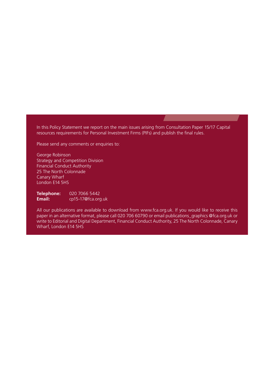In this Policy Statement we report on the main issues arising from Consultation Paper 15/17 Capital resources requirements for Personal Investment Firms (PIFs) and publish the final rules.

Please send any comments or enquiries to:

George Robinson Strategy and Competition Division Financial Conduct Authority 25 The North Colonnade Canary Wharf London E14 5HS

**Telephone:** 020 7066 5442<br> **Email:** cp15-17@fca.org **Email:** [cp15-17@fca.org.uk](mailto:cp15-17%40fca.org.uk?subject=)

All our publications are available to download from www.fca.org.uk. If you would like to receive this paper in an alternative format, please call 020 706 60790 or email publications\_graphics @fca.org.uk or write to Editorial and Digital Department, Financial Conduct Authority, 25 The North Colonnade, Canary Wharf, London E14 5HS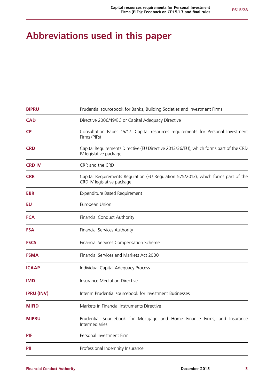# **Abbreviations used in this paper**

| <b>BIPRU</b>      | Prudential sourcebook for Banks, Building Societies and Investment Firms                                        |  |  |  |
|-------------------|-----------------------------------------------------------------------------------------------------------------|--|--|--|
| <b>CAD</b>        | Directive 2006/49/EC or Capital Adequacy Directive                                                              |  |  |  |
| <b>CP</b>         | Consultation Paper 15/17: Capital resources requirements for Personal Investment<br>Firms (PIFs)                |  |  |  |
| <b>CRD</b>        | Capital Requirements Directive (EU Directive 2013/36/EU), which forms part of the CRD<br>IV legislative package |  |  |  |
| <b>CRD IV</b>     | CRR and the CRD                                                                                                 |  |  |  |
| <b>CRR</b>        | Capital Requirements Regulation (EU Regulation 575/2013), which forms part of the<br>CRD IV legislative package |  |  |  |
| <b>EBR</b>        | Expenditure Based Requirement                                                                                   |  |  |  |
| EU                | European Union                                                                                                  |  |  |  |
| <b>FCA</b>        | <b>Financial Conduct Authority</b>                                                                              |  |  |  |
| <b>FSA</b>        | <b>Financial Services Authority</b>                                                                             |  |  |  |
| <b>FSCS</b>       | Financial Services Compensation Scheme                                                                          |  |  |  |
| <b>FSMA</b>       | Financial Services and Markets Act 2000                                                                         |  |  |  |
| <b>ICAAP</b>      | Individual Capital Adequacy Process                                                                             |  |  |  |
| <b>IMD</b>        | <b>Insurance Mediation Directive</b>                                                                            |  |  |  |
| <b>IPRU (INV)</b> | Interim Prudential sourcebook for Investment Businesses                                                         |  |  |  |
| <b>MiFID</b>      | Markets in Financial Instruments Directive                                                                      |  |  |  |
| <b>MIPRU</b>      | Prudential Sourcebook for Mortgage and Home Finance Firms, and Insurance<br>Intermediaries                      |  |  |  |
| <b>PIF</b>        | Personal Investment Firm                                                                                        |  |  |  |
| PII               | Professional Indemnity Insurance                                                                                |  |  |  |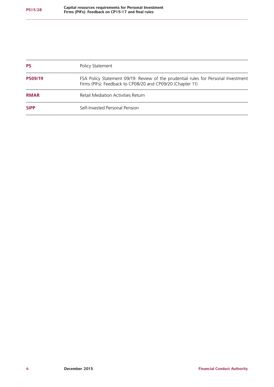| <b>PS</b>      | Policy Statement                                                                                                                                 |
|----------------|--------------------------------------------------------------------------------------------------------------------------------------------------|
| <b>PS09/19</b> | FSA Policy Statement 09/19: Review of the prudential rules for Personal Investment<br>Firms (PIFs): Feedback to CP08/20 and CP09/20 (Chapter 11) |
| <b>RMAR</b>    | <b>Retail Mediation Activities Return</b>                                                                                                        |
| <b>SIPP</b>    | Self-Invested Personal Pension                                                                                                                   |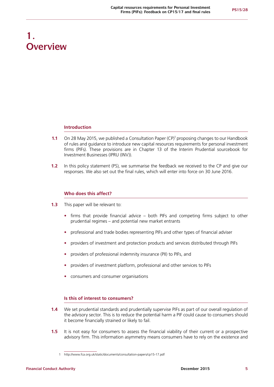# **1. Overview**

## **Introduction**

- **1.1** On 28 May 2015, we published a Consultation Paper (CP)<sup>1</sup> proposing changes to our Handbook of rules and guidance to introduce new capital resources requirements for personal investment firms (PIFs). These provisions are in Chapter 13 of the Interim Prudential sourcebook for Investment Businesses (IPRU (INV)).
- **1.2** In this policy statement (PS), we summarise the feedback we received to the CP and give our responses. We also set out the final rules, which will enter into force on 30 June 2016.

# **Who does this affect?**

- **1.3** This paper will be relevant to:
	- **•** firms that provide financial advice both PIFs and competing firms subject to other prudential regimes – and potential new market entrants
	- **•** professional and trade bodies representing PIFs and other types of financial adviser
	- **•** providers of investment and protection products and services distributed through PIFs
	- **•** providers of professional indemnity insurance (PII) to PIFs, and
	- **•** providers of investment platform, professional and other services to PIFs
	- **•** consumers and consumer organisations

# **Is this of interest to consumers?**

- **1.4** We set prudential standards and prudentially supervise PIFs as part of our overall regulation of the advisory sector. This is to reduce the potential harm a PIF could cause to consumers should it become financially strained or likely to fail.
- **1.5** It is not easy for consumers to assess the financial viability of their current or a prospective advisory firm. This information asymmetry means consumers have to rely on the existence and

<sup>1</sup> <http://www.fca.org.uk/static/documents/consultation-papers/cp15-17.pdf>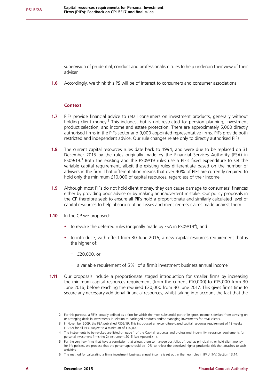supervision of prudential, conduct and professionalism rules to help underpin their view of their adviser.

**1.6** Accordingly, we think this PS will be of interest to consumers and consumer associations.

# **Context**

- **1.7** PIFs provide financial advice to retail consumers on investment products, generally without holding client money.<sup>2</sup> This includes, but is not restricted to: pension planning, investment product selection, and income and estate protection. There are approximately 5,000 directly authorised firms in the PIFs sector and 9,000 appointed representative firms. PIFs provide both restricted and independent advice. Our rule changes relate only to directly authorised PIFs.
- **1.8** The current capital resources rules date back to 1994, and were due to be replaced on 31 December 2015 by the rules originally made by the Financial Services Authority (FSA) in PS09/19.<sup>3</sup> Both the existing and the PS09/19 rules use a PIF's fixed expenditure to set the variable capital requirement, albeit the existing rules differentiate based on the number of advisers in the firm. That differentiation means that over 90% of PIFs are currently required to hold only the minimum £10,000 of capital resources, regardless of their income.
- **1.9** Although most PIFs do not hold client money, they can cause damage to consumers' finances either by providing poor advice or by making an inadvertent mistake. Our policy proposals in the CP therefore seek to ensure all PIFs hold a proportionate and similarly calculated level of capital resources to help absorb routine losses and meet redress claims made against them.
- **1.10** In the CP we proposed:
	- to revoke the deferred rules (originally made by FSA in PS09/19<sup>4</sup>), and
	- **•** to introduce, with effect from 30 June 2016, a new capital resources requirement that is the higher of:
		- **–** £20,000, or
		- a variable requirement of 5%<sup>5</sup> of a firm's investment business annual income<sup>6</sup>
- **1.11** Our proposals include a proportionate staged introduction for smaller firms by increasing the minimum capital resources requirement (from the current £10,000) to £15,000 from 30 June 2016, before reaching the required £20,000 from 30 June 2017. This gives firms time to secure any necessary additional financial resources, whilst taking into account the fact that the

<sup>2</sup> For this purpose, a PIF is broadly defined as a firm for which the most substantial part of its gross income is derived from advising on or arranging deals in investments in relation to packaged products and/or managing investments for retail clients.

<sup>3</sup> In November 2009, the FSA published PS09/19. This introduced an expenditure-based capital resources requirement of 13 weeks (13/52) for all PIFs, subject to a minimum of £20,000.

<sup>4</sup> The instruments to be revoked are listed on page 1 of the Capital resources and professional indemnity insurance requirements for personal investment firms (no 2) instrument 2015 (see Appendix 1).

<sup>5</sup> For the very few firms that have a permission that allows them to manage portfolios of, deal as principal in, or hold client money for life policies, we propose that the percentage should be 10% to reflect the perceived higher prudential risk that attaches to such activities.

<sup>6</sup> The method for calculating a firm's investment business annual income is set out in the new rules in IPRU (INV) Section 13.14.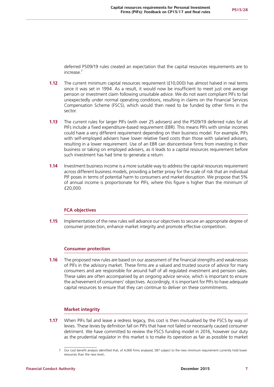deferred PS09/19 rules created an expectation that the capital resources requirements are to increase.7

- **1.12** The current minimum capital resources requirement (£10,000) has almost halved in real terms since it was set in 1994. As a result, it would now be insufficient to meet just one average pension or investment claim following unsuitable advice. We do not want compliant PIFs to fail unexpectedly under normal operating conditions, resulting in claims on the Financial Services Compensation Scheme (FSCS), which would then need to be funded by other firms in the sector.
- **1.13** The current rules for larger PIFs (with over 25 advisers) and the PS09/19 deferred rules for all PIFs include a fixed expenditure-based requirement (EBR). This means PIFs with similar incomes could have a very different requirement depending on their business model. For example, PIFs with self-employed advisers have lower relative fixed costs than those with salaried advisers, resulting in a lower requirement. Use of an EBR can disincentivise firms from investing in their business or taking on employed advisers, as it leads to a capital resources requirement before such investment has had time to generate a return.
- **1.14** Investment business income is a more suitable way to address the capital resources requirement across different business models, providing a better proxy for the scale of risk that an individual PIF poses in terms of potential harm to consumers and market disruption. We propose that 5% of annual income is proportionate for PIFs, where this figure is higher than the minimum of £20,000.

## **FCA objectives**

**1.15** Implementation of the new rules will advance our objectives to secure an appropriate degree of consumer protection, enhance market integrity and promote effective competition.

# **Consumer protection**

**1.16** The proposed new rules are based on our assessment of the financial strengths and weaknesses of PIFs in the advisory market. These firms are a valued and trusted source of advice for many consumers and are responsible for around half of all regulated investment and pension sales. These sales are often accompanied by an ongoing advice service, which is important to ensure the achievement of consumers' objectives. Accordingly, it is important for PIFs to have adequate capital resources to ensure that they can continue to deliver on these commitments.

## **Market integrity**

**1.17** When PIFs fail and leave a redress legacy, this cost is then mutualised by the FSCS by way of levies. These levies by definition fall on PIFs that have not failed or necessarily caused consumer detriment. We have committed to review the FSCS funding model in 2016, however our duty as the prudential regulator in this market is to make its operation as fair as possible to market

<sup>7</sup> Our cost benefit analysis identified that, of 4,000 firms analysed, 587 subject to the new minimum requirement currently hold lower resources than the new level.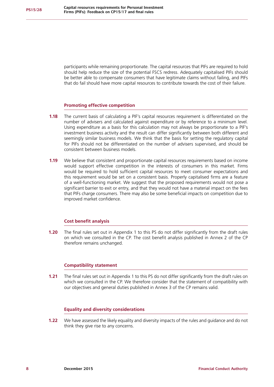participants while remaining proportionate. The capital resources that PIFs are required to hold should help reduce the size of the potential FSCS redress. Adequately capitalised PIFs should be better able to compensate consumers that have legitimate claims without failing, and PIFs that do fail should have more capital resources to contribute towards the cost of their failure.

## **Promoting effective competition**

- **1.18** The current basis of calculating a PIF's capital resources requirement is differentiated on the number of advisers and calculated against expenditure or by reference to a minimum level. Using expenditure as a basis for this calculation may not always be proportionate to a PIF's investment business activity and the result can differ significantly between both different and seemingly similar business models. We think that the basis for setting the regulatory capital for PIFs should not be differentiated on the number of advisers supervised, and should be consistent between business models.
- **1.19** We believe that consistent and proportionate capital resources requirements based on income would support effective competition in the interests of consumers in this market. Firms would be required to hold sufficient capital resources to meet consumer expectations and this requirement would be set on a consistent basis. Properly capitalised firms are a feature of a well-functioning market. We suggest that the proposed requirements would not pose a significant barrier to exit or entry, and that they would not have a material impact on the fees that PIFs charge consumers. There may also be some beneficial impacts on competition due to improved market confidence.

## **Cost benefit analysis**

**1.20** The final rules set out in Appendix 1 to this PS do not differ significantly from the draft rules on which we consulted in the CP. The cost benefit analysis published in Annex 2 of the CP therefore remains unchanged.

## **Compatibility statement**

**1.21** The final rules set out in Appendix 1 to this PS do not differ significantly from the draft rules on which we consulted in the CP. We therefore consider that the statement of compatibility with our objectives and general duties published in Annex 3 of the CP remains valid.

## **Equality and diversity considerations**

**1.22** We have assessed the likely equality and diversity impacts of the rules and guidance and do not think they give rise to any concerns.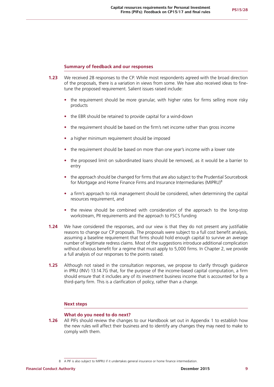# **Summary of feedback and our responses**

- **1.23** We received 28 responses to the CP. While most respondents agreed with the broad direction of the proposals, there is a variation in views from some. We have also received ideas to finetune the proposed requirement. Salient issues raised include:
	- the requirement should be more granular, with higher rates for firms selling more risky products
	- **•** the EBR should be retained to provide capital for a wind-down
	- **•** the requirement should be based on the firm's net income rather than gross income
	- **•** a higher minimum requirement should be imposed
	- **•** the requirement should be based on more than one year's income with a lower rate
	- **•** the proposed limit on subordinated loans should be removed, as it would be a barrier to entry
	- the approach should be changed for firms that are also subject to the Prudential Sourcebook for Mortgage and Home Finance Firms and Insurance Intermediaries (MIPRU)<sup>8</sup>
	- **•** a firm's approach to risk management should be considered, when determining the capital resources requirement, and
	- the review should be combined with consideration of the approach to the long-stop workstream, PII requirements and the approach to FSCS funding
- **1.24** We have considered the responses, and our view is that they do not present any justifiable reasons to change our CP proposals. The proposals were subject to a full cost benefit analysis, assuming a baseline requirement that firms should hold enough capital to survive an average number of legitimate redress claims. Most of the suggestions introduce additional complication without obvious benefit for a regime that must apply to 5,000 firms. In Chapter 2, we provide a full analysis of our responses to the points raised.
- **1.25** Although not raised in the consultation responses, we propose to clarify through guidance in IPRU (INV) 13.14.7G that, for the purpose of the income-based capital computation, a firm should ensure that it includes any of its investment business income that is accounted for by a third-party firm. This is a clarification of policy, rather than a change.

## **Next steps**

## **What do you need to do next?**

**1.26** All PIFs should review the changes to our Handbook set out in Appendix 1 to establish how the new rules will affect their business and to identify any changes they may need to make to comply with them.

<sup>8</sup> A PIF is also subject to MIPRU if it undertakes general insurance or home finance intermediation.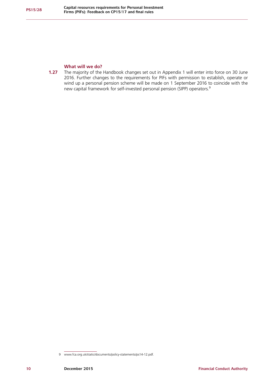# **What will we do?**

**1.27** The majority of the Handbook changes set out in Appendix 1 will enter into force on 30 June 2016. Further changes to the requirements for PIFs with permission to establish, operate or wind up a personal pension scheme will be made on 1 September 2016 to coincide with the new capital framework for self-invested personal pension (SIPP) operators.9

<sup>9</sup> [www.fca.org.uk/static/documents/policy-statements/ps14-12.pdf.](www.fca.org.uk/static/documents/policy-statements/ps14-12.pdf)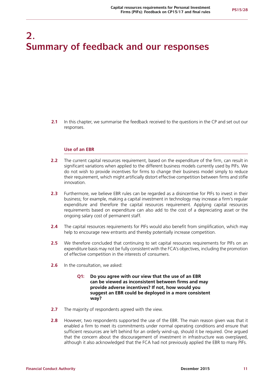# **2. Summary of feedback and our responses**

**2.1** In this chapter, we summarise the feedback received to the questions in the CP and set out our responses.

#### **Use of an EBR**

- **2.2** The current capital resources requirement, based on the expenditure of the firm, can result in significant variations when applied to the different business models currently used by PIFs. We do not wish to provide incentives for firms to change their business model simply to reduce their requirement, which might artificially distort effective competition between firms and stifle innovation.
- **2.3** Furthermore, we believe EBR rules can be regarded as a disincentive for PIFs to invest in their business; for example, making a capital investment in technology may increase a firm's regular expenditure and therefore the capital resources requirement. Applying capital resources requirements based on expenditure can also add to the cost of a depreciating asset or the ongoing salary cost of permanent staff.
- **2.4** The capital resources requirements for PIFs would also benefit from simplification, which may help to encourage new entrants and thereby potentially increase competition.
- **2.5** We therefore concluded that continuing to set capital resources requirements for PIFs on an expenditure basis may not be fully consistent with the FCA's objectives, including the promotion of effective competition in the interests of consumers.
- **2.6** In the consultation, we asked:
	- **Q1: Do you agree with our view that the use of an EBR can be viewed as inconsistent between firms and may provide adverse incentives? If not, how would you suggest an EBR could be deployed in a more consistent way?**
- **2.7** The majority of respondents agreed with the view.
- **2.8** However, two respondents supported the use of the EBR. The main reason given was that it enabled a firm to meet its commitments under normal operating conditions and ensure that sufficient resources are left behind for an orderly wind-up, should it be required. One argued that the concern about the discouragement of investment in infrastructure was overplayed, although it also acknowledged that the FCA had not previously applied the EBR to many PIFs.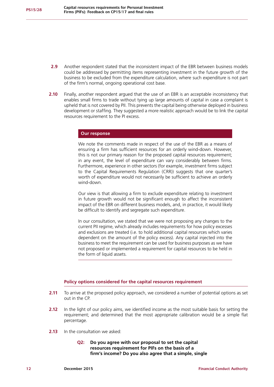- **2.9** Another respondent stated that the inconsistent impact of the EBR between business models could be addressed by permitting items representing investment in the future growth of the business to be excluded from the expenditure calculation, where such expenditure is not part of the firm's normal, ongoing operational cost base.
- **2.10** Finally, another respondent argued that the use of an EBR is an acceptable inconsistency that enables small firms to trade without tying up large amounts of capital in case a complaint is upheld that is not covered by PII. This prevents the capital being otherwise deployed in business development or staffing. They suggested a more realistic approach would be to link the capital resources requirement to the PI excess.

## **Our response**

We note the comments made in respect of the use of the EBR as a means of ensuring a firm has sufficient resources for an orderly wind-down. However, this is not our primary reason for the proposed capital resources requirement; in any event, the level of expenditure can vary considerably between firms. Furthermore, experience in other sectors (for example, investment firms subject to the Capital Requirements Regulation (CRR)) suggests that one quarter's worth of expenditure would not necessarily be sufficient to achieve an orderly wind-down.

Our view is that allowing a firm to exclude expenditure relating to investment in future growth would not be significant enough to affect the inconsistent impact of the EBR on different business models, and, in practice, it would likely be difficult to identify and segregate such expenditure.

In our consultation, we stated that we were not proposing any changes to the current PII regime, which already includes requirements for how policy excesses and exclusions are treated (i.e. to hold additional capital resources which varies dependent on the amount of the policy excess). Any capital injected into the business to meet the requirement can be used for business purposes as we have not proposed or implemented a requirement for capital resources to be held in the form of liquid assets.

## **Policy options considered for the capital resources requirement**

- **2.11** To arrive at the proposed policy approach, we considered a number of potential options as set out in the CP.
- **2.12** In the light of our policy aims, we identified income as the most suitable basis for setting the requirement; and determined that the most appropriate calibration would be a simple flat percentage.
- **2.13** In the consultation we asked:
	- **Q2: Do you agree with our proposal to set the capital resources requirement for PIFs on the basis of a firm's income? Do you also agree that a simple, single**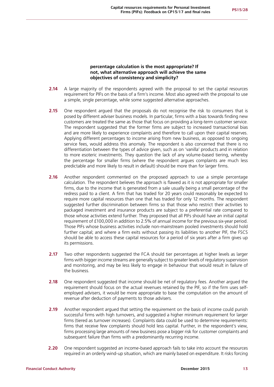# **percentage calculation is the most appropriate? If not, what alternative approach will achieve the same objectives of consistency and simplicity?**

- **2.14** A large majority of the respondents agreed with the proposal to set the capital resources requirement for PIFs on the basis of a firm's income. Most also agreed with the proposal to use a simple, single percentage, while some suggested alternative approaches.
- **2.15** One respondent argued that the proposals do not recognise the risk to consumers that is posed by different adviser business models. In particular, firms with a bias towards finding new customers are treated the same as those that focus on providing a long-term customer service. The respondent suggested that the former firms are subject to increased transactional bias and are more likely to experience complaints and therefore to call upon their capital reserves. Applying different percentages to income arising from new business, as opposed to ongoing service fees, would address this anomaly. The respondent is also concerned that there is no differentiation between the types of advice given, such as on 'vanilla' products and in relation to more esoteric investments. They question the lack of any volume-based tiering, whereby the percentage for smaller firms (where the respondent argues complaints are much less predictable and more likely to result in default) should be more than for larger firms.
- **2.16** Another respondent commented on the proposed approach to use a simple percentage calculation. The respondent believes the approach is flawed as it is not appropriate for smaller firms, due to the income that is generated from a sale usually being a small percentage of the redress paid to a client. A firm that has traded for 20 years could reasonably be expected to require more capital resources than one that has traded for only 12 months. The respondent suggested further discrimination between firms so that those who restrict their activities to packaged investment and insurance products are subject to a preferential rate compared to those whose activities extend further. They proposed that all PIFs should have an initial capital requirement of £100,000 in addition to 2.5% of annual income for the previous six-year period. Those PIFs whose business activities include non-mainstream pooled investments should hold further capital; and where a firm exits without passing its liabilities to another PIF, the FSCS should be able to access these capital resources for a period of six years after a firm gives up its permissions.
- **2.17** Two other respondents suggested the FCA should tier percentages at higher levels as larger firms with bigger income streams are generally subject to greater levels of regulatory supervision and monitoring, and may be less likely to engage in behaviour that would result in failure of the business.
- **2.18** One respondent suggested that income should be net of regulatory fees. Another argued the requirement should focus on the actual revenues retained by the PIF, so if the firm uses selfemployed advisers, it would be more appropriate to base the computation on the amount of revenue after deduction of payments to those advisers.
- **2.19** Another respondent argued that setting the requirement on the basis of income could punish successful firms with high turnovers, and suggested a higher minimum requirement for larger firms (tiered as turnover increases). Complaints data could be used to determine requirements: firms that receive few complaints should hold less capital. Further, in the respondent's view, firms processing large amounts of new business pose a bigger risk for customer complaints and subsequent failure than firms with a predominantly recurring income.
- **2.20** One respondent suggested an income-based approach fails to take into account the resources required in an orderly wind-up situation, which are mainly based on expenditure. It risks forcing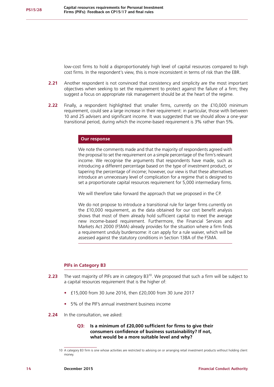low-cost firms to hold a disproportionately high level of capital resources compared to high cost firms. In the respondent's view, this is more inconsistent in terms of risk than the EBR.

- **2.21** Another respondent is not convinced that consistency and simplicity are the most important objectives when seeking to set the requirement to protect against the failure of a firm; they suggest a focus on appropriate risk management should be at the heart of the regime.
- **2.22** Finally, a respondent highlighted that smaller firms, currently on the £10,000 minimum requirement, could see a large increase in their requirement: in particular, those with between 10 and 25 advisers and significant income. It was suggested that we should allow a one-year transitional period, during which the income-based requirement is 3% rather than 5%.

# **Our response**

We note the comments made and that the majority of respondents agreed with the proposal to set the requirement on a simple percentage of the firm's relevant income. We recognise the arguments that respondents have made, such as introducing a different percentage based on the type of investment product, or tapering the percentage of income; however, our view is that these alternatives introduce an unnecessary level of complication for a regime that is designed to set a proportionate capital resources requirement for 5,000 intermediary firms.

We will therefore take forward the approach that we proposed in the CP.

We do not propose to introduce a transitional rule for larger firms currently on the £10,000 requirement, as the data obtained for our cost benefit analysis shows that most of them already hold sufficient capital to meet the average new income-based requirement. Furthermore, the Financial Services and Markets Act 2000 (FSMA) already provides for the situation where a firm finds a requirement unduly burdensome: it can apply for a rule waiver, which will be assessed against the statutory conditions in Section 138A of the FSMA.

#### **PIFs in Category B3**

- **2.23** The vast majority of PIFs are in category B3<sup>10</sup>. We proposed that such a firm will be subject to a capital resources requirement that is the higher of:
	- **•** £15,000 from 30 June 2016, then £20,000 from 30 June 2017
	- **•** 5% of the PIF's annual investment business income
- **2.24** In the consultation, we asked:
	- **Q3: Is a minimum of £20,000 sufficient for firms to give their consumers confidence of business sustainability? If not, what would be a more suitable level and why?**

<sup>10</sup> A category B3 firm is one whose activities are restricted to advising on or arranging retail investment products without holding client money.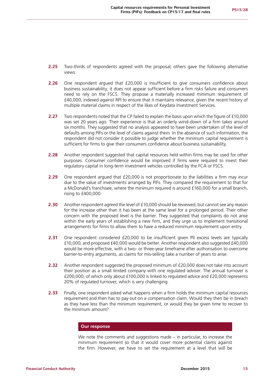- **2.25** Two-thirds of respondents agreed with the proposal; others gave the following alternative views.
- **2.26** One respondent argued that £20,000 is insufficient to give consumers confidence about business sustainability; it does not appear sufficient before a firm risks failure and consumers need to rely on the FSCS. They propose a materially increased minimum requirement of £40,000, indexed against RPI to ensure that it maintains relevance, given the recent history of multiple material claims in respect of the likes of Keydata Investment Services.
- **2.27** Two respondents noted that the CP failed to explain the basis upon which the figure of £10,000 was set 20 years ago. Their experience is that an orderly wind-down of a firm takes around six months. They suggested that no analysis appeared to have been undertaken of the level of defaults among PIFs or the level of claims against them. In the absence of such information, the respondent did not consider it possible to judge whether the minimum capital requirement is sufficient for firms to give their consumers confidence about business sustainability.
- **2.28** Another respondent suggested that capital resources held within firms may be used for other purposes. Consumer confidence would be improved if firms were required to invest their regulatory capital in long-term investment vehicles controlled by the FCA or FSCS.
- **2.29** One respondent argued that £20,000 is not proportionate to the liabilities a firm may incur due to the value of investments arranged by PIFs. They compared the requirement to that for a McDonald's franchisee, where the minimum required is around £160,000 for a small branch, rising to £400,000.
- **2.30** Another respondent agreed the level of £10,000 should be reviewed, but cannot see any reason for the increase other than it has been at the same level for a prolonged period. Their other concern with the proposed level is the barrier. They suggested that complaints do not arise within the early years of establishing a new firm, and they urge us to implement transitional arrangements for firms to allow them to have a reduced minimum requirement upon entry.
- **2.31** One respondent considered £20,000 to be insufficient given PII excess levels are typically £10,000, and proposed £40,000 would be better. Another respondent also suggested £40,000 would be more effective, with a two- or three-year timeframe after authorisation to overcome barrier-to-entry arguments, as claims for mis-selling take a number of years to arise.
- **2.32** Another respondent suggested the proposed minimum of £20,000 does not take into account their position as a small limited company with one regulated adviser. The annual turnover is £200,000, of which only about £100,000 is linked to regulated advice and £20,000 represents 20% of regulated turnover, which is very challenging.
- **2.33** Finally, one respondent asked what happens when a firm holds the minimum capital resources requirement and then has to pay out on a compensation claim. Would they then be in breach as they have less than the minimum requirement, or would they be given time to recover to the minimum amount?

# **Our response**

We note the comments and suggestions made – in particular, to increase the minimum requirement so that it would cover more potential claims against the firm. However, we have to set the requirement at a level that will be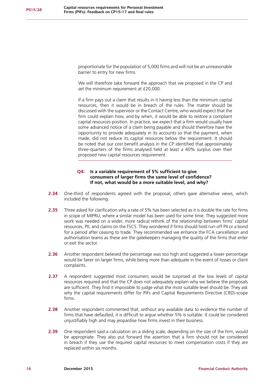proportionate for the population of 5,000 firms and will not be an unreasonable barrier to entry for new firms.

We will therefore take forward the approach that we proposed in the CP and set the minimum requirement at £20,000.

If a firm pays out a claim that results in it having less than the minimum capital resources, then it would be in breach of the rules. The matter should be discussed with the supervisor or the Contact Centre, who would expect that the firm could explain how, and by when, it would be able to restore a compliant capital resources position. In practice, we expect that a firm would usually have some advanced notice of a claim being payable and should therefore have the opportunity to provide adequately in its accounts so that the payment, when made, did not reduce its capital resources below the requirement. It should be noted that our cost benefit analysis in the CP identified that approximately three-quarters of the firms analysed held at least a 40% surplus over their proposed new capital resources requirement.

# **Q4: Is a variable requirement of 5% sufficient to give consumers of larger firms the same level of confidence? If not, what would be a more suitable level, and why?**

- **2.34** One-third of respondents agreed with the proposal; others gave alternative views, which included the following.
- **2.35** Three asked for clarification why a rate of 5% has been selected as it is double the rate for firms in scope of MIPRU, where a similar model has been used for some time. They suggested more work was needed on a wider, more radical rethink of the relationship between firms' capital resources, PII, and claims on the FSCS. They wondered if firms should hold run-off PII or a bond for a period after ceasing to trade. They recommended we enhance the FCA cancellation and authorisation teams as these are the gatekeepers managing the quality of the firms that enter or exit the sector.
- **2.36** Another respondent believed the percentage was too high and suggested a lower percentage would be fairer on larger firms, while being more than adequate in the event of losses or client complaints.
- **2.37** A respondent suggested most consumers would be surprised at the low levels of capital resources required and that the CP does not adequately explain why we believe the proposals are sufficient. They find it impossible to judge what the most suitable level should be. They ask why the capital requirements differ for PIFs and Capital Requirements Directive (CRD)-scope firms.
- **2.38** Another respondent commented that, without any available data to evidence the number of firms that have defaulted, it is difficult to argue whether 5% is suitable. It could be considered unjustifiably high and may jeopardise how firms invest in their business.
- **2.39** One respondent said a calculation on a sliding scale, depending on the size of the firm, would be appropriate. They also put forward the assertion that a firm should not be considered in breach if they use the required capital resources to meet compensation costs if they are replaced within six months.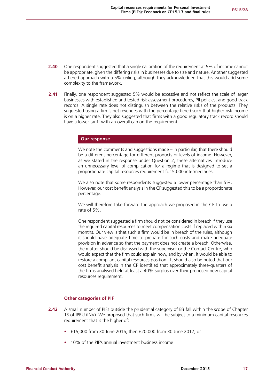- **2.40** One respondent suggested that a single calibration of the requirement at 5% of income cannot be appropriate, given the differing risks in businesses due to size and nature. Another suggested a tiered approach with a 5% ceiling, although they acknowledged that this would add some complexity to the framework.
- **2.41** Finally, one respondent suggested 5% would be excessive and not reflect the scale of larger businesses with established and tested risk assessment procedures, PII policies, and good track records. A single rate does not distinguish between the relative risks of the products. They suggested using a firm's net revenues with the percentage tiered such that higher-risk income is on a higher rate. They also suggested that firms with a good regulatory track record should have a lower tariff with an overall cap on the requirement.

#### **Our response**

We note the comments and suggestions made – in particular, that there should be a different percentage for different products or levels of income. However, as we stated in the response under Question 2, these alternatives introduce an unnecessary level of complication for a regime that is designed to set a proportionate capital resources requirement for 5,000 intermediaries.

We also note that some respondents suggested a lower percentage than 5%. However, our cost benefit analysis in the CP suggested this to be a proportionate percentage.

We will therefore take forward the approach we proposed in the CP to use a rate of 5%.

One respondent suggested a firm should not be considered in breach if they use the required capital resources to meet compensation costs if replaced within six months. Our view is that such a firm would be in breach of the rules, although it should have adequate time to prepare for such costs and make adequate provision in advance so that the payment does not create a breach. Otherwise, the matter should be discussed with the supervisor or the Contact Centre, who would expect that the firm could explain how, and by when, it would be able to restore a compliant capital resources position. It should also be noted that our cost benefit analysis in the CP identified that approximately three-quarters of the firms analysed held at least a 40% surplus over their proposed new capital resources requirement.

## **Other categories of PIF**

- **2.42** A small number of PIFs outside the prudential category of B3 fall within the scope of Chapter 13 of IPRU (INV). We proposed that such firms will be subject to a minimum capital resources requirement that is the higher of:
	- **•** £15,000 from 30 June 2016, then £20,000 from 30 June 2017, or
	- **•** 10% of the PIF's annual investment business income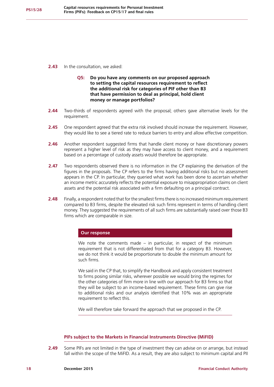- **2.43** In the consultation, we asked:
	- **Q5: Do you have any comments on our proposed approach to setting the capital resources requirement to reflect the additional risk for categories of PIF other than B3 that have permission to deal as principal, hold client money or manage portfolios?**
- **2.44** Two-thirds of respondents agreed with the proposal; others gave alternative levels for the requirement.
- **2.45** One respondent agreed that the extra risk involved should increase the requirement. However, they would like to see a tiered rate to reduce barriers to entry and allow effective competition.
- **2.46** Another respondent suggested firms that handle client money or have discretionary powers represent a higher level of risk as they may have access to client money, and a requirement based on a percentage of custody assets would therefore be appropriate.
- **2.47** Two respondents observed there is no information in the CP explaining the derivation of the figures in the proposals. The CP refers to the firms having additional risks but no assessment appears in the CP. In particular, they queried what work has been done to ascertain whether an income metric accurately reflects the potential exposure to misappropriation claims on client assets and the potential risk associated with a firm defaulting on a principal contract.
- **2.48** Finally, a respondent noted that for the smallest firms there is no increased minimum requirement compared to B3 firms, despite the elevated risk such firms represent in terms of handling client money. They suggested the requirements of all such firms are substantially raised over those B3 firms which are comparable in size.

# **Our response**

We note the comments made – in particular, in respect of the minimum requirement that is not differentiated from that for a category B3. However, we do not think it would be proportionate to double the minimum amount for such firms.

We said in the CP that, to simplify the Handbook and apply consistent treatment to firms posing similar risks, wherever possible we would bring the regimes for the other categories of firm more in line with our approach for B3 firms so that they will be subject to an income-based requirement. These firms can give rise to additional risks and our analysis identified that 10% was an appropriate requirement to reflect this.

We will therefore take forward the approach that we proposed in the CP.

# **PIFs subject to the Markets in Financial Instruments Directive (MiFID)**

**2.49** Some PIFs are not limited in the type of investment they can advise on or arrange, but instead fall within the scope of the MiFID. As a result, they are also subject to minimum capital and PII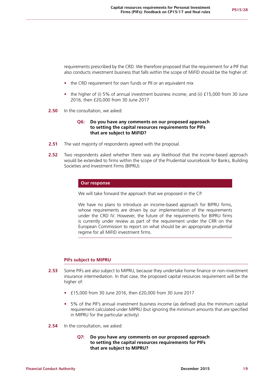requirements prescribed by the CRD. We therefore proposed that the requirement for a PIF that also conducts investment business that falls within the scope of MiFID should be the higher of:

- the CRD requirement for own funds or PII or an equivalent mix
- **•** the higher of (i) 5% of annual investment business income; and (ii) £15,000 from 30 June 2016, then £20,000 from 30 June 2017
- **2.50** In the consultation, we asked:

## **Q6: Do you have any comments on our proposed approach to setting the capital resources requirements for PIFs that are subject to MiFID?**

- **2.51** The vast majority of respondents agreed with the proposal.
- **2.52** Two respondents asked whether there was any likelihood that the income-based approach would be extended to firms within the scope of the Prudential sourcebook for Banks, Building Societies and Investment Firms (BIPRU).

# **Our response**

We will take forward the approach that we proposed in the CP.

We have no plans to introduce an income-based approach for BIPRU firms, whose requirements are driven by our implementation of the requirements under the CRD IV. However, the future of the requirements for BIPRU firms is currently under review as part of the requirement under the CRR on the European Commission to report on what should be an appropriate prudential regime for all MiFID investment firms.

#### **PIFs subject to MIPRU**

- **2.53** Some PIFs are also subject to MIPRU, because they undertake home finance or non-investment insurance intermediation. In that case, the proposed capital resources requirement will be the higher of:
	- **•** £15,000 from 30 June 2016, then £20,000 from 30 June 2017
	- **•** 5% of the PIF's annual investment business income (as defined) plus the minimum capital requirement calculated under MIPRU (but ignoring the minimum amounts that are specified in MIPRU for the particular activity)
- **2.54** In the consultation, we asked:
	- **Q7: Do you have any comments on our proposed approach to setting the capital resources requirements for PIFs that are subject to MIPRU?**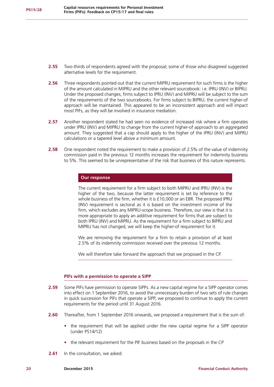- **2.55** Two-thirds of respondents agreed with the proposal; some of those who disagreed suggested alternative levels for the requirement.
- **2.56** Three respondents pointed out that the current MIPRU requirement for such firms is the higher of the amount calculated in MIPRU and the other relevant sourcebook: i.e. IPRU (INV) or BIPRU. Under the proposed changes, firms subject to IPRU (INV) and MIPRU will be subject to the sum of the requirements of the two sourcebooks. For firms subject to BIPRU, the current higher-of approach will be maintained. This appeared to be an inconsistent approach and will impact most PIFs, as they will be involved in insurance mediation.
- **2.57** Another respondent stated he had seen no evidence of increased risk where a firm operates under IPRU (INV) and MIPRU to change from the current higher-of approach to an aggregated amount. They suggested that a cap should apply to the higher of the IPRU (INV) and MIPRU calculations or a tapered level above a minimum amount.
- **2.58** One respondent noted the requirement to make a provision of 2.5% of the value of indemnity commission paid in the previous 12 months increases the requirement for indemnity business to 5%. This seemed to be unrepresentative of the risk that business of this nature represents.

# **Our response**

The current requirement for a firm subject to both MIPRU and IPRU (INV) is the higher of the two, because the latter requirement is set by reference to the whole business of the firm, whether it is £10,000 or an EBR. The proposed IPRU (INV) requirement is sectoral as it is based on the investment income of the firm, which excludes any MIPRU-scope business. Therefore, our view is that it is more appropriate to apply an additive requirement for firms that are subject to both IPRU (INV) and MIPRU. As the requirement for a firm subject to BIPRU and MIPRU has not changed, we will keep the higher-of requirement for it.

We are removing the requirement for a firm to retain a provision of at least 2.5% of its indemnity commission received over the previous 12 months.

We will therefore take forward the approach that we proposed in the CP.

#### **PIFs with a permission to operate a SIPP**

- **2.59** Some PIFs have permission to operate SIPPs. As a new capital regime for a SIPP operator comes into effect on 1 September 2016, to avoid the unnecessary burden of two sets of rule changes in quick succession for PIFs that operate a SIPP, we proposed to continue to apply the current requirements for the period until 31 August 2016.
- **2.60** Thereafter, from 1 September 2016 onwards, we proposed a requirement that is the sum of:
	- the requirement that will be applied under the new capital regime for a SIPP operator (under PS14/12)
	- **•** the relevant requirement for the PIF business based on the proposals in the CP
- **2.61** In the consultation, we asked: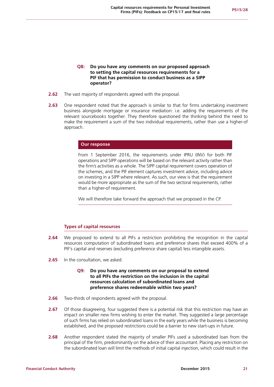# **Q8: Do you have any comments on our proposed approach to setting the capital resources requirements for a PIF that has permission to conduct business as a SIPP operator?**

- **2.62** The vast majority of respondents agreed with the proposal.
- **2.63** One respondent noted that the approach is similar to that for firms undertaking investment business alongside mortgage or insurance mediation: i.e. adding the requirements of the relevant sourcebooks together. They therefore questioned the thinking behind the need to make the requirement a sum of the two individual requirements, rather than use a higher-of approach.

#### **Our response**

From 1 September 2016, the requirements under IPRU (INV) for both PIF operations and SIPP operations will be based on the relevant activity rather than the firm's activities as a whole. The SIPP capital requirement covers operation of the schemes, and the PIF element captures investment advice, including advice on investing in a SIPP where relevant. As such, our view is that the requirement would be more appropriate as the sum of the two sectoral requirements, rather than a higher-of requirement.

We will therefore take forward the approach that we proposed in the CP.

## **Types of capital resources**

- **2.64** We proposed to extend to all PIFs a restriction prohibiting the recognition in the capital resources computation of subordinated loans and preference shares that exceed 400% of a PIF's capital and reserves (excluding preference share capital) less intangible assets.
- **2.65** In the consultation, we asked:

# **Q9: Do you have any comments on our proposal to extend to all PIFs the restriction on the inclusion in the capital resources calculation of subordinated loans and preference shares redeemable within two years?**

- **2.66** Two-thirds of respondents agreed with the proposal.
- **2.67** Of those disagreeing, four suggested there is a potential risk that this restriction may have an impact on smaller new firms wishing to enter the market. They suggested a large percentage of such firms has relied on subordinated loans in the early years while the business is becoming established, and the proposed restrictions could be a barrier to new start-ups in future.
- **2.68** Another respondent stated the majority of smaller PIFs used a subordinated loan from the principal of the firm, predominantly on the advice of their accountant. Placing any restriction on the subordinated loan will limit the methods of initial capital injection, which could result in the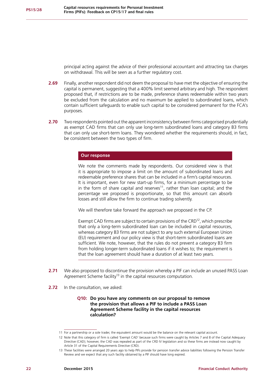principal acting against the advice of their professional accountant and attracting tax charges on withdrawal. This will be seen as a further regulatory cost.

- **2.69** Finally, another respondent did not deem the proposal to have met the objective of ensuring the capital is permanent, suggesting that a 400% limit seemed arbitrary and high. The respondent proposed that, if restrictions are to be made, preference shares redeemable within two years be excluded from the calculation and no maximum be applied to subordinated loans, which contain sufficient safeguards to enable such capital to be considered permanent for the FCA's purposes.
- **2.70** Two respondents pointed out the apparent inconsistency between firms categorised prudentially as exempt CAD firms that can only use long-term subordinated loans and category B3 firms that can only use short-term loans. They wondered whether the requirements should, in fact, be consistent between the two types of firm.

#### **Our response**

We note the comments made by respondents. Our considered view is that it is appropriate to impose a limit on the amount of subordinated loans and redeemable preference shares that can be included in a firm's capital resources. It is important, even for new start-up firms, for a minimum percentage to be in the form of share capital and reserves<sup>11</sup>, rather than loan capital; and the percentage we proposed is proportionate, so that this amount can absorb losses and still allow the firm to continue trading solvently.

We will therefore take forward the approach we proposed in the CP.

Exempt CAD firms are subject to certain provisions of the CRD $^{12}$ , which prescribe that only a long-term subordinated loan can be included in capital resources, whereas category B3 firms are not subject to any such external European Union (EU) requirement and our policy view is that short-term subordinated loans are sufficient. We note, however, that the rules do not prevent a category B3 firm from holding longer-term subordinated loans if it wishes to; the requirement is that the loan agreement should have a duration of at least two years.

- **2.71** We also proposed to discontinue the provision whereby a PIF can include an unused PASS Loan Agreement Scheme facility<sup>13</sup> in the capital resources computation.
- **2.72** In the consultation, we asked:

# **Q10: Do you have any comments on our proposal to remove the provision that allows a PIF to include a PASS Loan Agreement Scheme facility in the capital resources calculation?**

<sup>11</sup> For a partnership or a sole trader, the equivalent amount would be the balance on the relevant capital account.

<sup>12</sup> Note that this category of firm is called 'Exempt CAD' because such firms were caught by Articles 7 and 8 of the Capital Adequacy Directive (CAD); however, the CAD was repealed as part of the CRD IV legislation and so these firms are instead now caught by Article 31 of the Capital Requirements Directive (CRD).

<sup>13</sup> These facilities were arranged 20 years ago to help PIFs provide for pension transfer advice liabilities following the Pension Transfer Review and we expect that any such facility obtained by a PIF should have long expired.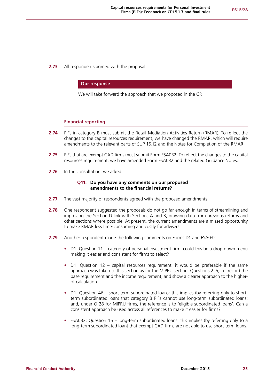**2.73** All respondents agreed with the proposal.

#### **Our response**

We will take forward the approach that we proposed in the CP.

## **Financial reporting**

- **2.74** PIFs in category B must submit the Retail Mediation Activities Return (RMAR). To reflect the changes to the capital resources requirement, we have changed the RMAR, which will require amendments to the relevant parts of SUP 16.12 and the Notes for Completion of the RMAR.
- **2.75** PIFs that are exempt CAD firms must submit Form FSA032. To reflect the changes to the capital resources requirement, we have amended Form FSA032 and the related Guidance Notes.
- **2.76** In the consultation, we asked:

#### **Q11: Do you have any comments on our proposed amendments to the financial returns?**

- **2.77** The vast majority of respondents agreed with the proposed amendments.
- **2.78** One respondent suggested the proposals do not go far enough in terms of streamlining and improving the Section D link with Sections A and B, drawing data from previous returns and other sections where possible. At present, the current amendments are a missed opportunity to make RMAR less time-consuming and costly for advisers.
- **2.79** Another respondent made the following comments on Forms D1 and FSA032:
	- **•** D1: Question 11 category of personal investment firm: could this be a drop-down menu making it easier and consistent for firms to select?
	- **•** D1: Question 12 capital resources requirement: it would be preferable if the same approach was taken to this section as for the MIPRU section, Questions 2–5, i.e. record the base requirement and the income requirement, and show a clearer approach to the higherof calculation.
	- **•** D1: Question 46 short-term subordinated loans: this implies (by referring only to shortterm subordinated loan) that category B PIFs cannot use long-term subordinated loans; and, under Q 28 for MIPRU firms, the reference is to 'eligible subordinated loans'. Can a consistent approach be used across all references to make it easier for firms?
	- **•** FSA032: Question 15 long-term subordinated loans: this implies (by referring only to a long-term subordinated loan) that exempt CAD firms are not able to use short-term loans.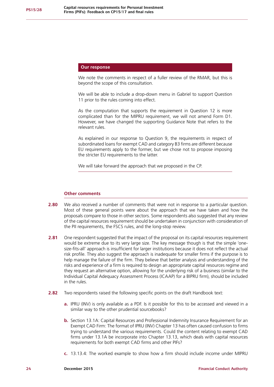## **Our response**

We note the comments in respect of a fuller review of the RMAR, but this is beyond the scope of this consultation.

We will be able to include a drop-down menu in Gabriel to support Question 11 prior to the rules coming into effect.

As the computation that supports the requirement in Question 12 is more complicated than for the MIPRU requirement, we will not amend Form D1. However, we have changed the supporting Guidance Note that refers to the relevant rules.

As explained in our response to Question 9, the requirements in respect of subordinated loans for exempt CAD and category B3 firms are different because EU requirements apply to the former, but we chose not to propose imposing the stricter EU requirements to the latter.

We will take forward the approach that we proposed in the CP.

#### **Other comments**

- **2.80** We also received a number of comments that were not in response to a particular question. Most of these general points were about the approach that we have taken and how the proposals compare to those in other sectors. Some respondents also suggested that any review of the capital resources requirement should be undertaken in conjunction with consideration of the PII requirements, the FSCS rules, and the long-stop review.
- **2.81** One respondent suggested that the impact of the proposal on its capital resources requirement would be extreme due to its very large size. The key message though is that the simple 'onesize-fits-all' approach is insufficient for larger institutions because it does not reflect the actual risk profile. They also suggest the approach is inadequate for smaller firms if the purpose is to help manage the failure of the firm. They believe that better analysis and understanding of the risks and experience of a firm is required to design an appropriate capital resources regime and they request an alternative option, allowing for the underlying risk of a business (similar to the Individual Capital Adequacy Assessment Process (ICAAP) for a BIPRU firm), should be included in the rules.
- **2.82** Two respondents raised the following specific points on the draft Handbook text:
	- **a.** IPRU (INV) is only available as a PDF. Is it possible for this to be accessed and viewed in a similar way to the other prudential sourcebooks?
	- **b.** Section 13.1A: Capital Resources and Professional Indemnity Insurance Requirement for an Exempt CAD Firm: The format of IPRU (INV) Chapter 13 has often caused confusion to firms trying to understand the various requirements. Could the content relating to exempt CAD firms under 13.1A be incorporate into Chapter 13.13, which deals with capital resources requirements for both exempt CAD firms and other PIFs?
	- **c.** 13.13.4: The worked example to show how a firm should include income under MIPRU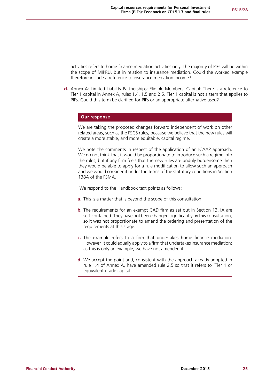activities refers to home finance mediation activities only. The majority of PIFs will be within the scope of MIPRU, but in relation to insurance mediation. Could the worked example therefore include a reference to insurance mediation income?

**d.** Annex A: Limited Liability Partnerships: Eligible Members' Capital: There is a reference to Tier 1 capital in Annex A, rules 1.4, 1.5 and 2.5. Tier 1 capital is not a term that applies to PIFs. Could this term be clarified for PIFs or an appropriate alternative used?

#### **Our response**

We are taking the proposed changes forward independent of work on other related areas, such as the FSCS rules, because we believe that the new rules will create a more stable, and more equitable, capital regime.

We note the comments in respect of the application of an ICAAP approach. We do not think that it would be proportionate to introduce such a regime into the rules, but if any firm feels that the new rules are unduly burdensome then they would be able to apply for a rule modification to allow such an approach and we would consider it under the terms of the statutory conditions in Section 138A of the FSMA.

We respond to the Handbook text points as follows:

- **a.** This is a matter that is beyond the scope of this consultation.
- **b.** The requirements for an exempt CAD firm as set out in Section 13.1A are self-contained. They have not been changed significantly by this consultation, so it was not proportionate to amend the ordering and presentation of the requirements at this stage.
- **c.** The example refers to a firm that undertakes home finance mediation. However, it could equally apply to a firm that undertakes insurance mediation; as this is only an example, we have not amended it.
- **d.** We accept the point and, consistent with the approach already adopted in rule 1.4 of Annex A, have amended rule 2.5 so that it refers to 'Tier 1 or equivalent grade capital'.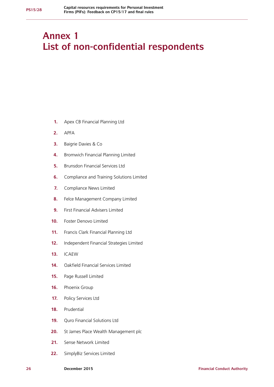# **Annex 1 List of non-confidential respondents**

- **1.** Apex CB Financial Planning Ltd
- **2.** APFA
- **3.** Baigrie Davies & Co
- **4.** Bromwich Financial Planning Limited
- **5.** Brunsdon Financial Services Ltd
- **6.** Compliance and Training Solutions Limited
- **7.** Compliance News Limited
- **8.** Felce Management Company Limited
- **9.** First Financial Advisers Limited
- **10.** Foster Denovo Limited
- **11.** Francis Clark Financial Planning Ltd
- **12.** Independent Financial Strategies Limited
- **13.** ICAEW
- **14.** Oakfield Financial Services Limited
- **15.** Page Russell Limited
- **16.** Phoenix Group
- **17.** Policy Services Ltd
- **18.** Prudential
- **19.** Quro Financial Solutions Ltd
- **20.** St James Place Wealth Management plc
- **21.** Sense Network Limited
- **22.** SimplyBiz Services Limited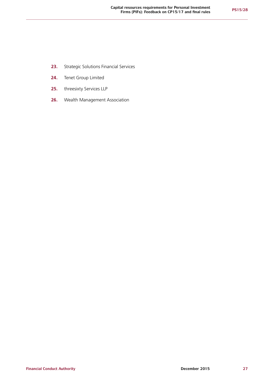- **23.** Strategic Solutions Financial Services
- **24.** Tenet Group Limited
- **25.** threesixty Services LLP
- **26.** Wealth Management Association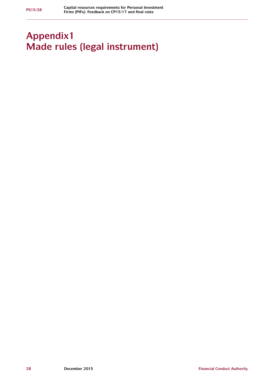# **Appendix1 Made rules (legal instrument)**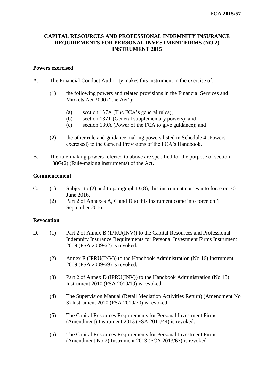# **CAPITAL RESOURCES AND PROFESSIONAL INDEMNITY INSURANCE REQUIREMENTS FOR PERSONAL INVESTMENT FIRMS (NO 2) INSTRUMENT 2015**

# **Powers exercised**

- A. The Financial Conduct Authority makes this instrument in the exercise of:
	- (1) the following powers and related provisions in the Financial Services and Markets Act 2000 ("the Act"):
		- (a) section 137A (The FCA's general rules);
		- (b) section 137T (General supplementary powers); and
		- (c) section 139A (Power of the FCA to give guidance); and
	- (2) the other rule and guidance making powers listed in Schedule 4 (Powers exercised) to the General Provisions of the FCA's Handbook.
- B. The rule-making powers referred to above are specified for the purpose of section 138G(2) (Rule-making instruments) of the Act.

# **Commencement**

- C. (1) Subject to (2) and to paragraph D.(8), this instrument comes into force on 30 June 2016.
	- (2) Part 2 of Annexes A, C and D to this instrument come into force on 1 September 2016.

# **Revocation**

- D. (1) Part 2 of Annex B (IPRU(INV)) to the Capital Resources and Professional Indemnity Insurance Requirements for Personal Investment Firms Instrument 2009 (FSA 2009/62) is revoked.
	- (2) Annex E (IPRU(INV)) to the Handbook Administration (No 16) Instrument 2009 (FSA 2009/69) is revoked.
	- (3) Part 2 of Annex D (IPRU(INV)) to the Handbook Administration (No 18) Instrument 2010 (FSA 2010/19) is revoked.
	- (4) The Supervision Manual (Retail Mediation Activities Return) (Amendment No 3) Instrument 2010 (FSA 2010/70) is revoked.
	- (5) The Capital Resources Requirements for Personal Investment Firms (Amendment) Instrument 2013 (FSA 2011/44) is revoked.
	- (6) The Capital Resources Requirements for Personal Investment Firms (Amendment No 2) Instrument 2013 (FCA 2013/67) is revoked.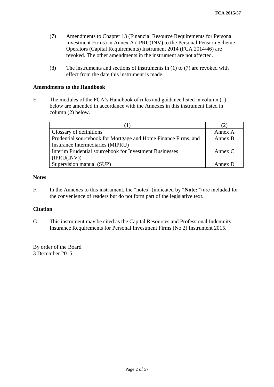- (7) Amendments to Chapter 13 (Financial Resource Requirements for Personal Investment Firms) in Annex A (IPRU(INV) to the Personal Pension Scheme Operators (Capital Requirements) Instrument 2014 (FCA 2014/46) are revoked. The other amendments in the instrument are not affected.
- (8) The instruments and sections of instruments in (1) to (7) are revoked with effect from the date this instrument is made.

# **Amendments to the Handbook**

E. The modules of the FCA's Handbook of rules and guidance listed in column (1) below are amended in accordance with the Annexes in this instrument listed in column (2) below.

| <b>Glossary of definitions</b>                                 | Annex A   |
|----------------------------------------------------------------|-----------|
| Prudential sourcebook for Mortgage and Home Finance Firms, and | Annex B   |
| Insurance Intermediaries (MIPRU)                               |           |
| Interim Prudential sourcebook for Investment Businesses        | Annex $C$ |
| (IPRU(INV))                                                    |           |
| Supervision manual (SUP)                                       | Annex D   |

# **Notes**

F. In the Annexes to this instrument, the "notes" (indicated by "**Note:**") are included for the convenience of readers but do not form part of the legislative text.

# **Citation**

G. This instrument may be cited as the Capital Resources and Professional Indemnity Insurance Requirements for Personal Investment Firms (No 2) Instrument 2015.

By order of the Board 3 December 2015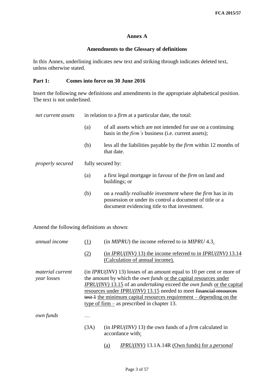# **Annex A**

# **Amendments to the Glossary of definitions**

In this Annex, underlining indicates new text and striking through indicates deleted text, unless otherwise stated.

# **Part 1: Comes into force on 30 June 2016**

Insert the following new definitions and amendments in the appropriate alphabetical position. The text is not underlined.

| net current assets                    | in relation to a <i>firm</i> at a particular date, the total: |                                                                                                                                                                                         |
|---------------------------------------|---------------------------------------------------------------|-----------------------------------------------------------------------------------------------------------------------------------------------------------------------------------------|
|                                       | (a)                                                           | of all assets which are not intended for use on a continuing<br>basis in the <i>firm</i> 's business (i.e. current assets);                                                             |
|                                       | (b)                                                           | less all the liabilities payable by the <i>firm</i> within 12 months of<br>that date.                                                                                                   |
| fully secured by:<br>properly secured |                                                               |                                                                                                                                                                                         |
|                                       | (a)                                                           | a first legal mortgage in favour of the <i>firm</i> on land and<br>buildings; or                                                                                                        |
|                                       | (b)                                                           | on a <i>readily realisable investment</i> where the <i>firm</i> has in its<br>possession or under its control a document of title or a<br>document evidencing title to that investment. |

Amend the following definitions as shown:

| annual income                          | (1)  | (in <i>MIPRU</i> ) the income referred to in <i>MIPRU</i> 4.3.                                                                                                                                                                                                                                                                                                                                                                          |
|----------------------------------------|------|-----------------------------------------------------------------------------------------------------------------------------------------------------------------------------------------------------------------------------------------------------------------------------------------------------------------------------------------------------------------------------------------------------------------------------------------|
|                                        | (2)  | (in <i>IPRU(INV)</i> 13) the income referred to in <i>IPRU(INV)</i> 13.14<br>(Calculation of annual income).                                                                                                                                                                                                                                                                                                                            |
| <i>material current</i><br>year losses |      | (in $IPRU(INV)$ 13) losses of an amount equal to 10 per cent or more of<br>the amount by which the own funds or the capital resources under<br>IPRU(INV) 13.15 of an <i>undertaking</i> exceed the <i>own funds</i> or the capital<br>resources under <i>IPRU(INV)</i> 13.15 needed to meet financial resources<br>test 1 the minimum capital resources requirement – depending on the<br>type of firm $-$ as prescribed in chapter 13. |
| own funds                              |      |                                                                                                                                                                                                                                                                                                                                                                                                                                         |
|                                        | (3A) | (in $IPRU(INV)$ 13) the own funds of a <i>firm</i> calculated in<br>accordance with:                                                                                                                                                                                                                                                                                                                                                    |
|                                        |      | <i>IPRU(INV)</i> 13.1A.14R (Own funds) for a <i>personal</i><br>(a)                                                                                                                                                                                                                                                                                                                                                                     |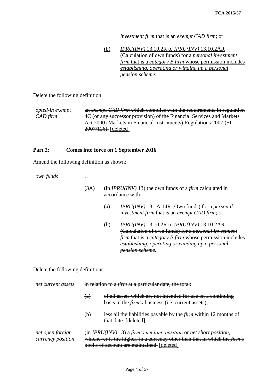# *investment firm* that is an *exempt CAD firm*; or

| (b) | IPRU(INV) 13.10.2R to IPRU(INV) 13.10.2AR                              |
|-----|------------------------------------------------------------------------|
|     | (Calculation of own funds) for a <i>personal investment</i>            |
|     | <i>firm</i> that is a <i>category B firm</i> whose permission includes |
|     | establishing, operating or winding up a personal                       |
|     | pension scheme.                                                        |

Delete the following definition.

*opted-in exempt CAD firm* an *exempt CAD firm* which complies with the requirements in regulation 4C (or any successor provision) of the Financial Services and Markets Act 2000 (Markets in Financial Instruments) Regulations 2007 (SI 2007/126). [deleted]

# **Part 2: Comes into force on 1 September 2016**

Amend the following definition as shown:

*own funds* …

- (3A) (in *IPRU(INV)* 13) the own funds of a *firm* calculated in accordance with:
	- (a) *IPRU(INV)* 13.1A.14R (Own funds) for a *personal investment firm* that is an *exempt CAD firm*; or
	- (b) *IPRU(INV)* 13.10.2R to *IPRU(INV)* 13.10.2AR (Calculation of own funds) for a *personal investment firm* that is a *category B firm* whose permission includes *establishing, operating or winding up a personal pension scheme.*

Delete the following definitions.

| net current assets                    | in relation to a <i>firm</i> at a particular date, the total:                                                                                                                                          |                                                                                                                            |  |
|---------------------------------------|--------------------------------------------------------------------------------------------------------------------------------------------------------------------------------------------------------|----------------------------------------------------------------------------------------------------------------------------|--|
|                                       | $\left( a\right)$                                                                                                                                                                                      | of all assets which are not intended for use on a continuing<br>basis in the <i>firm's</i> business (i.e. current assets); |  |
|                                       | $\left(\mathbf{b}\right)$                                                                                                                                                                              | less all the liabilities payable by the <i>firm</i> within 12 months of<br>that date. [deleted]                            |  |
| net open foreign<br>currency position | (in IPRU(INV) 13) a firm's net long position or net short position,<br>whichever is the higher, in a currency other than that in which the <i>firm's</i><br>books of account are maintained. [deleted] |                                                                                                                            |  |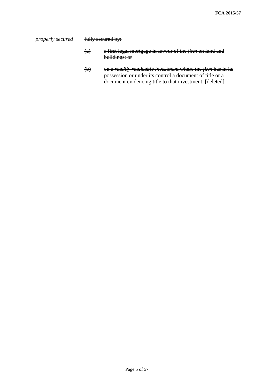*properly secured* **fully secured by:** 

- (a) a first legal mortgage in favour of the *firm* on land and buildings; or
- (b) on a *readily realisable investment* where the *firm* has in its possession or under its control a document of title or a document evidencing title to that investment. [deleted]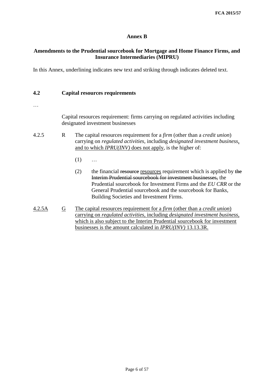# **Annex B**

# **Amendments to the Prudential sourcebook for Mortgage and Home Finance Firms, and Insurance Intermediaries (MIPRU)**

In this Annex, underlining indicates new text and striking through indicates deleted text.

# **4.2 Capital resources requirements**

…

Capital resources requirement: firms carrying on regulated activities including designated investment businesses

- 4.2.5 R The capital resources requirement for a *firm* (other than a *credit union*) carrying on *regulated activities*, including *designated investment business*, and to which *IPRU(INV)* does not apply, is the higher of:
	- $(1)$  ...
	- (2) the financial resources resources requirement which is applied by the Interim Prudential sourcebook for investment businesses, the Prudential sourcebook for Investment Firms and the *EU CRR* or the General Prudential sourcebook and the sourcebook for Banks, Building Societies and Investment Firms.
- 4.2.5A G The capital resources requirement for a *firm* (other than a *credit union*) carrying on *regulated activities*, including *designated investment business*, which is also subject to the Interim Prudential sourcebook for investment businesses is the amount calculated in *IPRU(INV)* 13.13.3R.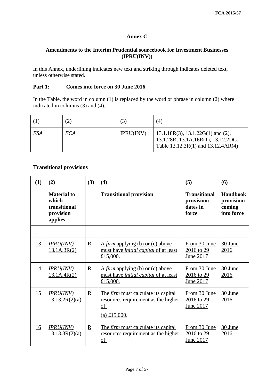# **Annex C**

# **Amendments to the Interim Prudential sourcebook for Investment Businesses (IPRU(INV))**

In this Annex, underlining indicates new text and striking through indicates deleted text, unless otherwise stated.

## **Part 1: Comes into force on 30 June 2016**

In the Table, the word in column  $(1)$  is replaced by the word or phrase in column  $(2)$  where indicated in columns (3) and (4).

|            | (2)        | (3)       | (4)                                                                                                             |
|------------|------------|-----------|-----------------------------------------------------------------------------------------------------------------|
| <b>FSA</b> | <b>FCA</b> | IPRU(INV) | $13.1.18R(3), 13.1.22G(1)$ and (2),<br>13.1.28R, 13.1A.16R(1), 13.12.2DG,<br>Table 13.12.3R(1) and 13.12.4AR(4) |

# **Transitional provisions**

| (1) | (2)                                                                 | (3)                      | (4)                                                                                                      | (5)                                                    | (6)                                                   |
|-----|---------------------------------------------------------------------|--------------------------|----------------------------------------------------------------------------------------------------------|--------------------------------------------------------|-------------------------------------------------------|
|     | <b>Material to</b><br>which<br>transitional<br>provision<br>applies |                          | <b>Transitional provision</b>                                                                            | <b>Transitional</b><br>provision:<br>dates in<br>force | <b>Handbook</b><br>provision:<br>coming<br>into force |
| .   |                                                                     |                          |                                                                                                          |                                                        |                                                       |
| 13  | IPRU(INV)<br>13.1A.3R(2)                                            | $\mathbf R$              | A <i>firm</i> applying (b) or (c) above<br>must have <i>initial capital</i> of at least<br>£15,000.      | From 30 June<br>2016 to 29<br>June 2017                | 30 June<br>2016                                       |
| 14  | IPRU(INV)<br>13.1A.4R(2)                                            | $\underline{\mathbf{R}}$ | A firm applying (b) or (c) above<br>must have <i>initial capital</i> of at least<br>£15,000.             | From 30 June<br>2016 to 29<br>June 2017                | 30 June<br>2016                                       |
| 15  | IPRU(INV)<br>13.13.2R(2)(a)                                         | $\underline{\mathbf{R}}$ | The <i>firm</i> must calculate its capital<br>resources requirement as the higher<br>of:<br>(a) £15,000. | From 30 June<br>2016 to 29<br>June 2017                | 30 June<br>2016                                       |
| 16  | IPRU(INV)<br>13.13.3R(2)(a)                                         | $\underline{\mathbf{R}}$ | The <i>firm</i> must calculate its capital<br>resources requirement as the higher<br>of:                 | From 30 June<br>$2016$ to 29<br>June 2017              | 30 June<br>2016                                       |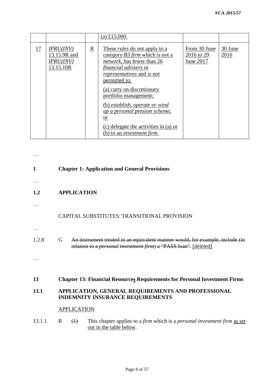|    |                                                            |             | (a) £15,000.                                                                                                                                                                                               |                                         |                 |
|----|------------------------------------------------------------|-------------|------------------------------------------------------------------------------------------------------------------------------------------------------------------------------------------------------------|-----------------------------------------|-----------------|
| 17 | IPRU(INV)<br>13.15.9R and<br><b>IPRU(INV)</b><br>13.15.10R | $\mathbf R$ | These <i>rules</i> do not apply to a<br><i>category B3 firm</i> which is not a<br><i>network</i> , has fewer than 26<br><i>financial advisers</i> or<br><i>representatives</i> and is not<br>permitted to: | From 30 June<br>2016 to 29<br>June 2017 | 30 June<br>2016 |
|    |                                                            |             | (a) carry on discretionary<br>portfolio management;                                                                                                                                                        |                                         |                 |
|    |                                                            |             | (b) establish, operate or wind<br>up a personal pension scheme;<br><sub>or</sub>                                                                                                                           |                                         |                 |
|    |                                                            |             | (c) delegate the activities in (a) or<br>(b) to an <i>investment firm</i> .                                                                                                                                |                                         |                 |

| 1      | <b>Chapter 1: Application and General Provisions</b>                                                                                                           |
|--------|----------------------------------------------------------------------------------------------------------------------------------------------------------------|
|        |                                                                                                                                                                |
| 1.2    | <b>APPLICATION</b>                                                                                                                                             |
|        |                                                                                                                                                                |
|        | CAPITAL SUBSTITUTES: TRANSITIONAL PROVISION                                                                                                                    |
|        |                                                                                                                                                                |
| 1.2.8  | An instrument treated in an equivalent manner would, for example, include (in<br>G<br>relation to a <i>personal investment firm</i> ) a "PASS loan". [deleted] |
|        |                                                                                                                                                                |
| 13     | <b>Chapter 13: Financial Resources Requirements for Personal Investment Firms</b>                                                                              |
| 13.1   | APPLICATION, GENERAL REQUIREMENTS AND PROFESSIONAL<br><b>INDEMNITY INSURANCE REQUIREMENTS</b>                                                                  |
|        | <b>APPLICATION</b>                                                                                                                                             |
| 13.1.1 | $\mathbf{R}$<br>This chapter applies to a <i>firm</i> which is a <i>personal investment firm</i> as set<br>$\leftrightarrow$<br>out in the table below.        |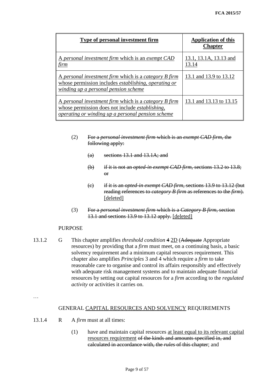| Type of personal investment firm                                                                                                                                            | <b>Application of this</b><br><b>Chapter</b> |
|-----------------------------------------------------------------------------------------------------------------------------------------------------------------------------|----------------------------------------------|
| A personal investment firm which is an exempt CAD<br><u>firm</u>                                                                                                            | 13.1, 13.1A, 13.13 and<br>13.14              |
| <u>A personal investment firm which is a category B firm</u><br>whose permission includes <i>establishing</i> , <i>operating or</i><br>winding up a personal pension scheme | 13.1 and 13.9 to 13.12                       |
| A personal investment firm which is a category B firm<br>whose permission does not include <i>establishing</i> ,<br>operating or winding up a personal pension scheme       | 13.1 and 13.13 to 13.15                      |

- (2) For a *personal investment firm* which is an *exempt CAD firm*, the following apply:
	- $(a)$  sections 13.1 and 13.1A; and
	- (b) if it is not an *opted-in exempt CAD firm*, sections 13.2 to 13.8; or
	- (c) if it is an *opted-in exempt CAD firm*, sections 13.9 to 13.12 (but reading references to *category B firm* as references to the *firm*). [deleted]
- (3) For a *personal investment firm* which is a *Category B firm*, section 13.1 and sections 13.9 to 13.12 apply. [deleted]

#### PURPOSE

13.1.2 G This chapter amplifies *threshold condition* 4 2D (Adequate Appropriate resources) by providing that a *firm* must meet, on a continuing basis, a basic solvency requirement and a minimum capital resources requirement. This chapter also amplifies *Principles* 3 and 4 which require a *firm* to take reasonable care to organise and control its affairs responsibly and effectively with adequate risk management systems and to maintain adequate financial resources by setting out capital resources for a *firm* according to the *regulated activity* or activities it carries on.

…

# GENERAL CAPITAL RESOURCES AND SOLVENCY REQUIREMENTS

- 13.1.4 R A *firm* must at all times:
	- (1) have and maintain capital resources at least equal to its relevant capital resources requirement of the kinds and amounts specified in, and calculated in accordance with, the *rules* of this chapter; and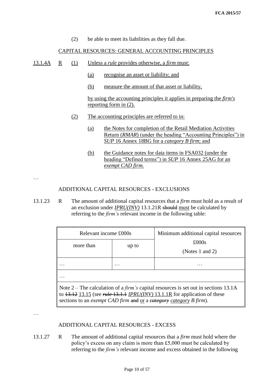(2) be able to meet its liabilities as they fall due.

#### CAPITAL RESOURCES: GENERAL ACCOUNTING PRINCIPLES

13.1.4A R (1) Unless a *rule* provides otherwise, a *firm* must:

- (a) recognise an asset or liability; and
- (b) measure the amount of that asset or liability,

by using the accounting principles it applies in preparing the *firm's* reporting form in (2).

- (2) The accounting principles are referred to in:
	- (a) the Notes for completion of the Retail Mediation Activities Return (*RMAR*) (under the heading "Accounting Principles") in *SUP* 16 Annex 18BG for a *category B firm*; and
	- (b) the Guidance notes for data items in FSA032 (under the heading "Defined terms") in *SUP* 16 Annex 25AG for an *exempt CAD firm.*

…

# ADDITIONAL CAPITAL RESOURCES - EXCLUSIONS

13.1.23 R The amount of additional capital resources that a *firm* must hold as a result of an exclusion under *IPRU(INV)* 13.1.21R should must be calculated by referring to the *firm's* relevant income in the following table:

| Relevant income £000s                                                                                                                                                                                                                                            |       | Minimum additional capital resources |  |  |  |  |  |
|------------------------------------------------------------------------------------------------------------------------------------------------------------------------------------------------------------------------------------------------------------------|-------|--------------------------------------|--|--|--|--|--|
| more than                                                                                                                                                                                                                                                        | up to | £000s<br>(Notes 1 and 2)             |  |  |  |  |  |
|                                                                                                                                                                                                                                                                  |       |                                      |  |  |  |  |  |
|                                                                                                                                                                                                                                                                  |       |                                      |  |  |  |  |  |
| Note 2 – The calculation of a <i>firm's</i> capital resources is set out in sections 13.1A<br>to $13.12$ 13.15 (see <i>rule</i> $13.1.1$ <i>IPRU(INV)</i> 13.1.1R for application of these<br>sections to an exempt CAD firm and or a eategory category B firm). |       |                                      |  |  |  |  |  |

…

## ADDITIONAL CAPITAL RESOURCES - EXCESS

13.1.27 R The amount of additional capital resources that a *firm* must hold where the policy's excess on any claim is more than £5,000 must be calculated by referring to the *firm's* relevant income and excess obtained in the following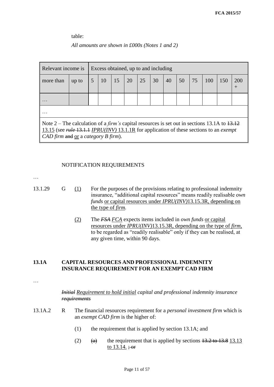table:

## *All amounts are shown in £000s (Notes 1 and 2)*

| Relevant income is<br>Excess obtained, up to and including                                                                                                                                                                                                             |       |  |    |    |    |    |    |    |    |    |     |     |     |
|------------------------------------------------------------------------------------------------------------------------------------------------------------------------------------------------------------------------------------------------------------------------|-------|--|----|----|----|----|----|----|----|----|-----|-----|-----|
| more than                                                                                                                                                                                                                                                              | up to |  | 10 | 15 | 20 | 25 | 30 | 40 | 50 | 75 | 100 | 150 | 200 |
|                                                                                                                                                                                                                                                                        |       |  |    |    |    |    |    |    |    |    |     |     |     |
| .                                                                                                                                                                                                                                                                      |       |  |    |    |    |    |    |    |    |    |     |     |     |
| Note 2 – The calculation of a <i>firm's</i> capital resources is set out in sections 13.1A to $\frac{13.12}{2}$<br>13.15 (see <i>rule</i> 13.1.1 <i>IPRU(INV)</i> 13.1.1R for application of these sections to an <i>exempt</i><br>CAD firm and or a category B firm). |       |  |    |    |    |    |    |    |    |    |     |     |     |

#### NOTIFICATION REQUIREMENTS

…

- 
- 13.1.29 G (1) For the purposes of the provisions relating to professional indemnity insurance, "additional capital resources" means readily realisable *own funds* or capital resources under *IPRU(INV)*13.15.3R, depending on the type of *firm.*
	- (2) The *FSA FCA* expects items included in *own funds* or capital resources under *IPRU(INV)*13.15.3R, depending on the type of *firm*, to be regarded as "readily realisable" only if they can be realised, at any given time, within 90 days.

# **13.1A CAPITAL RESOURCES AND PROFESSIONAL INDEMNITY INSURANCE REQUIREMENT FOR AN EXEMPT CAD FIRM**

…

*Initial Requirement to hold initial capital and professional indemnity insurance requirements*

- 13.1A.2 R The financial resources requirement for a *personal investment firm* which is an *exempt CAD firm* is the higher of:
	- (1) the requirement that is applied by section 13.1A; and
	- (2)  $(a)$  the requirement that is applied by sections  $13.2$  to  $13.8$  13.13 to  $13.14.$ ; or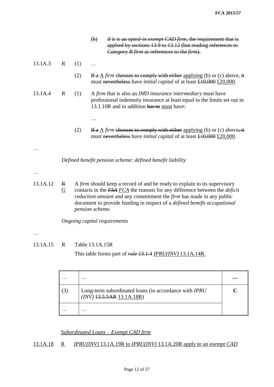|          |                     |     | $\left(\mathbf{b}\right)$ | if it is an <i>opted-in exempt CAD firm</i> , the requirement that is<br>applied by sections 13.9 to 13.12 (but reading references to<br><i>Category B firm as references to the firm).</i> |
|----------|---------------------|-----|---------------------------|---------------------------------------------------------------------------------------------------------------------------------------------------------------------------------------------|
| 13.1A.3  | R                   | (1) |                           |                                                                                                                                                                                             |
|          |                     | (2) |                           | If a $\Delta$ firm chooses to comply with either applying (b) or (c) above, it<br>must nevertheless have <i>initial capital</i> of at least $\pounds10,000 \pounds20,000$ .                 |
| 13.1A.4  | $\mathbf R$         | (1) |                           | A firm that is also an IMD insurance intermediary must have<br>professional indemnity insurance at least equal to the limits set out in<br>13.1.10R and in addition has to must have:       |
|          |                     |     |                           |                                                                                                                                                                                             |
|          |                     | (2) |                           | If a $\Delta$ firm chooses to comply with either applying (b) or (c) above, it<br>must nevertheless have <i>initial capital</i> of at least $\pounds10,000 \pounds20,000$ .                 |
|          |                     |     |                           |                                                                                                                                                                                             |
|          |                     |     |                           | Defined benefit pension scheme: defined benefit liability                                                                                                                                   |
|          |                     |     |                           |                                                                                                                                                                                             |
| 13.1A.12 | R<br>$\overline{G}$ |     |                           | A firm should keep a record of and be ready to explain to its supervisory<br>contacts in the FSA FCA the reasons for any difference between the <i>deficit</i>                              |

*reduction amount* and any commitment the *firm* has made in any public document to provide funding in respect of a *defined benefit occupational pension scheme*.

*Ongoing capital requirements*

…

13.1A.15 R Table 13.1A.15R

This table forms part of *rule* 13.1.4 *IPRU(INV)* 13.1A.14R.

|            | .                                                                                               | $\ddotsc$ |
|------------|-------------------------------------------------------------------------------------------------|-----------|
| $\sqrt{3}$ | Long-term subordinated loans (in accordance with <i>IPRU</i><br>$(INV)$ $13.5.5AR$ $13.1A.18R)$ |           |
|            | .                                                                                               |           |

*Subordinated Loans – Exempt CAD firm*

# 13.1A.18 R *IPRU(INV)* 13.1A.19R to *IPRU(INV)* 13.1A.20R apply to an e*xempt CAD*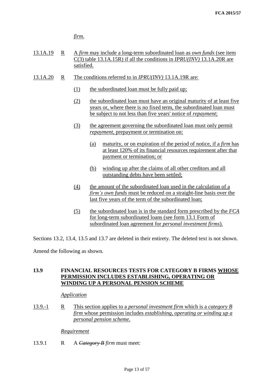*firm*.

- 13.1A.19 R A *firm* may include a long-term subordinated loan as *own funds* (see item C(3) table 13.1A.15R) if all the conditions in *IPRU(INV)* 13.1A.20R are satisfied.
- 13.1A.20 R The conditions referred to in *IPRU(INV)* 13.1A.19R are:
	- (1) the subordinated loan must be fully paid up;
	- (2) the subordinated loan must have an original maturity of at least five years or, where there is no fixed term, the subordinated loan must be subject to not less than five years' notice of *repayment*;
	- (3) the agreement governing the subordinated loan must only permit *repayment*, prepayment or termination on:
		- (a) maturity, or on expiration of the period of notice, if a *firm* has at least 120% of its financial resources requirement after that payment or termination; or
		- (b) winding up after the claims of all other creditors and all outstanding debts have been settled;
	- (4) the amount of the subordinated loan used in the calculation of a *firm's own funds* must be reduced on a straight-line basis over the last five years of the term of the subordinated loan;
	- (5) the subordinated loan is in the standard form prescribed by the *FCA*  for long-term subordinated loans (see form 13.1 Form of subordinated loan agreement for *personal investment firms*).

Sections 13.2, 13.4, 13.5 and 13.7 are deleted in their entirety. The deleted text is not shown.

Amend the following as shown.

# **13.9 FINANCIAL RESOURCES TESTS FOR CATEGORY B FIRMS WHOSE PERMISSION INCLUDES ESTABLISHING, OPERATING OR WINDING UP A PERSONAL PENSION SCHEME**

#### *Application*

13.9.-1 R This section applies to a *personal investment firm* which is a *category B firm* whose permission includes *establishing, operating or winding up a personal pension scheme.*

*Requirement*

13.9.1 R A *Category B firm* must meet: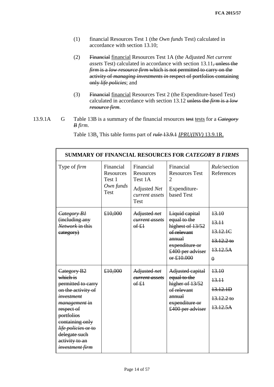- (1) financial Resources Test 1 (the *Own funds* Test) calculated in accordance with section 13.10;
- (2) Financial financial Resources Test 1A (the Adjusted *Net current assets* Test) calculated in accordance with section 13.11, unless the *firm* is a *low resource firm* which is not permitted to carry on the activity of *managing investments in* respect of portfolios containing only *life policies*; and
- (3) Financial financial Resources Test 2 (the Expenditure-based Test) calculated in accordance with section 13.12 unless the *firm* is a *low resource firm*.
- 13.9.1A G Table 13B is a summary of the financial resources test tests for a *Category B firm*.

Table 13B. This table forms part of *rule* 13.9.1 *IPRU(INV)* 13.9.1R.

| <b>SUMMARY OF FINANCIAL RESOURCES FOR CATEGORY B FIRMS</b>                                                                                                                                                                                               |                                                       |                                                                                           |                                                                                                                                 |                                                                    |  |  |  |  |
|----------------------------------------------------------------------------------------------------------------------------------------------------------------------------------------------------------------------------------------------------------|-------------------------------------------------------|-------------------------------------------------------------------------------------------|---------------------------------------------------------------------------------------------------------------------------------|--------------------------------------------------------------------|--|--|--|--|
| Type of <i>firm</i>                                                                                                                                                                                                                                      | Financial<br>Resources<br>Test 1<br>Own funds<br>Test | Financial<br><b>Resources</b><br>Test 1A<br>Adjusted Net<br>current assets<br><b>Test</b> | Financial<br><b>Resources Test</b><br>$\mathcal{D}_{\mathcal{L}}$<br>Expenditure-<br>based Test                                 | <i>Rule</i> /section<br>References                                 |  |  |  |  |
| Category B <sub>1</sub><br>(including any<br>Network in this<br>eategory)                                                                                                                                                                                | €10,000                                               | Adjusted net<br>current assets<br>6f f                                                    | Liquid capital<br>equal to the<br>highest of 13/52<br>of relevant<br>annual<br>expenditure or<br>£400 per adviser<br>or £10.000 | 13.10<br>13.11<br>13.12.1C<br>$13.12.2$ to<br>13.12.5A<br>$\theta$ |  |  |  |  |
| Category B <sub>2</sub><br>which is<br>permitted to carry<br>on the activity of<br><i>investment</i><br><i>management</i> in<br>respect of<br>portfolios<br>containing only<br>life policies or to<br>delegate such<br>activity to an<br>investment firm | €10,000                                               | Adjusted net<br>current assets<br>6f f                                                    | Adjusted capital<br>equal to the<br>higher of 13/52<br>of relevant<br>annual<br>expenditure or<br>£400 per adviser              | 13.10<br>13.11<br>13.12.1D<br>$13.12.2$ to<br>13.12.5A             |  |  |  |  |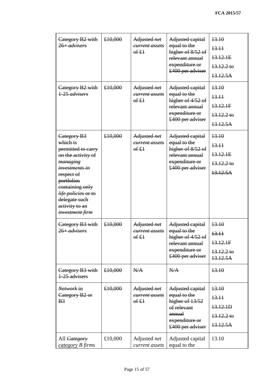| Category B2 with<br>$26 + \textit{advisers}$                                                                                                                                                                                             | €10,000 | Adjusted net<br><del>current assets</del><br>6f f | Adjusted capital<br>equal to the<br>higher of 8/52 of<br>relevant annual<br>expenditure or<br>£400 per adviser     | 13.10<br>13.11<br>13.12.1E<br>$13.12.2$ to<br>13.12.5A |
|------------------------------------------------------------------------------------------------------------------------------------------------------------------------------------------------------------------------------------------|---------|---------------------------------------------------|--------------------------------------------------------------------------------------------------------------------|--------------------------------------------------------|
| Category B2 with<br>1-25 advisers                                                                                                                                                                                                        | £10,000 | Adjusted net<br>current assets<br>6f f            | Adjusted capital<br>equal to the<br>higher of $4/52$ of<br>relevant annual<br>expenditure or<br>£400 per adviser   | 13.10<br>13.11<br>13.12.1F<br>$13.12.2$ to<br>13.12.5A |
| Category B3<br>which is<br>permitted to carry<br>on the activity of<br><del>managing</del><br>investments in<br>respect of<br>portfolios<br>containing only<br>life policies or to<br>delegate such<br>activity to an<br>investment firm | £10,000 | Adjusted net<br><del>current assets</del><br>6f f | Adjusted capital<br>equal to the<br>higher of 8/52 of<br>relevant annual<br>expenditure or<br>£400 per adviser     | 13.10<br>13.11<br>13.12.1E<br>$13.12.2$ to<br>13.12.5A |
| Category B3 with<br>$26 + \textit{advisers}$                                                                                                                                                                                             | £10,000 | Adjusted net<br><del>current assets</del><br>6f f | Adjusted capital<br>equal to the<br>higher of $4/52$ of<br>relevant annual<br>expenditure or<br>£400 per adviser   | 13.10<br>13.11<br>13.12.1F<br>$13.12.2$ to<br>13.12.5A |
| Category B <sub>3</sub> with<br>1-25 advisers                                                                                                                                                                                            | £10,000 | N/A                                               | N/A                                                                                                                | 13.10                                                  |
| Network in<br>Category B <sub>2</sub> or<br>B <sub>3</sub>                                                                                                                                                                               | £10,000 | Adjusted net<br>current assets<br>$6f+1$          | Adjusted capital<br>equal to the<br>higher of 13/52<br>of relevant<br>annual<br>expenditure or<br>£400 per adviser | 13.10<br>13.11<br>13.12.1D<br>$13.12.2$ to<br>13.12.5A |
| All <i>Category</i><br>category B firms                                                                                                                                                                                                  | £10,000 | Adjusted net<br>current assets                    | Adjusted capital<br>equal to the                                                                                   | 13.10                                                  |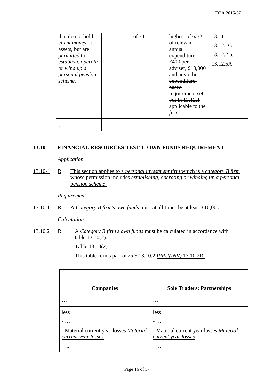| that do not hold                          | of £1 | highest of $6/52$              | 13.11      |
|-------------------------------------------|-------|--------------------------------|------------|
| <i>client money</i> or<br>assets, but are |       | of relevant<br>annual          | 13.12.1G   |
| permitted to                              |       | expenditure,                   | 13.12.2 to |
| establish, operate<br>or wind up a        |       | $£400$ per<br>adviser, £10,000 | 13.12.5A   |
| personal pension                          |       | and any other                  |            |
| scheme.                                   |       | expenditure-                   |            |
|                                           |       | based                          |            |
|                                           |       | requirement set                |            |
|                                           |       | out in 13.12.1                 |            |
|                                           |       | applicable to the              |            |
|                                           |       | <del>firm</del> .              |            |
|                                           |       |                                |            |

# **13.10 FINANCIAL RESOURCES TEST 1- OWN FUNDS REQUIREMENT**

*Application*

13.10-1 R This section applies to a *personal investment firm* which is a *category B firm* whose permission includes *establishing, operating or winding up a personal pension scheme*.

*Requirement*

13.10.1 R A *Category B firm's own funds* must at all times be at least £10,000.

*Calculation*

13.10.2 R A *Category B firm's own funds* must be calculated in accordance with table 13.10(2).

Table 13.10(2).

This table forms part of *rule* 13.10.2 *IPRU(INV)* 13.10.2R.

| <b>Companies</b>                                               | <b>Sole Traders: Partnerships</b>                                   |
|----------------------------------------------------------------|---------------------------------------------------------------------|
|                                                                | .                                                                   |
| less                                                           | less                                                                |
| - Material current year losses Material<br>current year losses | <b>Material current year losses Material</b><br>current year losses |
|                                                                |                                                                     |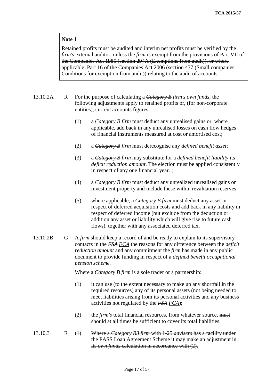# **Note 1**

Retained profits must be audited and interim net profits must be verified by the *firm's* external auditor, unless the *firm* is exempt from the provisions of Part VII of the Companies Act 1985 (section 294A (Exemptions from audit)), or where applicable, Part 16 of the Companies Act 2006 (section 477 (Small companies: Conditions for exemption from audit)) relating to the audit of accounts.

13.10.2A R For the purpose of calculating a *Category B firm's own funds,* the following adjustments apply to retained profits or, (for non-corporate entities), current accounts figures.

- (1) a *Category B firm* must deduct any unrealised gains or, where applicable, add back in any unrealised losses on cash flow hedges of financial instruments measured at cost or amortised cost;
- (2) a *Category B firm* must derecognise any *defined benefit asset*;
- (3) a *Category B firm* may substitute for a *defined benefit liability* its *deficit reduction amount*. The election must be applied consistently in respect of any one financial year. ;
- (4) a *Category B firm* must deduct any unrealized unrealised gains on investment property and include these within revaluation reserves;
- (5) where applicable, a *Category B firm* must deduct any asset in respect of deferred acquisition costs and add back in any liability in respect of deferred income (but exclude from the deduction or addition any asset or liability which will give rise to future cash flows), together with any associated deferred tax.
- 13.10.2B G A *firm* should keep a record of and be ready to explain to its supervisory contacts in the *FSA FCA* the reasons for any difference between the *deficit reduction amount* and any commitment the *firm* has made in any public document to provide funding in respect of a *defined benefit occupational pension scheme.*

Where a *Category B firm* is a sole trader or a partnership:

- (1) it can use (to the extent necessary to make up any shortfall in the required resources) any of its personal assets (not being needed to meet liabilities arising from its personal activities and any business activities not regulated by the *FSA FCA*);
- (2) the *firm's* total financial resources, from whatever source, must should at all times be sufficient to cover its total liabilities.
- 13.10.3 R (1) Where a *Category B3 firm* with 1-25 *advisers* has a facility under the PASS Loan Agreement Scheme it may make an adjustment in its *own funds* calculation in accordance with (2).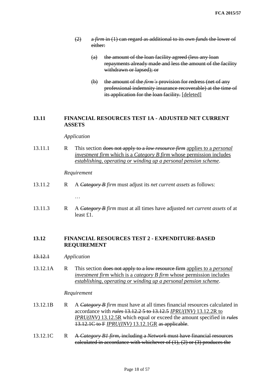- (2) a *firm* in (1) can regard as additional to its *own funds* the lower of either:
	- (a) the amount of the loan facility agreed (less any loan repayments already made and less the amount of the facility withdrawn or lapsed); or
	- (b) the amount of the *firm's* provision for redress (net of any professional indemnity insurance recoverable) at the time of its application for the loan facility. [deleted]

# **13.11 FINANCIAL RESOURCES TEST 1A - ADJUSTED NET CURRENT ASSETS**

#### *Application*

13.11.1 R This section does not apply to a *low resource firm* applies to a *personal investment firm* which is a *Category B firm* whose permission includes *establishing, operating or winding up a personal pension scheme*.

#### *Requirement*

…

- 13.11.2 R A *Category B firm* must adjust its *net current assets* as follows:
- 13.11.3 R A *Category B firm* must at all times have adjusted *net current assets* of at least £1.

# **13.12 FINANCIAL RESOURCES TEST 2 - EXPENDITURE-BASED REQUIREMENT**

- 13.12.1 *Application*
- 13.12.1A R This section does not apply to a low resource firm applies to a *personal investment firm* which is a *category B firm* whose permission includes *establishing, operating or winding up a personal pension scheme*.

#### *Requirement*

- 13.12.1B R A *Category B firm* must have at all times financial resources calculated in accordance with *rules* 13.12.2 5 to 13.12.5 *IPRU(INV)* 13.12.2R to *IPRU(INV)* 13.12.5R which equal or exceed the amount specified in *rules* 13.12.1C to F *IPRU(INV)* 13.12.1GR as applicable.
- 13.12.1C R A *Category B1 firm*, including a *Network* must have financial resources calculated in accordance with whichever of  $(1)$ ,  $(2)$  or  $(3)$  produces the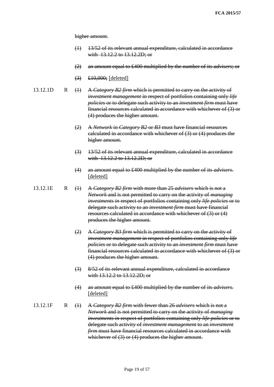higher amount.

- (1) 13/52 of its relevant annual expenditure, calculated in accordance with 13.12.2 to 13.12.2D; or
- (2) an amount equal to £400 multiplied by the number of its *advisers*; or
- $(3) \quad \text{\textsterling}10,000;$  [deleted]
- 13.12.1D R (1) A *Category B2 firm* which is permitted to carry on the activity of *investment management* in respect of portfolios containing only *life policies* or to delegate such activity to an *investment firm* must have financial resources calculated in accordance with whichever of (3) or (4) produces the higher amount.
	- (2) A *Network* in *Category B2* or *B3* must have financial resources calculated in accordance with whichever of (3) or (4) produces the higher amount.
	- (3) 13/52 of its relevant annual expenditure, calculated in accordance with 13.12.2 to 13.12.2D; or
	- (4) an amount equal to £400 multiplied by the number of its *advisers*. [deleted]
- 13.12.1E R (1) A *Category B2 firm* with more than 25 *advisers* which is not a *Network* and is not permitted to carry on the activity of *managing investments in* respect of portfolios containing only *life policies* or to delegate such activity to an *investment firm* must have financial resources calculated in accordance with whichever of (3) or (4) produces the higher amount.
	- (2) A *Category B3 firm* which is permitted to carry on the activity of *investment management* in respect of portfolios containing only *life policies* or to delegate such activity to an *investment firm* must have financial resources calculated in accordance with whichever of (3) or (4) produces the higher amount.
	- (3) 8/52 of its relevant annual expenditure, calculated in accordance with 13.12.2 to 13.12.2D; or
	- (4) an amount equal to £400 multiplied by the number of its *advisers*. [deleted]
- 13.12.1F R (1) A *Category B2 firm* with fewer than 26 *advisers* which is not a *Network* and is not permitted to carry on the activity of *managing investments in* respect of portfolios containing only *life policies* or to delegate such activity of *investment management* to an *investment firm* must have financial resources calculated in accordance with whichever of (3) or (4) produces the higher amount.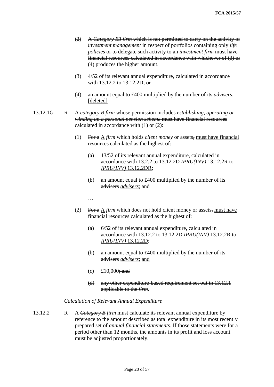- (2) A *Category B3 firm* which is not permitted to carry on the activity of *investment management* in respect of portfolios containing only *life policies* or to delegate such activity to an *investment firm* must have financial resources calculated in accordance with whichever of (3) or (4) produces the higher amount.
- (3) 4/52 of its relevant annual expenditure, calculated in accordance with 13.12.2 to 13.12.2D; or
- (4) an amount equal to £400 multiplied by the number of its *advisers*. [deleted]
- 13.12.1G R A *category B firm* whose permission includes *establishing, operating or winding up a personal pension scheme* must have financial resources calculated in accordance with  $(1)$  or  $(2)$ :
	- (1) For a A *firm* which holds *client money* or assets, must have financial resources calculated as the highest of:
		- (a) 13/52 of its relevant annual expenditure, calculated in accordance with 13.2.2 to 13.12.2D *IPRU(INV)* 13.12.2R to *IPRU(INV)* 13.12.2DR;
		- (b) an amount equal to £400 multiplied by the number of its advisers *advisers*; and
		- …
	- (2) For a A *firm* which does not hold client money or assets, must have financial resources calculated as the highest of:
		- (a) 6/52 of its relevant annual expenditure, calculated in accordance with 13.12.2 to 13.12.2D *IPRU(INV)* 13.12.2R to *IPRU(INV)* 13.12.2D;
		- (b) an amount equal to £400 multiplied by the number of its advisers *advisers*; and
		- $(c) \quad \text{\pounds}10.000\text{ and}$
		- (d) any other expenditure-based requirement set out in 13.12.1 applicable to the *firm*.

#### *Calculation of Relevant Annual Expenditure*

13.12.2 R A *Category B firm* must calculate its relevant annual expenditure by reference to the amount described as total expenditure in its most recently prepared set of *annual financial statements*. If those statements were for a period other than 12 months, the amounts in its profit and loss account must be adjusted proportionately.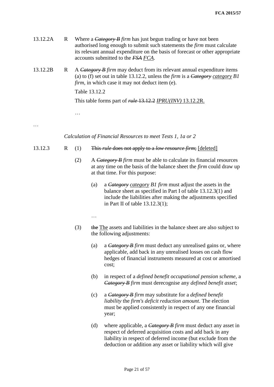| 13.12.2A | R | Where a $C \left( \frac{3}{2} \right)$ <i>Category B firm</i> has just begun trading or have not been<br>authorised long enough to submit such statements the <i>firm</i> must calculate<br>its relevant annual expenditure on the basis of forecast or other appropriate<br>accounts submitted to the FSA FCA. |                                                                                                                                                                                                                                    |                                                                                                                                                                                                                                          |  |
|----------|---|-----------------------------------------------------------------------------------------------------------------------------------------------------------------------------------------------------------------------------------------------------------------------------------------------------------------|------------------------------------------------------------------------------------------------------------------------------------------------------------------------------------------------------------------------------------|------------------------------------------------------------------------------------------------------------------------------------------------------------------------------------------------------------------------------------------|--|
| 13.12.2B | R |                                                                                                                                                                                                                                                                                                                 | A Category B firm may deduct from its relevant annual expenditure items<br>(a) to (f) set out in table 13.12.2, unless the <i>firm</i> is a <i>Category category B1</i><br><i>firm</i> , in which case it may not deduct item (e). |                                                                                                                                                                                                                                          |  |
|          |   | Table 13.12.2                                                                                                                                                                                                                                                                                                   |                                                                                                                                                                                                                                    |                                                                                                                                                                                                                                          |  |
|          |   |                                                                                                                                                                                                                                                                                                                 |                                                                                                                                                                                                                                    | This table forms part of rule 13.12.2 IPRU(INV) 13.12.2R.                                                                                                                                                                                |  |
|          |   | .                                                                                                                                                                                                                                                                                                               |                                                                                                                                                                                                                                    |                                                                                                                                                                                                                                          |  |
|          |   |                                                                                                                                                                                                                                                                                                                 |                                                                                                                                                                                                                                    |                                                                                                                                                                                                                                          |  |
|          |   |                                                                                                                                                                                                                                                                                                                 |                                                                                                                                                                                                                                    | Calculation of Financial Resources to meet Tests 1, 1a or 2                                                                                                                                                                              |  |
| 13.12.3  | R | (1)                                                                                                                                                                                                                                                                                                             |                                                                                                                                                                                                                                    | This <i>rule</i> does not apply to a <i>low resource firm</i> ; [deleted]                                                                                                                                                                |  |
|          |   | (2)                                                                                                                                                                                                                                                                                                             |                                                                                                                                                                                                                                    | A Category B firm must be able to calculate its financial resources<br>at any time on the basis of the balance sheet the <i>firm</i> could draw up<br>at that time. For this purpose:                                                    |  |
|          |   |                                                                                                                                                                                                                                                                                                                 | (a)                                                                                                                                                                                                                                | a <i>Category category B1 firm</i> must adjust the assets in the<br>balance sheet as specified in Part I of table 13.12.3(1) and<br>include the liabilities after making the adjustments specified<br>in Part II of table $13.12.3(1)$ ; |  |
|          |   |                                                                                                                                                                                                                                                                                                                 | .                                                                                                                                                                                                                                  |                                                                                                                                                                                                                                          |  |
|          |   | (3)                                                                                                                                                                                                                                                                                                             |                                                                                                                                                                                                                                    | the The assets and liabilities in the balance sheet are also subject to<br>the following adjustments:                                                                                                                                    |  |
|          |   |                                                                                                                                                                                                                                                                                                                 | (a)                                                                                                                                                                                                                                | a <i>Category B firm</i> must deduct any unrealised gains or, where<br>applicable, add back in any unrealised losses on cash flow<br>hedges of financial instruments measured at cost or amortised<br>cost;                              |  |
|          |   |                                                                                                                                                                                                                                                                                                                 | (b)                                                                                                                                                                                                                                | in respect of a <i>defined benefit occupational pension scheme</i> , a<br><b>Category B</b> firm must derecognise any <i>defined benefit asset</i> ;                                                                                     |  |
|          |   |                                                                                                                                                                                                                                                                                                                 | (c)                                                                                                                                                                                                                                | a Category B firm may substitute for a <i>defined benefit</i><br>liability the firm's deficit reduction amount. The election<br>must be applied consistently in respect of any one financial                                             |  |

(d) where applicable, a *Category B firm* must deduct any asset in respect of deferred acquisition costs and add back in any liability in respect of deferred income (but exclude from the deduction or addition any asset or liability which will give

year;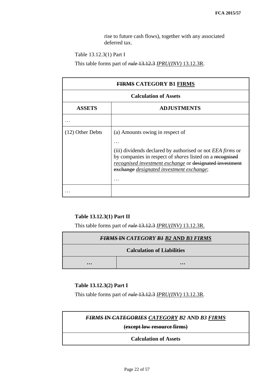rise to future cash flows), together with any associated deferred tax.

Table 13.12.3(1) Part I

This table forms part of *rule* 13.12.3 *IPRU(INV)* 13.12.3R.

| <b>FIRMS CATEGORY B1 FIRMS</b>      |                                                                                                                                                                                                                                                                         |  |  |
|-------------------------------------|-------------------------------------------------------------------------------------------------------------------------------------------------------------------------------------------------------------------------------------------------------------------------|--|--|
| <b>Calculation of Assets</b>        |                                                                                                                                                                                                                                                                         |  |  |
| <b>ADJUSTMENTS</b><br><b>ASSETS</b> |                                                                                                                                                                                                                                                                         |  |  |
|                                     |                                                                                                                                                                                                                                                                         |  |  |
| $(12)$ Other Debts                  | (a) Amounts owing in respect of<br>(iii) dividends declared by authorised or not EEA firms or<br>by companies in respect of <i>shares</i> listed on a recognised<br>recognised investment exchange or designated investment<br>exchange designated investment exchange; |  |  |
|                                     |                                                                                                                                                                                                                                                                         |  |  |

# **Table 13.12.3(1) Part II**

This table forms part of *rule* 13.12.3 *IPRU(INV)* 13.12.3R.

| <b>FIRMS IN CATEGORY B1 B2 AND B3 FIRMS</b>        |  |  |  |
|----------------------------------------------------|--|--|--|
| <b>Calculation of Liabilities</b>                  |  |  |  |
| $\bullet\bullet\bullet$<br>$\bullet\bullet\bullet$ |  |  |  |

# **Table 13.12.3(2) Part I**

This table forms part of *rule* 13.12.3 *IPRU(INV)* 13.12.3R.

| <b>FIRMS IN CATEGORIES CATEGORY B2 AND B3 FIRMS</b> |
|-----------------------------------------------------|
| (except low resource firms)                         |
| <b>Calculation of Assets</b>                        |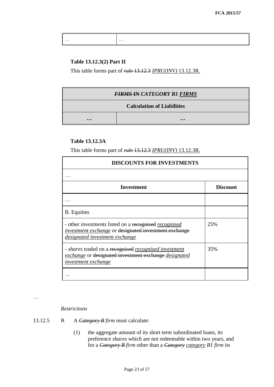| $\cdots$ | $\cdots$ |
|----------|----------|
|          |          |

### **Table 13.12.3(2) Part II**

This table forms part of *rule* 13.12.3 *IPRU(INV)* 13.12.3R.

| <b>FIRMS IN CATEGORY B1 FIRMS</b> |                         |  |
|-----------------------------------|-------------------------|--|
| <b>Calculation of Liabilities</b> |                         |  |
| $\bullet\bullet\bullet$           | $\bullet\bullet\bullet$ |  |

# **Table 13.12.3A**

This table forms part of *rule* 13.12.3 *IPRU(INV)* 13.12.3R.

| <b>DISCOUNTS FOR INVESTMENTS</b>                                                                                                                               |                 |  |  |
|----------------------------------------------------------------------------------------------------------------------------------------------------------------|-----------------|--|--|
|                                                                                                                                                                |                 |  |  |
| Investment                                                                                                                                                     | <b>Discount</b> |  |  |
|                                                                                                                                                                |                 |  |  |
| <b>B.</b> Equities                                                                                                                                             |                 |  |  |
| - other <i>investments</i> listed on a recognised <i>recognised</i><br>investment exchange or designated investment exchange<br>designated investment exchange | 25%             |  |  |
| - shares traded on a recognised recognised investment<br>exchange or designated investment exchange designated<br><i>investment exchange</i>                   | 35%             |  |  |
|                                                                                                                                                                |                 |  |  |

…

*Restrictions*

- 13.12.5 R A *Category B firm* must calculate:
	- (1) the aggregate amount of its short term subordinated loans, its preference *shares* which are not redeemable within two years, and for a *Category B firm* other than a *Category category B1 firm* its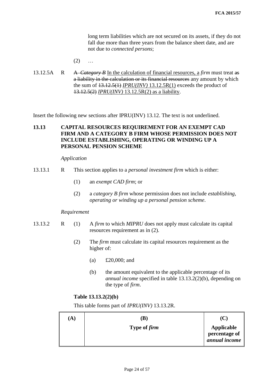long term liabilities which are not secured on its assets, if they do not fall due more than three years from the balance sheet date, and are not due to *connected persons*;

- $(2)$  ...
- 13.12.5A R A *Category B* In the calculation of financial resources, a *firm* must treat as a liability in the calculation or its financial resources any amount by which the sum of  $\frac{13.12.5(1)}{IPRU(INV)}$  13.12.5R(1) exceeds the product of 13.12.5(2) *IPRU(INV)* 13.12.5R(2) as a liability.

Insert the following new sections after IPRU(INV) 13.12. The text is not underlined.

# **13.13 CAPITAL RESOURCES REQUIREMENT FOR AN EXEMPT CAD FIRM AND A CATEGORY B FIRM WHOSE PERMISSION DOES NOT INCLUDE ESTABLISHING, OPERATING OR WINDING UP A PERSONAL PENSION SCHEME**

#### *Application*

- 13.13.1 R This section applies to a *personal investment firm* which is either:
	- (1) an *exempt CAD firm*; or
	- (2) a *category B firm* whose permission does not include *establishing, operating or winding up a personal pension scheme*.

#### *Requirement*

- 13.13.2 R (1) A *firm* to which *MIPRU* does not apply must calculate its capital resources requirement as in (2).
	- (2) The *firm* must calculate its capital resources requirement as the higher of:
		- (a) £20,000; and
		- (b) the amount equivalent to the applicable percentage of its *annual income* specified in table 13.13.2(2)(b), depending on the type of *firm*.

### **Table 13.13.2(2)(b)**

This table forms part of *IPRU(INV)* 13.13.2R.

| $\bf(A)$ | $\bf (B)$           |                                                     |
|----------|---------------------|-----------------------------------------------------|
|          | Type of <i>firm</i> | Applicable<br>percentage of<br><i>annual income</i> |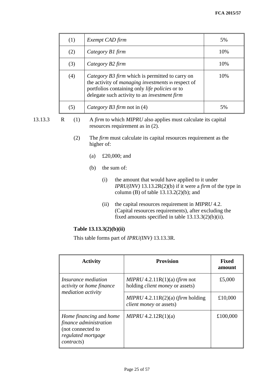| (1) | Exempt CAD firm                                                                                                                                                                                                | 5%  |
|-----|----------------------------------------------------------------------------------------------------------------------------------------------------------------------------------------------------------------|-----|
| (2) | Category B1 firm                                                                                                                                                                                               | 10% |
| (3) | Category B2 firm                                                                                                                                                                                               | 10% |
| (4) | Category B3 firm which is permitted to carry on<br>the activity of managing investments in respect of<br>portfolios containing only life policies or to<br>delegate such activity to an <i>investment firm</i> | 10% |
| (5) | Category B3 firm not in (4)                                                                                                                                                                                    | 5%  |

13.13.3 R (1) A *firm* to which *MIPRU* also applies must calculate its capital resources requirement as in (2).

- (2) The *firm* must calculate its capital resources requirement as the higher of:
	- (a) £20,000; and
	- (b) the sum of:
		- (i) the amount that would have applied to it under *IPRU(INV)* 13.13.2R(2)(b) if it were a *firm* of the type in column (B) of table  $13.13.2(2)(b)$ ; and
		- (ii) the capital resources requirement in *MIPRU* 4.2. (Capital resources requirements), after excluding the fixed amounts specified in table 13.13.3(2)(b)(ii).

# **Table 13.13.3(2)(b)(ii)**

This table forms part of *IPRU(INV)* 13.13.3R.

| <b>Activity</b>                                                                                                    | <b>Provision</b>                                                          | <b>Fixed</b><br>amount |
|--------------------------------------------------------------------------------------------------------------------|---------------------------------------------------------------------------|------------------------|
| <i>Insurance mediation</i><br><i>activity</i> or <i>home finance</i>                                               | $MIPRU 4.2.11R(1)(a)$ (firm not<br>holding <i>client money</i> or assets) | £5,000                 |
| mediation activity                                                                                                 | $MIPRU 4.2.11R(2)(a)$ (firm holding<br><i>client money</i> or assets)     | £10,000                |
| Home financing and home<br>finance administration<br>(not connected to<br>regulated mortgage<br><i>contracts</i> ) | MIPRU 4.2.12R(1)(a)                                                       | £100,000               |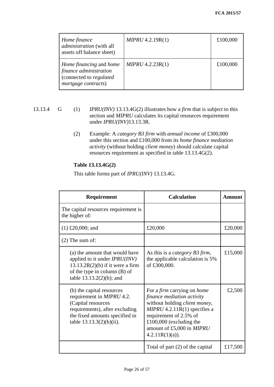| $\parallel$ Home finance<br>administration (with all<br>assets off balance sheet)                         | MIPRU 4.2.19R(1) | £100,000 |
|-----------------------------------------------------------------------------------------------------------|------------------|----------|
| <i>Home financing and home</i><br>finance administration<br>connected to regulated<br>mortgage contracts) | MIPRU 4.2.23R(1) | £100,000 |

- 13.13.4 G (1) *IPRU(INV)* 13.13.4G(2) illustrates how a *firm* that is subject to this section and *MIPRU* calculates its capital resources requirement under *IPRU(INV)*13.13.3R.
	- (2) Example: A *category B3 firm* with *annual income* of £300,000 under this section and £100,000 from its *home finance mediation activity* (without holding *client money*) should calculate capital resources requirement as specified in table 13.13.4G(2).

# **Table 13.13.4G(2)**

This table forms part of *IPRU(INV)* 13.13.4G.

| Requirement                                                                                                                                                                            | <b>Calculation</b>                                                                                                                                                                                                                                        | Amount  |
|----------------------------------------------------------------------------------------------------------------------------------------------------------------------------------------|-----------------------------------------------------------------------------------------------------------------------------------------------------------------------------------------------------------------------------------------------------------|---------|
| The capital resources requirement is<br>the higher of:                                                                                                                                 |                                                                                                                                                                                                                                                           |         |
| $(1)$ £20,000; and                                                                                                                                                                     | £20,000                                                                                                                                                                                                                                                   | £20,000 |
| $(2)$ The sum of:                                                                                                                                                                      |                                                                                                                                                                                                                                                           |         |
| (a) the amount that would have<br>applied to it under <i>IPRU(INV)</i><br>$13.13.2R(2)(b)$ if it were a firm<br>of the type in column $(B)$ of<br>table 13.13.2(2)(b); and             | As this is a <i>category B3 firm</i> ,<br>the applicable calculation is 5%<br>of £300,000.                                                                                                                                                                | £15,000 |
| (b) the capital resources<br>requirement in <i>MIPRU</i> 4.2.<br>(Capital resources<br>requirements), after excluding<br>the fixed amounts specified in<br>table $13.13.3(2)(b)(ii)$ . | For a <i>firm</i> carrying on <i>home</i><br>finance mediation activity<br>without holding <i>client money</i> ,<br>$MIPRU$ 4.2.11R(1) specifies a<br>requirement of 2.5% of<br>£100,000 (excluding the<br>amount of £5,000 in MIPRU<br>$4.2.11R(1)(a)$ . | £2,500  |
|                                                                                                                                                                                        | Total of part (2) of the capital                                                                                                                                                                                                                          | £17,500 |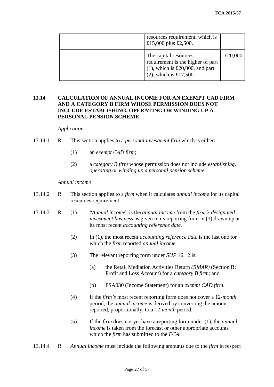| resources requirement, which is<br>£15,000 plus £2,500.                                                                       |         |
|-------------------------------------------------------------------------------------------------------------------------------|---------|
| The capital resources<br>requirement is the higher of part<br>$(1)$ , which is £20,000, and part<br>$(2)$ , which is £17,500. | £20,000 |

# **13.14 CALCULATION OF ANNUAL INCOME FOR AN EXEMPT CAD FIRM AND A CATEGORY B FIRM WHOSE PERMISSION DOES NOT INCLUDE ESTABLISHING, OPERATING OR WINDING UP A PERSONAL PENSION SCHEME**

#### *Application*

- 13.14.1 R This section applies to a *personal investment firm* which is either:
	- (1) an *exempt CAD firm*;
	- (2) a *category B firm* whose permission does not include *establishing, operating or winding up a personal pension scheme*.

#### *Annual income*

- 13.14.2 R This section applies to a *firm* when it calculates *annual income* for its capital resources requirement.
- 13.14.3 R (1) "*Annual income*" is the *annual income* from the *firm's designated investment business* as given in its reporting form in (3) drawn up at its most recent *accounting reference date.*
	- (2) In (1), the most recent *accounting reference date* is the last one for which the *firm* reported *annual income*.
	- (3) The relevant reporting form under *SUP* 16.12 is:
		- (a) the Retail Mediation Activities Return *(RMAR)* (Section B: Profit and Loss Account) for a *category B firm*; and
		- (b) FSA030 (Income Statement) for an *exempt CAD firm*.
	- (4) If the *firm's* most recent reporting form does not cover a 12-*month* period, the *annual income* is derived by converting the amount reported, proportionally, to a 12-*month* period.
	- (5) If the *firm* does not yet have a reporting form under (1), the *annual income* is taken from the forecast or other appropriate accounts which the *firm* has submitted to the *FCA*.
- 13.14.4 R *Annual income* must include the following amounts due to the *firm* in respect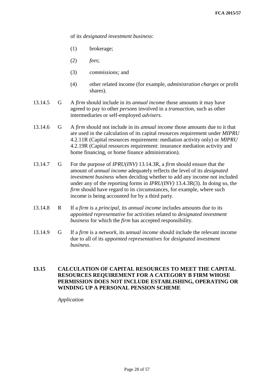of its *designated investment business*:

- (1) brokerage;
- (2) *fees*;
- (3) *commissions;* and
- (4) other related income (for example, *administration charges* or profit shares).
- 13.14.5 G A *firm* should include in its *annual income* those amounts it may have agreed to pay to other *persons* involved in a *transaction*, such as other intermediaries or self-employed *advisers.*
- 13.14.6 G A *firm* should not include in its *annual income* those amounts due to it that are used in the calculation of its capital resources requirement under *MIPRU* 4.2.11R (Capital resources requirement: mediation activity only) or *MIPRU* 4.2.19R (Capital resources requirement: insurance mediation activity and home financing, or home finance administration).
- 13.14.7 G For the purpose of *IPRU(INV)* 13.14.3R, a *firm* should ensure that the amount of *annual income* adequately reflects the level of its *designated investment business* when deciding whether to add any income not included under any of the reporting forms in *IPRU(INV)* 13.4.3R(3). In doing so, the *firm* should have regard to its circumstances, for example, where such income is being accounted for by a third party.
- 13.14.8 R If a *firm* is a *principal*, its *annual income* includes amounts due to its *appointed representative* for activities related to *designated investment business* for which the *firm* has accepted responsibility.
- 13.14.9 G If a *firm* is a *network*, its a*nnual income* should include the relevant income due to all of its *appointed representatives* for *designated investment business*.

# **13.15 CALCULATION OF CAPITAL RESOURCES TO MEET THE CAPITAL RESOURCES REQUIREMENT FOR A CATEGORY B FIRM WHOSE PERMISSION DOES NOT INCLUDE ESTABLISHING, OPERATING OR WINDING UP A PERSONAL PENSION SCHEME**

*Application*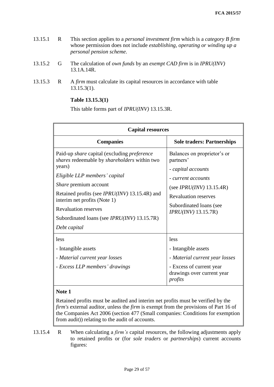- 13.15.1 R This section applies to a *personal investment firm* which is a *category B firm* whose permission does not include *establishing, operating or winding up a personal pension scheme.*
- 13.15.2 G The calculation of *own funds* by an *exempt CAD firm* is in *IPRU(INV)* 13.1A.14R.
- 13.15.3 R A *firm* must calculate its capital resources in accordance with table 13.15.3(1).

### **Table 13.15.3(1)**

This table forms part of *IPRU(INV)* 13.15.3R.

| <b>Capital resources</b>                                                                                                                                                                                                                                                                                                                                                          |                                                                                                                                                                                                               |  |  |  |  |  |
|-----------------------------------------------------------------------------------------------------------------------------------------------------------------------------------------------------------------------------------------------------------------------------------------------------------------------------------------------------------------------------------|---------------------------------------------------------------------------------------------------------------------------------------------------------------------------------------------------------------|--|--|--|--|--|
| <b>Companies</b>                                                                                                                                                                                                                                                                                                                                                                  | <b>Sole traders: Partnerships</b>                                                                                                                                                                             |  |  |  |  |  |
| Paid-up <i>share</i> capital (excluding <i>preference</i><br>shares redeemable by shareholders within two<br>years)<br>Eligible LLP members' capital<br><i>Share</i> premium account<br>Retained profits (see <i>IPRU(INV)</i> 13.15.4R) and<br>interim net profits (Note 1)<br><b>Revaluation reserves</b><br>Subordinated loans (see <i>IPRU(INV)</i> 13.15.7R)<br>Debt capital | Balances on proprietor's or<br>partners'<br>- capital accounts<br>- current accounts<br>(see <i>IPRU(INV)</i> $13.15.4R$ )<br><b>Revaluation reserves</b><br>Subordinated loans (see<br>$IPRU(INV)$ 13.15.7R) |  |  |  |  |  |
| less<br>- Intangible assets<br>- Material current year losses<br>- Excess LLP members' drawings                                                                                                                                                                                                                                                                                   | less<br>- Intangible assets<br>- Material current year losses<br>- Excess of current year<br>drawings over current year<br>profits                                                                            |  |  |  |  |  |

## **Note 1**

Retained profits must be audited and interim net profits must be verified by the *firm's* external auditor, unless the *firm* is exempt from the provisions of Part 16 of the Companies Act 2006 (section 477 (Small companies: Conditions for exemption from audit)) relating to the audit of accounts.

13.15.4 R When calculating a *firm's* capital resources*,* the following adjustments apply to retained profits or (for *sole traders* or *partnerships*) current accounts figures: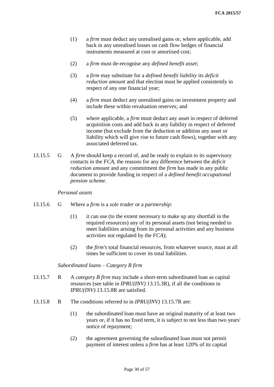- (1) a *firm* must deduct any unrealised gains or, where applicable, add back in any unrealised losses on cash flow hedges of financial instruments measured at cost or amortised cost;
- (2) a *firm* must de-recognise any *defined benefit asset*;
- (3) a *firm* may substitute for a *defined benefit liability* its *deficit reduction amount* and that election must be applied consistently in respect of any one financial year;
- (4) a *firm* must deduct any unrealised gains on investment property and include these within revaluation reserves; and
- (5) where applicable, a *firm* must deduct any asset in respect of deferred acquisition costs and add back in any liability in respect of deferred income (but exclude from the deduction or addition any asset or liability which will give rise to future cash flows), together with any associated deferred tax.
- 13.15.5 G A *firm* should keep a record of, and be ready to explain to its supervisory contacts in the *FCA*, the reasons for any difference between the *deficit reduction amount* and any commitment the *firm* has made in any public document to provide funding in respect of a *defined benefit occupational pension scheme*.

#### *Personal assets*

- 13.15.6 G Where a *firm* is a *sole trader* or a *partnership*:
	- (1) it can use (to the extent necessary to make up any shortfall in the required resources) any of its personal assets (not being needed to meet liabilities arising from its personal activities and any business activities not regulated by the *FCA*);
	- (2) the *firm's* total financial resources, from whatever source, must at all times be sufficient to cover its total liabilities.

*Subordinated loans – Category B firm*

- 13.15.7 R A *category B firm* may include a short-term subordinated loan as capital resources (see table in *IPRU(INV)* 13.15.3R), if all the conditions in *IPRU(INV)* 13.15.8R are satisfied.
- 13.15.8 R The conditions referred to in *IPRU(INV)* 13.15.7R are:
	- (1) the subordinated loan must have an original maturity of at least two years or, if it has no fixed term, it is subject to not less than two years' notice of repayment;
	- (2) the agreement governing the subordinated loan must not permit payment of interest unless a *firm* has at least 120% of its capital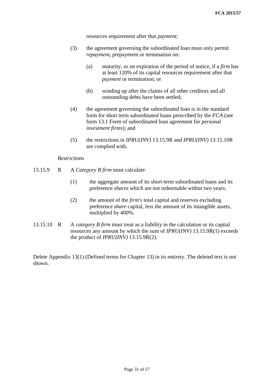resources requirement after that *payment*;

- (3) the agreement governing the subordinated loan must only permit *repayment***,** prepayment or termination on:
	- (a) maturity, or on expiration of the period of notice, if a *firm* has at least 120% of its capital resources requirement after that *payment* or termination; or
	- (b) winding up after the claims of all other creditors and all outstanding debts have been settled;
- (4) the agreement governing the subordinated loan is in the standard form for short term subordinated loans prescribed by the *FCA* (see form 13.1 Form of subordinated loan agreement for *personal investment firms*); and
- (5) the restrictions in *IPRU(INV)* 13.15.9R and *IPRU(INV)* 13.15.10R are complied with.

#### *Restrictions*

- 13.15.9 R A *Category B firm* must calculate:
	- (1) the aggregate amount of its short-term subordinated loans and its preference *shares* which are not redeemable within two years;
	- (2) the amount of the *firm's* total capital and reserves excluding preference *share* capital, less the amount of its intangible assets, multiplied by 400%.
- 13.15.10 R A *category B firm* must treat as a liability in the calculation or its capital resources any amount by which the sum of *IPRU(INV)* 13.15.9R(1) exceeds the product of *IPRU(INV)* 13.15.9R(2).

Delete Appendix 13(1) (Defined terms for Chapter 13) in its entirety. The deleted text is not shown.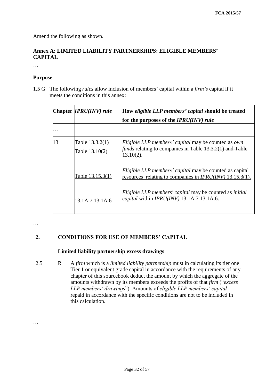Amend the following as shown.

# **Annex A: LIMITED LIABILITY PARTNERSHIPS: ELIGIBLE MEMBERS' CAPITAL**

…

### **Purpose**

1.5 G The following *rules* allow inclusion of members' capital within a *firm's* capital if it meets the conditions in this annex:

|    | Chapter <i>IPRU(INV)</i> rule       | How eligible LLP members' capital should be treated<br>for the purposes of the IPRU(INV) rule                                          |  |  |  |
|----|-------------------------------------|----------------------------------------------------------------------------------------------------------------------------------------|--|--|--|
|    |                                     |                                                                                                                                        |  |  |  |
| 13 | Table 13.3.2(1)<br>Table $13.10(2)$ | Eligible LLP members' capital may be counted as own<br><i>funds</i> relating to companies in Table 13.3.2(1) and Table<br>$13.10(2)$ . |  |  |  |
|    | Table 13.15.3(1)                    | Eligible LLP members' capital may be counted as capital<br>resources relating to companies in <i>IPRU(INV)</i> 13.15.3(1).             |  |  |  |
|    | 13.1A.7 13.1A.6                     | Eligible LLP members' capital may be counted as initial<br><i>capital</i> within <i>IPRU(INV)</i> 13.1A.7 13.1A.6.                     |  |  |  |

…

# **2. CONDITIONS FOR USE OF MEMBERS' CAPITAL**

# **Limited liability partnership excess drawings**

2.5 R A *firm* which is a *limited liability partnership* must in calculating its tier one Tier 1 or equivalent grade capital in accordance with the requirements of any chapter of this sourcebook deduct the amount by which the aggregate of the amounts withdrawn by its members exceeds the profits of that *firm* ("*excess LLP members' drawings*"). Amounts of *eligible LLP members' capital*  repaid in accordance with the specific conditions are not to be included in this calculation.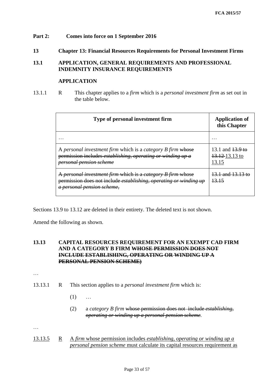# **Part 2: Comes into force on 1 September 2016**

### **13 Chapter 13: Financial Resources Requirements for Personal Investment Firms**

# **13.1 APPLICATION, GENERAL REQUIREMENTS AND PROFESSIONAL INDEMNITY INSURANCE REQUIREMENTS**

#### **APPLICATION**

13.1.1 R This chapter applies to a *firm* which is a *personal investment firm* as set out in the table below.

| Type of personal investment firm                                                                                                                                          | <b>Application of</b><br>this Chapter       |  |  |
|---------------------------------------------------------------------------------------------------------------------------------------------------------------------------|---------------------------------------------|--|--|
|                                                                                                                                                                           |                                             |  |  |
| A personal investment firm which is a category B firm whose<br>permission includes establishing, operating or winding up a<br><del>personal pension scheme</del>          | 13.1 and 13.9 to<br>13.12.13.13 to<br>13.15 |  |  |
| A personal investment firm which is a category B firm whose<br>permission does not include establishing, operating or winding up<br><del>a personal pension scheme.</del> | 13.1 and 13.13<br>13,15                     |  |  |

Sections 13.9 to 13.12 are deleted in their entirety. The deleted text is not shown.

Amend the following as shown.

# **13.13 CAPITAL RESOURCES REQUIREMENT FOR AN EXEMPT CAD FIRM AND A CATEGORY B FIRM WHOSE PERMISSION DOES NOT INCLUDE ESTABLISHING, OPERATING OR WINDING UP A PERSONAL PENSION SCHEME)**

…

- 13.13.1 R This section applies to a *personal investment firm* which is:
	- $(1)$  ...
	- (2) a *category B firm* whose permission does not include *establishing, operating or winding up a personal pension scheme.*

…

13.13.5 R A *firm* whose permission includes *establishing, operating or winding up a personal pension scheme* must calculate its capital resources requirement as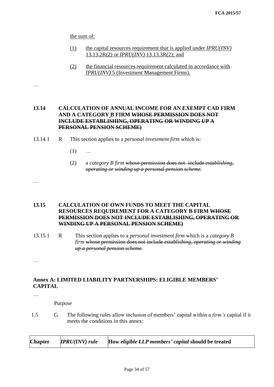the sum of:

- (1) the capital resources requirement that is applied under *IPRU(INV)* 13.13.2R(2) or *IPRU(INV)* 13.13.3R(2); and
- (2) the financial resources requirement calculated in accordance with *IPRU(INV)* 5 (Investment Management Firms).

# **13.14 CALCULATION OF ANNUAL INCOME FOR AN EXEMPT CAD FIRM AND A CATEGORY B FIRM WHOSE PERMISSION DOES NOT INCLUDE ESTABLISHING, OPERATING OR WINDING UP A PERSONAL PENSION SCHEME)**

- 13.14.1 R This section applies to a *personal investment firm* which is:
	- $(1)$  ...
	- (2) a *category B firm* whose permission does not include *establishing, operating or winding up a personal pension scheme.*

#### …

…

# **13.15 CALCULATION OF OWN FUNDS TO MEET THE CAPITAL RESOURCES REQUIREMENT FOR A CATEGORY B FIRM WHOSE PERMISSION DOES NOT INCLUDE ESTABLISHING, OPERATING OR WINDING UP A PERSONAL PENSION SCHEME)**

13.15.1 R This section applies to a *personal investment firm* which is a *category B firm* whose permission does not include *establishing, operating or winding up a personal pension scheme.*

…

# **Annex A: LIMITED LIABILITY PARTNERSHIPS: ELIGIBLE MEMBERS' CAPITAL**

…

Purpose

1.5 G The following *rules* allow inclusion of members' capital within a *firm's* capital if it meets the conditions in this annex:

| $IPRU(INV)$ rule<br><b>Chapter</b> | How eligible LLP members' capital should be treated |  |
|------------------------------------|-----------------------------------------------------|--|
|------------------------------------|-----------------------------------------------------|--|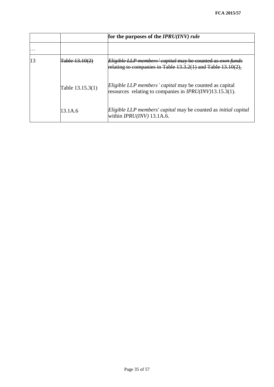|    |                  | for the purposes of the $IPRU(INV)$ rule                                                                                       |
|----|------------------|--------------------------------------------------------------------------------------------------------------------------------|
|    |                  |                                                                                                                                |
| 13 | Table 13 10      | Eligible LLP members' capital may be counted as own funds<br>relating to companies in Table $13.3.2(1)$ and Table $13.10(2)$ . |
|    | Table 13.15.3(1) | <i>Eligible LLP members' capital</i> may be counted as capital<br>resources relating to companies in $IPRU(INV)13.15.3(1)$ .   |
|    | 13.1A.6          | Eligible LLP members' capital may be counted as initial capital<br>within $IPRU(INV)$ 13.1A.6.                                 |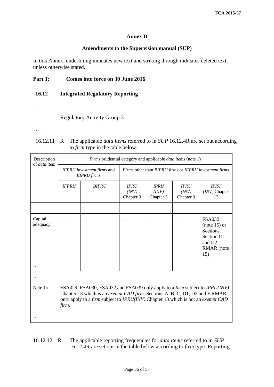### **Annex D**

### **Amendments to the Supervision manual (SUP)**

In this Annex, underlining indicates new text and striking through indicates deleted text, unless otherwise stated.

# **Part 1: Comes into force on 30 June 2016**

# **16.12 Integrated Regulatory Reporting**

…

Regulatory Activity Group 3

…

|  | 16.12.11 R The applicable <i>data items</i> referred to in <i>SUP</i> 16.12.4R are set out according |
|--|------------------------------------------------------------------------------------------------------|
|  | to <i>firm</i> type in the table below:                                                              |

| Description<br>of data item |                                                                                                                                                                                                                                                                   | Firms prudential category and applicable <i>data items</i> (note 1) |                                                        |                                   |                                   |                                                                                                   |  |  |  |
|-----------------------------|-------------------------------------------------------------------------------------------------------------------------------------------------------------------------------------------------------------------------------------------------------------------|---------------------------------------------------------------------|--------------------------------------------------------|-----------------------------------|-----------------------------------|---------------------------------------------------------------------------------------------------|--|--|--|
|                             |                                                                                                                                                                                                                                                                   | IFPRU investment firms and<br><b>BIPRU</b> firms                    | Firms other than BIPRU firms or IFPRU investment firms |                                   |                                   |                                                                                                   |  |  |  |
|                             | <b>IFPRU</b>                                                                                                                                                                                                                                                      | <b>BIPRU</b>                                                        | <b>IPRU</b><br>(INV)<br>Chapter 3                      | <b>IPRU</b><br>(INV)<br>Chapter 5 | <b>IPRU</b><br>(INV)<br>Chapter 9 | <b>IPRU</b><br>(INV) Chapter<br>13                                                                |  |  |  |
|                             |                                                                                                                                                                                                                                                                   |                                                                     |                                                        |                                   |                                   |                                                                                                   |  |  |  |
| Capital<br>adequacy         |                                                                                                                                                                                                                                                                   | .                                                                   | .                                                      |                                   |                                   | <b>FSA032</b><br>$(note 15)$ or<br><b>Sections</b><br>Section D1<br>and $D2$<br>RMAR (note<br>15) |  |  |  |
|                             |                                                                                                                                                                                                                                                                   |                                                                     |                                                        |                                   |                                   |                                                                                                   |  |  |  |
|                             |                                                                                                                                                                                                                                                                   |                                                                     |                                                        |                                   |                                   |                                                                                                   |  |  |  |
| Note 15                     | FSA029, FSA030, FSA032 and FSA039 only apply to a firm subject to IPRU(INV)<br>Chapter 13 which is an exempt CAD firm. Sections A, B, C, D1, <del>D2</del> and F RMAR<br>only apply to a firm subject to IPRU(INV) Chapter 13 which is not an exempt CAD<br>firm. |                                                                     |                                                        |                                   |                                   |                                                                                                   |  |  |  |
|                             |                                                                                                                                                                                                                                                                   |                                                                     |                                                        |                                   |                                   |                                                                                                   |  |  |  |

…

16.12.12 R The applicable reporting frequencies for *data items* referred to in *SUP*  16.12.4R are set out in the table below according to *firm* type. Reporting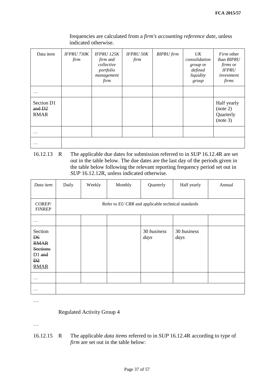| Data item                           | <b>IFPRU 730K</b><br>firm | <b>IFPRU 125K</b><br><i>firm</i> and<br>collective<br>portfolio<br>management<br>firm | <b>IFPRU 50K</b><br>firm | <b>BIPRU</b> firm | UK<br>consolidation<br>group or<br>defined<br>liquidity<br>group | <i>Firm</i> other<br>than BIPRU<br><i>firms</i> or<br><b>IFPRU</b><br>investment<br>firms |
|-------------------------------------|---------------------------|---------------------------------------------------------------------------------------|--------------------------|-------------------|------------------------------------------------------------------|-------------------------------------------------------------------------------------------|
| .                                   |                           |                                                                                       |                          |                   |                                                                  |                                                                                           |
| Section D1<br>and D2<br><b>RMAR</b> |                           |                                                                                       |                          |                   |                                                                  | Half yearly<br>(note 2)<br>Quarterly<br>(note 3)                                          |
| .                                   |                           |                                                                                       |                          |                   |                                                                  |                                                                                           |
| $\ddotsc$                           |                           |                                                                                       |                          |                   |                                                                  |                                                                                           |

frequencies are calculated from a *firm's accounting reference date*, unless indicated otherwise.

16.12.13 R The applicable due dates for submission referred to in *SUP* 16.12.4R are set out in the table below. The due dates are the last day of the periods given in the table below following the relevant reporting frequency period set out in *SUP* 16.12.12R, unless indicated otherwise.

| Data item                                                                                             | Daily | Weekly | Monthly                                            | Quarterly           | Half yearly         | Annual |
|-------------------------------------------------------------------------------------------------------|-------|--------|----------------------------------------------------|---------------------|---------------------|--------|
| COREP/<br><b>FINREP</b>                                                                               |       |        | Refer to EU CRR and applicable technical standards |                     |                     |        |
| .                                                                                                     |       |        |                                                    |                     |                     |        |
| Section<br>D <sub>6</sub><br><b>RMAR</b><br><b>Sections</b><br>D1 and<br>$\mathbf{D}2$<br><b>RMAR</b> |       |        |                                                    | 30 business<br>days | 30 business<br>days |        |
| $\cdots$                                                                                              |       |        |                                                    |                     |                     |        |
| .                                                                                                     |       |        |                                                    |                     |                     |        |

…

Regulated Activity Group 4

…

16.12.15 R The applicable *data items* referred to in *SUP* 16.12.4R according to type of *firm* are set out in the table below: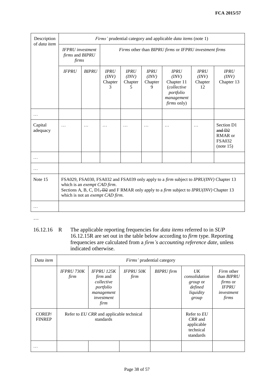| Description<br>of data item | Firms' prudential category and applicable <i>data items</i> (note 1)                                                                                                                                                                                                 |   |                                                                                            |  |  |                                                                                                           |                                       |                                    |  |
|-----------------------------|----------------------------------------------------------------------------------------------------------------------------------------------------------------------------------------------------------------------------------------------------------------------|---|--------------------------------------------------------------------------------------------|--|--|-----------------------------------------------------------------------------------------------------------|---------------------------------------|------------------------------------|--|
|                             | <b>IFPRU</b> investment<br><i>firms</i> and <i>BIPRU</i><br>firms                                                                                                                                                                                                    |   | Firms other than BIPRU firms or IFPRU investment firms                                     |  |  |                                                                                                           |                                       |                                    |  |
|                             | <b>IFPRU</b><br><b>BIPRU</b><br><b>IPRU</b><br><b>IPRU</b><br><b>IPRU</b><br>(INV)<br>(INV)<br>(INV)<br>Chapter<br>Chapter<br>Chapter<br>3<br>5<br>9                                                                                                                 |   |                                                                                            |  |  | <b>IPRU</b><br>(INV)<br>Chapter 11<br><i>(collective</i><br>portfolio<br>management<br><i>firms</i> only) | <b>IPRU</b><br>(INV)<br>Chapter<br>12 | <b>IPRU</b><br>(INV)<br>Chapter 13 |  |
|                             |                                                                                                                                                                                                                                                                      |   |                                                                                            |  |  |                                                                                                           |                                       |                                    |  |
| Capital<br>adequacy         | .                                                                                                                                                                                                                                                                    | . | Section D1<br>.<br>.<br>.<br>.<br>.<br>$and$ $D2$<br>RMAR or<br><b>FSA032</b><br>(note 15) |  |  |                                                                                                           |                                       |                                    |  |
|                             |                                                                                                                                                                                                                                                                      |   |                                                                                            |  |  |                                                                                                           |                                       |                                    |  |
|                             |                                                                                                                                                                                                                                                                      |   |                                                                                            |  |  |                                                                                                           |                                       |                                    |  |
| Note 15                     | FSA029, FSA030, FSA032 and FSA039 only apply to a <i>firm</i> subject to <i>IPRU(INV)</i> Chapter 13<br>which is an exempt CAD firm.<br>Sections A, B, C, D1, D2 and F RMAR only apply to a firm subject to IPRU(INV) Chapter 13<br>which is not an exempt CAD firm. |   |                                                                                            |  |  |                                                                                                           |                                       |                                    |  |
|                             |                                                                                                                                                                                                                                                                      |   |                                                                                            |  |  |                                                                                                           |                                       |                                    |  |

…

16.12.16 R The applicable reporting frequencies for *data items* referred to in *SUP*  16.12.15R are set out in the table below according to *firm* type. Reporting frequencies are calculated from a *firm's accounting reference date*, unless indicated otherwise.

| Data item               | Firms' prudential category                            |                                                                                                     |                          |                   |                                                                  |                                                                                           |  |
|-------------------------|-------------------------------------------------------|-----------------------------------------------------------------------------------------------------|--------------------------|-------------------|------------------------------------------------------------------|-------------------------------------------------------------------------------------------|--|
|                         | <b>IFPRU 730K</b><br>firm                             | <b>IFPRU 125K</b><br><i>firm</i> and<br>collective<br>portfolio<br>management<br>investment<br>firm | <b>IFPRU 50K</b><br>firm | <b>BIPRU</b> firm | UK<br>consolidation<br>group or<br>defined<br>liquidity<br>group | <i>Firm</i> other<br>than BIPRU<br><i>firms</i> or<br><b>IFPRU</b><br>investment<br>firms |  |
| COREP/<br><b>FINREP</b> | Refer to EU CRR and applicable technical<br>standards |                                                                                                     |                          |                   | Refer to EU<br>CRR and<br>applicable<br>technical<br>standards   |                                                                                           |  |
|                         |                                                       |                                                                                                     |                          |                   |                                                                  |                                                                                           |  |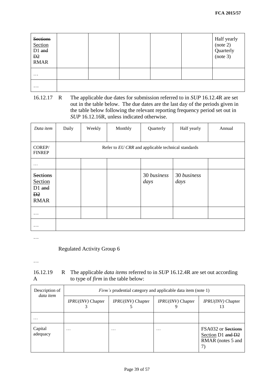| <b>Sections</b><br>Section<br>D1 and<br>D <sub>2</sub><br><b>RMAR</b> |  |  | Half yearly<br>(note 2)<br>Quarterly<br>(note 3) |
|-----------------------------------------------------------------------|--|--|--------------------------------------------------|
| $\cdots$                                                              |  |  |                                                  |
| $\cdots$                                                              |  |  |                                                  |

16.12.17 R The applicable due dates for submission referred to in *SUP* 16.12.4R are set out in the table below. The due dates are the last day of the periods given in the table below following the relevant reporting frequency period set out in *SUP* 16.12.16R, unless indicated otherwise.

| Data item                                                            | Daily                                              | Weekly | Monthly | Quarterly           | Half yearly         | Annual |  |  |
|----------------------------------------------------------------------|----------------------------------------------------|--------|---------|---------------------|---------------------|--------|--|--|
| COREP/<br><b>FINREP</b>                                              | Refer to EU CRR and applicable technical standards |        |         |                     |                     |        |  |  |
| .                                                                    |                                                    |        |         |                     |                     |        |  |  |
| <b>Sections</b><br>Section<br>D1 and<br>$\mathbf{D}2$<br><b>RMAR</b> |                                                    |        |         | 30 business<br>days | 30 business<br>days |        |  |  |
| $\cdots$                                                             |                                                    |        |         |                     |                     |        |  |  |
| $\ddotsc$                                                            |                                                    |        |         |                     |                     |        |  |  |

…

Regulated Activity Group 6

…

| 16.12.19 | R The applicable <i>data items</i> referred to in <i>SUP</i> 16.12.4R are set out according |
|----------|---------------------------------------------------------------------------------------------|
| A        | to type of <i>firm</i> in the table below:                                                  |

| Description of<br>data item | <i>Firm's</i> prudential category and applicable data item (note 1) |                          |                     |                                                                    |  |  |
|-----------------------------|---------------------------------------------------------------------|--------------------------|---------------------|--------------------------------------------------------------------|--|--|
|                             | IPRU(INV) Chapter                                                   | <i>IPRU(INV)</i> Chapter | $IPRU(INV)$ Chapter | IPRU(INV) Chapter<br>13                                            |  |  |
| .                           |                                                                     |                          |                     |                                                                    |  |  |
| Capital<br>adequacy         | $\cdot$                                                             | $\cdot\cdot\cdot$        | $\cdot\cdot\cdot$   | FSA032 or Sections<br>Section D1 and D2<br>RMAR (notes 5 and<br>7) |  |  |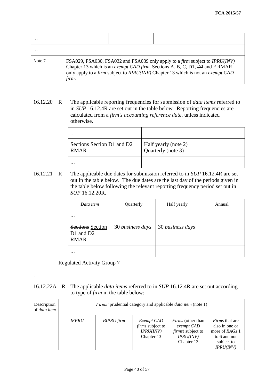| .      |                                                                                                                                                                                                                                                                   |  |  |  |  |  |
|--------|-------------------------------------------------------------------------------------------------------------------------------------------------------------------------------------------------------------------------------------------------------------------|--|--|--|--|--|
| .      |                                                                                                                                                                                                                                                                   |  |  |  |  |  |
| Note 7 | FSA029, FSA030, FSA032 and FSA039 only apply to a firm subject to IPRU(INV)<br>Chapter 13 which is an exempt CAD firm. Sections A, B, C, D1, <del>D2</del> and F RMAR<br>only apply to a firm subject to IPRU(INV) Chapter 13 which is not an exempt CAD<br>firm. |  |  |  |  |  |

16.12.20 R The applicable reporting frequencies for submission of *data items* referred to in *SUP* 16.12.4R are set out in the table below. Reporting frequencies are calculated from a *firm's accounting reference date*, unless indicated otherwise.

| .                                         |                                            |
|-------------------------------------------|--------------------------------------------|
| Sections Section D1 and D2<br><b>RMAR</b> | Half yearly (note 2)<br>Quarterly (note 3) |
| .                                         |                                            |

16.12.21 R The applicable due dates for submission referred to in *SUP* 16.12.4R are set out in the table below. The due dates are the last day of the periods given in the table below following the relevant reporting frequency period set out in *SUP* 16.12.20R.

| Data item                                        | Quarterly        | Half yearly      | Annual |
|--------------------------------------------------|------------------|------------------|--------|
| .                                                |                  |                  |        |
| Sections Section<br>$D1$ and $D2$<br><b>RMAR</b> | 30 business days | 30 business days |        |
| .                                                |                  |                  |        |

Regulated Activity Group 7

…

16.12.22A R The applicable *data items* referred to in *SUP* 16.12.4R are set out according to type of *firm* in the table below:

| Description<br>of data item | <i>Firms'</i> prudential category and applicable <i>data item</i> (note 1) |                   |                                                                  |                                                                                                |                                                                                                                  |  |  |
|-----------------------------|----------------------------------------------------------------------------|-------------------|------------------------------------------------------------------|------------------------------------------------------------------------------------------------|------------------------------------------------------------------------------------------------------------------|--|--|
|                             | <b>IFPRU</b>                                                               | <b>BIPRU</b> firm | Exempt CAD<br><i>firms</i> subject to<br>IPRU(INV)<br>Chapter 13 | <i>Firms</i> (other than<br>exempt CAD<br><i>firms</i> ) subject to<br>IPRU(INV)<br>Chapter 13 | <i>Firms</i> that are<br>also in one or<br>more of RAG <sub>s</sub> 1<br>to 6 and not<br>subject to<br>IPRU(INV) |  |  |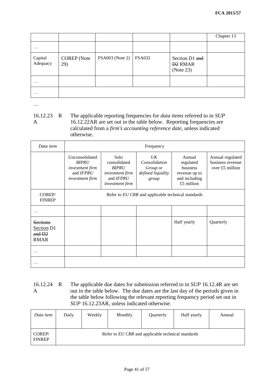|                     |                           |                 |               |                                                          | Chapter 13 |
|---------------------|---------------------------|-----------------|---------------|----------------------------------------------------------|------------|
| $\cdots$            |                           |                 |               |                                                          |            |
| Capital<br>Adequacy | <b>COREP</b> (Note<br>29) | FSA003 (Note 2) | <b>FSA032</b> | Section D1 and<br><b>D<sub>2</sub></b> RMAR<br>(Note 23) |            |
| $\cdot\cdot\cdot$   |                           |                 |               |                                                          |            |
| $\cdots$            |                           |                 |               |                                                          |            |

…

16.12.23 R A R The applicable reporting frequencies for *data items* referred to in *SUP*  16.12.22AR are set out in the table below. Reporting frequencies are calculated from a *firm's accounting reference date*, unless indicated otherwise.

| Data item                                                          | Frequency                                                                         |                                                                                         |                                                               |                                                                                 |                                                         |  |  |
|--------------------------------------------------------------------|-----------------------------------------------------------------------------------|-----------------------------------------------------------------------------------------|---------------------------------------------------------------|---------------------------------------------------------------------------------|---------------------------------------------------------|--|--|
|                                                                    | Unconsolidated<br><b>BIPRU</b><br>investment firm<br>and IFPRU<br>investment firm | Solo<br>consolidated<br><b>BIPRU</b><br>investment firm<br>and IFPRU<br>investment firm | UK<br>Consolidation<br>Group or<br>defined liquidity<br>group | Annual<br>regulated<br>business<br>revenue up to<br>and including<br>£5 million | Annual regulated<br>business revenue<br>over £5 million |  |  |
| COREP/<br><b>FINREP</b>                                            | Refer to EU CRR and applicable technical standards                                |                                                                                         |                                                               |                                                                                 |                                                         |  |  |
|                                                                    |                                                                                   |                                                                                         |                                                               |                                                                                 |                                                         |  |  |
| <b>Sections</b><br>Section D1<br>and D <sub>2</sub><br><b>RMAR</b> |                                                                                   |                                                                                         |                                                               | Half yearly                                                                     | Quarterly                                               |  |  |
|                                                                    |                                                                                   |                                                                                         |                                                               |                                                                                 |                                                         |  |  |
|                                                                    |                                                                                   |                                                                                         |                                                               |                                                                                 |                                                         |  |  |

16.12.24 A The applicable due dates for submission referred to in *SUP* [16.12.4R](http://fsahandbook.info/FSA/html/handbook/SUP/16/12#DES814) are set out in the table below. The due dates are the last day of the periods given in the table below following the relevant reporting frequency period set out in *SUP* [16.12.23AR,](http://fsahandbook.info/FSA/html/handbook/SUP/16/12#DES833) unless indicated otherwise.

| Data item               | Daily                                              | Weekly | Monthly | Quarterly | Half yearly | Annual |  |
|-------------------------|----------------------------------------------------|--------|---------|-----------|-------------|--------|--|
| COREP/<br><b>FINREP</b> | Refer to EU CRR and applicable technical standards |        |         |           |             |        |  |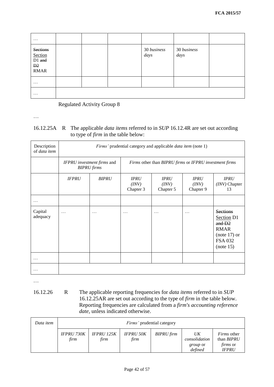| $\cdots$                                                  |  |                     |                     |  |
|-----------------------------------------------------------|--|---------------------|---------------------|--|
| <b>Sections</b><br>Section<br>D1 and<br>D2<br><b>RMAR</b> |  | 30 business<br>days | 30 business<br>days |  |
| $\cdots$                                                  |  |                     |                     |  |
| $\cdots$                                                  |  |                     |                     |  |

Regulated Activity Group 8

…

# 16.12.25A R The applicable *data items* referred to in *SUP* 16.12.4R are set out according to type of *firm* in the table below:

| Description<br>of data item | Firms' prudential category and applicable <i>data item</i> (note 1) |              |                                                        |                                   |                                   |                                                                                                                    |  |
|-----------------------------|---------------------------------------------------------------------|--------------|--------------------------------------------------------|-----------------------------------|-----------------------------------|--------------------------------------------------------------------------------------------------------------------|--|
|                             | IFPRU investment firms and<br><b>BIPRU</b> firms                    |              | Firms other than BIPRU firms or IFPRU investment firms |                                   |                                   |                                                                                                                    |  |
|                             | <b>IFPRU</b>                                                        | <b>BIPRU</b> | <b>IPRU</b><br>(INV)<br>Chapter 3                      | <b>IPRU</b><br>(INV)<br>Chapter 5 | <b>IPRU</b><br>(INV)<br>Chapter 9 | <b>IPRU</b><br>(INV) Chapter<br>13                                                                                 |  |
| .                           |                                                                     |              |                                                        |                                   |                                   |                                                                                                                    |  |
| Capital<br>adequacy         | .                                                                   | .            | $\ddots$                                               | $\ddots$                          | .                                 | <b>Sections</b><br>Section <sub>D1</sub><br>and D2<br><b>RMAR</b><br>$(note 17)$ or<br><b>FSA 032</b><br>(note 15) |  |
|                             |                                                                     |              |                                                        |                                   |                                   |                                                                                                                    |  |
|                             |                                                                     |              |                                                        |                                   |                                   |                                                                                                                    |  |

…

16.12.26 R The applicable reporting frequencies for *data items* referred to in *SUP*  16.12.25AR are set out according to the type of *firm* in the table below. Reporting frequencies are calculated from a *firm's accounting reference date*, unless indicated otherwise.

| Data item | <i>Firms'</i> prudential category |                           |                          |                   |                                                   |                                                                            |  |
|-----------|-----------------------------------|---------------------------|--------------------------|-------------------|---------------------------------------------------|----------------------------------------------------------------------------|--|
|           | <b>IFPRU 730K</b><br>firm         | <b>IFPRU 125K</b><br>firm | <b>IFPRU 50K</b><br>firm | <b>BIPRU</b> firm | UK<br>consolidation<br><i>group</i> or<br>defined | <i>Firms</i> other<br>than <i>BIPRU</i><br><i>firms</i> or<br><b>IFPRU</b> |  |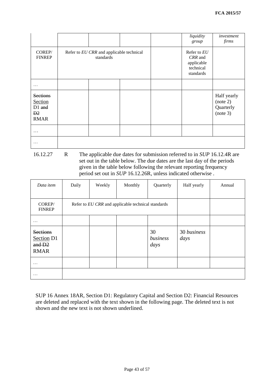|                                                                       |                                                       |  | liquidity<br>group                                             | investment<br>firms                              |
|-----------------------------------------------------------------------|-------------------------------------------------------|--|----------------------------------------------------------------|--------------------------------------------------|
| COREP/<br><b>FINREP</b>                                               | Refer to EU CRR and applicable technical<br>standards |  | Refer to EU<br>CRR and<br>applicable<br>technical<br>standards |                                                  |
| .                                                                     |                                                       |  |                                                                |                                                  |
| <b>Sections</b><br>Section<br>D1 and<br>D <sub>2</sub><br><b>RMAR</b> |                                                       |  |                                                                | Half yearly<br>(note 2)<br>Quarterly<br>(note 3) |
| .                                                                     |                                                       |  |                                                                |                                                  |
| .                                                                     |                                                       |  |                                                                |                                                  |

16.12.27 R The applicable due dates for submission referred to in *SUP* 16.12.4R are set out in the table below. The due dates are the last day of the periods given in the table below following the relevant reporting frequency period set out in *SUP* 16.12.26R, unless indicated otherwise .

| Data item                                              | Daily | Weekly | Monthly                                            | Quarterly              | Half yearly         | Annual |
|--------------------------------------------------------|-------|--------|----------------------------------------------------|------------------------|---------------------|--------|
| COREP/<br><b>FINREP</b>                                |       |        | Refer to EU CRR and applicable technical standards |                        |                     |        |
| .                                                      |       |        |                                                    |                        |                     |        |
| <b>Sections</b><br>Section D1<br>and D2<br><b>RMAR</b> |       |        |                                                    | 30<br>business<br>days | 30 business<br>days |        |
| $\cdots$                                               |       |        |                                                    |                        |                     |        |
| .                                                      |       |        |                                                    |                        |                     |        |

SUP 16 Annex 18AR, Section D1: Regulatory Capital and Section D2: Financial Resources are deleted and replaced with the text shown in the following page. The deleted text is not shown and the new text is not shown underlined.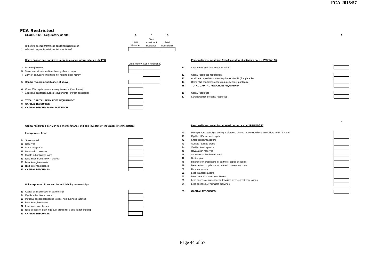| <b>SECTION D1: Regulatory Capital</b>                 |         |            |             |
|-------------------------------------------------------|---------|------------|-------------|
|                                                       |         | Non-       |             |
|                                                       | Home    | investment | Retail      |
| Is the firm exempt from these capital requirements in | Finance | insurance  | investments |
| relation to any of its retail mediation activities?   |         |            |             |

#### **Home finance and non-investment insurance intermediaries - MIPRU Personal investment firm (retail investment activities only) - IPRU(INV) 13**

|                                                                                         | <b>CREATIONS INDI-CREATIONS</b> |    |                                                                                               |
|-----------------------------------------------------------------------------------------|---------------------------------|----|-----------------------------------------------------------------------------------------------|
| 2 Base requirement                                                                      |                                 | 11 | Category of personal investment firm                                                          |
| 3 5% of annual income (firms holding client money)                                      |                                 |    |                                                                                               |
| 4 2.5% of annual income (firms not holding client money)                                |                                 | 12 | Capital resources requirement                                                                 |
|                                                                                         |                                 | 13 | Additional capital resources requirement for PII (if applicable)                              |
| 5 Capital requirement (higher of above)                                                 |                                 | 14 | Other FCA capital resources requirements (if applicable)                                      |
|                                                                                         |                                 | 15 | TOTAL CAPITAL RESOURCES REQUIREMENT                                                           |
| 6 Other FCA capital resources requirements (if applicable)                              |                                 |    |                                                                                               |
| 7 Additional capital resources requirements for PII (if applicable)                     |                                 | 16 | Capital resources                                                                             |
|                                                                                         |                                 | 17 | Surplus/deficit of capital resources                                                          |
| 8 TOTAL CAPITAL RESOURCES REQUIREMENT                                                   |                                 |    |                                                                                               |
| 9 CAPITAL RESOURCES                                                                     |                                 |    |                                                                                               |
| 10 CAPITAL RESOURCES EXCESS/DEFICIT                                                     |                                 |    |                                                                                               |
|                                                                                         |                                 |    |                                                                                               |
|                                                                                         |                                 |    |                                                                                               |
|                                                                                         |                                 |    |                                                                                               |
|                                                                                         |                                 |    |                                                                                               |
| Capital resources per MIPRU4 (home finance and non-investment insurance intermediation) |                                 |    | Personal investment firm - capital resources per IPRU(INV) 13                                 |
| Incorporated firms                                                                      |                                 | 40 | Paid up share capital (excluding preference shares redeemable by shareholders within 2 years) |
|                                                                                         |                                 | 41 | Eligible LLP members' capital                                                                 |
| 24 Share canital                                                                        |                                 | 42 | Share premium account                                                                         |

- **21** Base Category of personal investment firm
- **12** Capital resources requirement
- **13** Additional capital resources requirement for PII (if applicable)
- **14** Other FCA capital resources requirements (if applicable)
- **15 TOTAL CAPITAL RESOURCES REQUIREMENT**
- 
- **17** Surplus/deficit of capital resources



**A**

#### Capital resources per MIPRU 4 (home finance and non-investment insurance intermediation) **Personal investment firm - capital resources per IPRU(INV)** 13

|   | <b>FCA Restricted</b>                                                                    |         |                               |             |      |                                        |
|---|------------------------------------------------------------------------------------------|---------|-------------------------------|-------------|------|----------------------------------------|
|   | <b>SECTION D1: Regulatory Capital</b>                                                    | A       | в                             | c           |      |                                        |
|   |                                                                                          |         | Non-                          |             |      |                                        |
|   |                                                                                          | Home    | investment                    | Retail      |      |                                        |
|   | Is the firm exempt from these capital requirements in                                    | Finance | insurance                     | investments |      |                                        |
|   | 1 relation to any of its retail mediation activities?                                    |         |                               |             |      |                                        |
|   |                                                                                          |         |                               |             |      |                                        |
|   |                                                                                          |         |                               |             |      |                                        |
|   | Home finance and non-investment insurance intermediaries - MIPRU                         |         |                               |             |      | Personal investment firm (retail       |
|   |                                                                                          |         | Client money Non-client money |             |      |                                        |
|   | 2 Base requirement                                                                       |         |                               |             | 11   | Category of personal investment firm   |
|   | 3 5% of annual income (firms holding client money)                                       |         |                               |             |      |                                        |
| 4 | 2.5% of annual income (firms not holding client money)                                   |         |                               |             | $12$ | Capital resources requirement          |
|   |                                                                                          |         |                               |             | 13   | Additional capital resources requirem  |
|   | 5 Capital requirement (higher of above)                                                  |         |                               |             | 14   | Other FCA capital resources requiren   |
|   |                                                                                          |         |                               |             | 15   | TOTAL CAPITAL RESOURCES REQI           |
| 6 | Other FCA capital resources requirements (if applicable)                                 |         |                               |             |      |                                        |
|   | 7 Additional capital resources requirements for PII (if applicable)                      |         |                               |             | 16   | Capital resources                      |
|   |                                                                                          |         |                               |             | 17   | Surplus/deficit of capital resources   |
| 8 | TOTAL CAPITAL RESOURCES REQUIREMENT                                                      |         |                               |             |      |                                        |
| 9 | <b>CAPITAL RESOURCES</b>                                                                 |         |                               |             |      |                                        |
|   | 10 CAPITAL RESOURCES EXCESS/DEFICIT                                                      |         |                               |             |      |                                        |
|   |                                                                                          |         |                               |             |      |                                        |
|   |                                                                                          |         |                               |             |      |                                        |
|   |                                                                                          |         |                               |             |      |                                        |
|   | Capital resources per MIPRU 4 (home finance and non-investment insurance intermediation) |         |                               |             |      | Personal investment firm - capita      |
|   |                                                                                          |         |                               |             |      |                                        |
|   | <b>Incorporated firms</b>                                                                |         |                               |             | 40   | Paid up share capital (excluding prefe |
|   |                                                                                          |         |                               |             | 41   | Eligible LLP members' capital          |
|   | 24 Share capital                                                                         |         |                               |             | 42   | Share premium account                  |
|   | 25 Reserves                                                                              |         |                               |             | 43   | Audited retained profits               |
|   | 26 Interim net profits                                                                   |         |                               |             | 44   | Verified interim profits               |
|   |                                                                                          |         |                               |             | 45   | Revaluation reserves                   |
|   | 27 Revaluation reserves                                                                  |         |                               |             | 46   | Short term subordinated loans          |
|   | 28 Eligible subordinated loans                                                           |         |                               |             | 47   | Debt capital                           |
|   | 29 less Investments in own shares                                                        |         |                               |             |      |                                        |
|   | 30 less Intangible assets                                                                |         |                               |             | 48   | Balances on proprietor's or partners'  |
|   | 31 less interim net losses                                                               |         |                               |             | 49   | Balances on proprietor's or partners'  |
|   | 32 CAPITAL RESOURCES                                                                     |         |                               |             | 50   | Personal assets                        |
|   |                                                                                          |         |                               |             | 51   | Less intangible assets                 |
|   |                                                                                          |         |                               |             | 52   | Less material current year losses      |
|   |                                                                                          |         |                               |             | 53   | Less excess of current year drawing    |
|   | Unincorporated firms and limited liability partnerships                                  |         |                               |             | 54   | Less excess LLP members drawings       |
|   |                                                                                          |         |                               |             |      |                                        |
|   | 33 Capital of a sole trader or partnership                                               |         |                               |             | 55   | <b>CAPITAL RESOURCES</b>               |
|   | 34 Eligible subordinated loans                                                           |         |                               |             |      |                                        |
|   | 35 Personal assets not needed to meet non-business liabilities                           |         |                               |             |      |                                        |
|   | 36 less Intangible assets                                                                |         |                               |             |      |                                        |
|   | 37 less interim net losses                                                               |         |                               |             |      |                                        |
|   | 38 less excess of drawings over profits for a sole trader or p'ship                      |         |                               |             |      |                                        |
|   | 39 CAPITAL RESOURCES                                                                     |         |                               |             |      |                                        |
|   |                                                                                          |         |                               |             |      |                                        |
|   |                                                                                          |         |                               |             |      |                                        |
|   |                                                                                          |         |                               |             |      |                                        |
|   |                                                                                          |         |                               |             |      |                                        |
|   |                                                                                          |         |                               |             |      |                                        |
|   |                                                                                          |         |                               |             |      |                                        |
|   |                                                                                          |         |                               |             |      | Page 44 of 57                          |
|   |                                                                                          |         |                               |             |      |                                        |

# **38** Capital of a sole trader or partnership<br> **33** Capital of a sole trader or partnership<br> **34** Eligible subordinated loans<br> **35** Personal assets not needed to meet non-business liabilities<br> **36** less interimmet losses<br>

- 
- **41** Eligible LLP members' capital
- **42** Share premium account<br>**43** Audited retained profits
- 
- 
- 
- 
- 
- **48 Balances on proprietor's or partners' capital accounts**<br>**49** Balances on proprietor's or partners' current accounts
- **49 balances on proprietor's or partners' current accounts**<br>**50** Personal assets
- 
- **51** Less intangible assets
- **52** Less material current year losses
- **45** Revaluation reserves<br>
Short term subordinated bans<br> **47** Debt capital<br>
Balances on proprietor's or partners' current accounts<br> **49** Balances on proprietor's or partners' current accounts<br>
Personal assets<br> **51** Less in
- 
- **33** Capital of a sole trader or partnership **55 CAPITAL RESOURCES**

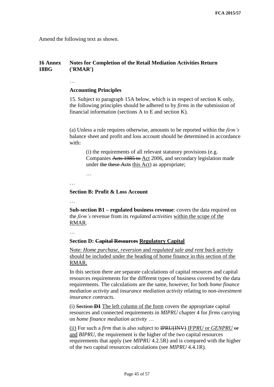Amend the following text as shown.

#### **16 Annex 18BG Notes for Completion of the Retail Mediation Activities Return ('RMAR')**

## **Accounting Principles**

15. Subject to paragraph 15A below, which is in respect of section K only, the following principles should be adhered to by *firms* in the submission of financial information (sections A to E and section K).

(a) Unless a rule requires otherwise, amounts to be reported within the *firm's*  balance sheet and profit and loss account should be determined in accordance with:

(i) the requirements of all relevant statutory provisions (e.g. Companies Acts 1985 to Act 2006, and secondary legislation made under the these Acts this Act) as appropriate;

…

…

## **Section B: Profit & Loss Account**

…

…

**Sub-section B1 – regulated business revenue**: covers the data required on the *firm's* revenue from its *regulated activities* within the scope of the RMAR.

## **Section D: Capital Resources Regulatory Capital**

Note: *Home purchase, reversion* and *regulated sale and rent back activity* should be included under the heading of home finance in this section of the RMAR.

In this section there are separate calculations of capital resources and capital resources requirements for the different types of business covered by the data requirements. The calculations are the same, however, for both *home finance mediation activity* and *insurance mediation activity* relating to *non-investment insurance contracts.*

(i) Section **D1** The left column of the form covers the appropriate capital resources and connected requirements in *MIPRU* chapter 4 for *firms* carrying on *home finance mediation activity* …

(ii) For such a *firm* that is also subject to IPRU(INV) *IFPRU* or *GENPRU* or and *BIPRU*, the requirement is the higher of the two capital resources requirements that apply (see *MIPRU* 4.2.5R) and is compared with the higher of the two capital resources calculations (see *MIPRU* 4.4.1R).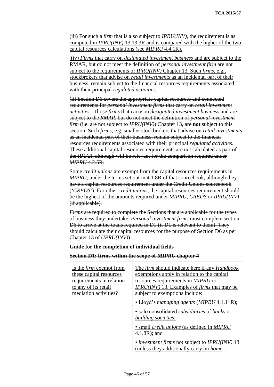(iii) For such a *firm* that is also subject to *IPRU(INV)*, the requirement is as computed in *IPRU(INV)* 13.13.3R and is compared with the higher of the two capital resources calculations (see *MIPRU* 4.4.1R).

(iv) *Firms* that carry on *designated investment business* and are subject to the RMAR, but do not meet the definition of *personal investment firm* are not subject to the requirements of *IPRU(INV)* Chapter 13. Such *firms*, e.g., stockbrokers that advise on *retail investments* as an incidental part of their business, remain subject to the financial resources requirements associated with their principal *regulated activities*.

(ii) Section D6 covers the appropriate capital resources and connected requirements for *personal investment firms* that carry on *retail investment activities*. Those *firms* that carry on *designated investment business* and are subject to the *RMAR*, but do not meet the definition of *personal investment firm* (i.e. are not subject to *IPRU(INV)*) Chapter 13, are **not** subject to this section. Such *firms*, e.g. smaller stockbrokers that advise on *retail investments*  as an incidental part of their business, remain subject to the financial resources requirements associated with their principal *regulated activities.* These additional capital resources requirements are not calculated as part of the *RMAR*, although will be relevant for the comparison required under *MIPRU* 4.2.5R.

Some *credit unions* are exempt from the capital resources requirements in *MIPRU,* under the terms set out in 4.1.8R of that sourcebook, although they have a capital resources requirement under the Credit Unions sourcebook ('*CREDS*'). For other *credit unions*, the capital resources requirement should be the highest of the amounts required under *MIPRU*, *CREDS* or *IPRU(INV)*  (if applicable)*.*

*Firms* are required to complete the Sections that are applicable for the types of business they undertake. *Personal investment firms* must complete section D6 to arrive at the totals required in D1 (if D1 is relevant to them). They should calculate their capital resources for the purpose of Section D6 as per Chapter 13 of (*IPRU(INV)*).

## **Guide for the completion of individual fields**

## **Section D1: firms within the scope of** *MIPRU* **chapter 4**

| Is the <i>firm</i> exempt from<br>these capital resources<br>requirements in relation<br>to any of its retail<br>mediation activities? | The firm should indicate here if any <i>Handbook</i><br>exemptions apply in relation to the capital<br>resources requirements in MIPRU or<br><b>IPRU(INV)</b> 13. Examples of <i>firms</i> that may be<br>subject to exemptions include: |
|----------------------------------------------------------------------------------------------------------------------------------------|------------------------------------------------------------------------------------------------------------------------------------------------------------------------------------------------------------------------------------------|
|                                                                                                                                        | • Lloyd's managing agents (MIPRU 4.1.11R);<br>• solo consolidated <i>subsidiaries</i> of <i>banks</i> or<br>building societies;                                                                                                          |
|                                                                                                                                        | • small <i>credit unions</i> (as defined in <i>MIPRU</i><br>$4.1.8R$ ; and                                                                                                                                                               |
|                                                                                                                                        | • <i>investment firms</i> not subject to <i>IPRU(INV)</i> 13<br>(unless they additionally carry on <i>home</i> )                                                                                                                         |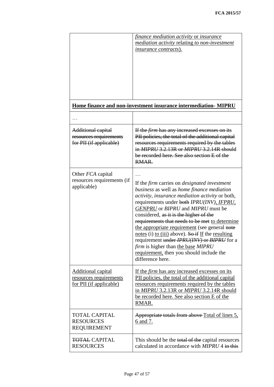|                                                                                       | finance mediation activity or insurance<br><i>mediation activity relating to non-investment</i><br><u>insurance contracts).</u>                                                                                                                                                                                                                                                                                                                                                                                                                                                                                   |
|---------------------------------------------------------------------------------------|-------------------------------------------------------------------------------------------------------------------------------------------------------------------------------------------------------------------------------------------------------------------------------------------------------------------------------------------------------------------------------------------------------------------------------------------------------------------------------------------------------------------------------------------------------------------------------------------------------------------|
|                                                                                       | Home finance and non-investment insurance intermediation-MIPRU                                                                                                                                                                                                                                                                                                                                                                                                                                                                                                                                                    |
| Additional capital<br>resources requirements<br>for PII (if applicable)               | If the <i>firm</i> has any increased excesses on its<br>PII policies, the total of the additional capital<br>resources requirements required by the tables<br>in MIPRU 3.2.13R or MIPRU 3.2.14R should<br>be recorded here. See also section E of the<br>RMAR.                                                                                                                                                                                                                                                                                                                                                    |
| Other <i>FCA</i> capital<br>resources requirements (if<br>applicable)                 | If the <i>firm</i> carries on <i>designated investment</i><br>business as well as home finance mediation<br>activity, insurance mediation activity or both,<br>requirements under both IPRU(INV), IFPRU,<br>GENPRU or BIPRU and MIPRU must be<br>considered, as it is the higher of the<br>requirements that needs to be met to determine<br>the appropriate requirement (see general note<br>notes (i) to (iii) above). So if If the resulting<br>requirement under <i>IPRU(INV)</i> or <i>BIPRU</i> for a<br>firm is higher than the base MIPRU<br>requirement, then you should include the<br>difference here. |
| <b>Additional capital</b><br>resources requirements<br><u>for PII (if applicable)</u> | If the <i>firm</i> has any increased excesses on its<br>PII policies, the total of the additional capital<br><u>resources requirements required by the tables</u><br>in MIPRU 3.2.13R or MIPRU 3.2.14R should<br>be recorded here. See also section E of the<br>RMAR.                                                                                                                                                                                                                                                                                                                                             |
| <b>TOTAL CAPITAL</b><br><b>RESOURCES</b><br><b>REQUIREMENT</b>                        | Appropriate totals from above Total of lines 5,<br>6 and 7.                                                                                                                                                                                                                                                                                                                                                                                                                                                                                                                                                       |
| <b>TOTAL CAPITAL</b><br><b>RESOURCES</b>                                              | This should be the total of the capital resources<br>calculated in accordance with <i>MIPRU</i> 4 in this                                                                                                                                                                                                                                                                                                                                                                                                                                                                                                         |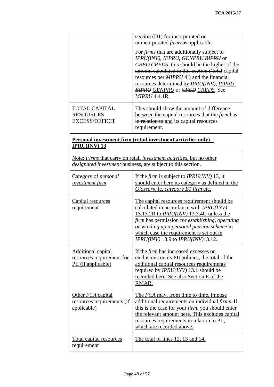|                                                                               | section (D1) for incorporated or<br>unincorporated <i>firms</i> as applicable.                                                                                                                                                                                                                                                                                                                |
|-------------------------------------------------------------------------------|-----------------------------------------------------------------------------------------------------------------------------------------------------------------------------------------------------------------------------------------------------------------------------------------------------------------------------------------------------------------------------------------------|
|                                                                               | For <i>firms</i> that are additionally subject to<br>IPRU(INV), IFPRU, GENPRU BIPRU or<br><b>CRED</b> CREDS, this should be the higher of the<br>amount calculated in this section ('total capital<br>resources per $MIPRU$ 4 <sup>2</sup> ) and the financial<br>resources determined by <i>IPRU(INV)</i> , <i>IFPRU</i> ,<br><b>BIPRU GENPRU</b> or CRED CREDS. See<br><b>MIPRU 4.4.1R.</b> |
| <b>TOTAL CAPITAL</b><br><b>RESOURCES</b><br><b>EXCESS/DEFICIT</b>             | This should show the amount of difference<br>between the capital resources that the <i>firm</i> has<br>in relation to and its capital resources<br>requirement.                                                                                                                                                                                                                               |
| $IPRU(INV)$ 13                                                                | Personal investment firm (retail investment activities only) –                                                                                                                                                                                                                                                                                                                                |
|                                                                               | Note: Firms that carry on retail investment activities, but no other<br><i>designated investment</i> business, are subject to this section.                                                                                                                                                                                                                                                   |
| Category of <i>personal</i><br><i>investment firm</i>                         | If the <i>firm</i> is subject to <i>IPRU(INV)</i> 13, it<br>should enter here its category as defined in the<br><i>Glossary</i> , ie, <i>category B1</i> firm etc.                                                                                                                                                                                                                            |
| Capital resources<br>requirement                                              | The capital resources requirement should be<br>calculated in accordance with IPRU(INV)<br>13.13.2R to $IPRU(INV)$ 13.3.4G unless the<br>firm has permission for establishing, operating<br>or winding up a personal pension scheme in<br>which case the requirement is set out in<br>IPRU(INV) 13.9 to IPRU(INV)13.12.                                                                        |
| <b>Additional capital</b><br>resources requirement for<br>PII (if applicable) | If the <i>firm</i> has increased excesses or<br>exclusions on its PII policies, the total of the<br>additional capital resources requirements<br>required by <i>IPRU(INV)</i> 13.1 should be<br>recorded here. See also Section E of the<br>RMAR.                                                                                                                                             |
| Other FCA capital<br>resources requirements (if<br>applicable)                | The FCA may, from time to time, impose<br>additional requirements on individual firms. If<br>this is the case for your <i>firm</i> , you should enter<br>the relevant amount here. This excludes capital<br>resources requirements in relation to PII,<br>which are recorded above.                                                                                                           |
| <b>Total capital resources</b><br>requirement                                 | The total of lines 12, 13 and 14.                                                                                                                                                                                                                                                                                                                                                             |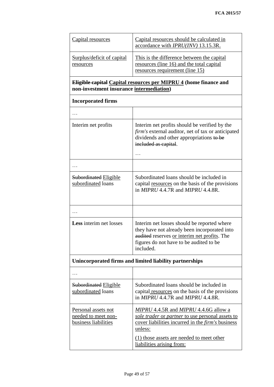| Capital resources                                                                                            | Capital resources should be calculated in<br>accordance with <i>IPRU(INV)</i> 13.15.3R.                                                                                                                                                    |  |  |  |  |  |  |  |
|--------------------------------------------------------------------------------------------------------------|--------------------------------------------------------------------------------------------------------------------------------------------------------------------------------------------------------------------------------------------|--|--|--|--|--|--|--|
| <b>Surplus/deficit of capital</b><br>resources                                                               | This is the difference between the capital<br>resources (line 16) and the total capital<br>resources requirement (line 15)                                                                                                                 |  |  |  |  |  |  |  |
| Eligible capital Capital resources per MIPRU 4 (home finance and<br>non-investment insurance intermediation) |                                                                                                                                                                                                                                            |  |  |  |  |  |  |  |
| <b>Incorporated firms</b>                                                                                    |                                                                                                                                                                                                                                            |  |  |  |  |  |  |  |
|                                                                                                              |                                                                                                                                                                                                                                            |  |  |  |  |  |  |  |
| Interim net profits                                                                                          | Interim net profits should be verified by the<br>firm's external auditor, net of tax or anticipated<br>dividends and other appropriations to be<br>included as capital.                                                                    |  |  |  |  |  |  |  |
|                                                                                                              |                                                                                                                                                                                                                                            |  |  |  |  |  |  |  |
| <b>Subordinated Eligible</b><br>subordinated loans                                                           | Subordinated loans should be included in<br>capital resources on the basis of the provisions<br>in $MIPRU$ 4.4.7R and $MIPRU$ 4.4.8R.                                                                                                      |  |  |  |  |  |  |  |
|                                                                                                              |                                                                                                                                                                                                                                            |  |  |  |  |  |  |  |
| <b>Less</b> interim net losses                                                                               | Interim net losses should be reported where<br>they have not already been incorporated into<br>audited reserves or interim net profits. The<br>figures do not have to be audited to be<br>included.                                        |  |  |  |  |  |  |  |
|                                                                                                              | Unincorporated firms and limited liability partnerships                                                                                                                                                                                    |  |  |  |  |  |  |  |
|                                                                                                              |                                                                                                                                                                                                                                            |  |  |  |  |  |  |  |
| <b>Subordinated Eligible</b><br>subordinated loans                                                           | Subordinated loans should be included in<br>capital resources on the basis of the provisions<br>in $MIPRU$ 4.4.7R and $MIPRU$ 4.4.8R.                                                                                                      |  |  |  |  |  |  |  |
| Personal assets not<br>needed to meet non-<br><b>business liabilities</b>                                    | MIPRU 4.4.5R and MIPRU 4.4.6G allow a<br>sole trader or partner to use personal assets to<br>cover liabilities incurred in the <i>firm's</i> business<br>unless:<br>(1) those assets are needed to meet other<br>liabilities arising from: |  |  |  |  |  |  |  |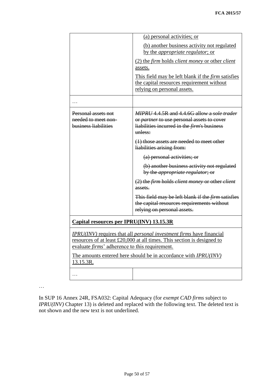|                                                                    | (a) personal activities; or                                                                                                                                   |
|--------------------------------------------------------------------|---------------------------------------------------------------------------------------------------------------------------------------------------------------|
|                                                                    | (b) another business activity not regulated<br>by the <i>appropriate regulator</i> ; or                                                                       |
|                                                                    | (2) the firm holds client money or other client<br>assets.                                                                                                    |
|                                                                    | This field may be left blank if the <i>firm</i> satisfies<br>the capital resources requirement without<br>relying on personal assets.                         |
|                                                                    |                                                                                                                                                               |
| Personal assets not<br>needed to meet non-<br>business liabilities | MIPRU 4.4.5R and 4.4.6G allow a sole trader<br>or partner to use personal assets to cover<br>liabilities incurred in the <i>firm's</i> business<br>$unless:$  |
|                                                                    | $(1)$ those assets are needed to meet other<br>liabilities arising from:                                                                                      |
|                                                                    | (a) personal activities; or                                                                                                                                   |
|                                                                    | (b) another business activity not regulated<br>by the <i>appropriate regulator</i> ; or                                                                       |
|                                                                    | (2) the firm holds client money or other client<br>assets.                                                                                                    |
|                                                                    | This field may be left blank if the <i>firm</i> satisfies<br>the capital resources requirements without<br>relying on personal assets.                        |
| Capital resources per IPRU(INV) 13.15.3R                           |                                                                                                                                                               |
| evaluate <i>firms</i> ' adherence to this requirement.             | <b>IPRU(INV)</b> requires that all <i>personal investment firms</i> have financial<br>resources of at least £20,000 at all times. This section is designed to |
| 13.15.3R.                                                          | The amounts entered here should be in accordance with <i>IPRU(INV)</i>                                                                                        |
| .                                                                  |                                                                                                                                                               |
|                                                                    |                                                                                                                                                               |

 $\dots$ 

In SUP 16 Annex 24R, FSA032: Capital Adequacy (for *exempt CAD firms* subject to *IPRU(INV)* Chapter 13) is deleted and replaced with the following text. The deleted text is not shown and the new text is not underlined.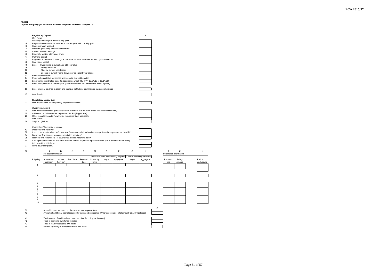**FCA 2015/57**

#### **FSA032**

|          | <b>Regulatory Capital</b> |                                                                                                                              |             |             |         |           |        |                                                                                                                        |        | Α                                                                   |                                          |         |
|----------|---------------------------|------------------------------------------------------------------------------------------------------------------------------|-------------|-------------|---------|-----------|--------|------------------------------------------------------------------------------------------------------------------------|--------|---------------------------------------------------------------------|------------------------------------------|---------|
| 1        | Own Funds                 | Ordinary share capital which is fully paid                                                                                   |             |             |         |           |        |                                                                                                                        |        |                                                                     |                                          |         |
| 5        |                           | Perpetual non-cumulative preference share capital which is fully paid                                                        |             |             |         |           |        |                                                                                                                        |        |                                                                     |                                          |         |
| 3<br>4   |                           | Share premium account<br>Reserves (excluding revaluation reserves)                                                           |             |             |         |           |        |                                                                                                                        |        |                                                                     |                                          |         |
| 45       |                           | Audited retained earnings                                                                                                    |             |             |         |           |        |                                                                                                                        |        |                                                                     |                                          |         |
| 46<br>47 |                           | Externally verified interim net profits                                                                                      |             |             |         |           |        |                                                                                                                        |        |                                                                     |                                          |         |
| 2        | Partners' capital         | Eligible LLP Members' Capital (in accordance with the provisions of IPRU (INV) Annex A)                                      |             |             |         |           |        |                                                                                                                        |        |                                                                     |                                          |         |
| 48       | Sole trader capital       |                                                                                                                              |             |             |         |           |        |                                                                                                                        |        |                                                                     |                                          |         |
| 8<br>9   | Less:                     | Investments in own shares at book value<br>Intangible assets                                                                 |             |             |         |           |        |                                                                                                                        |        |                                                                     |                                          |         |
| 10       |                           | Material current year losses                                                                                                 |             |             |         |           |        |                                                                                                                        |        |                                                                     |                                          |         |
| 12       |                           | Excess of current year's drawings over current year profits                                                                  |             |             |         |           |        |                                                                                                                        |        |                                                                     |                                          |         |
| 13<br>14 | Revaluation reserves      | Perpetual cumulative preference share capital and debt capital                                                               |             |             |         |           |        |                                                                                                                        |        |                                                                     |                                          |         |
| 15       |                           | Long-Term subordinated loans (in accordance with IPRU (INV) 13.1A.18 to 13.1A.20)                                            |             |             |         |           |        |                                                                                                                        |        |                                                                     |                                          |         |
| 16       |                           | Fixed term preference share capital (if not redeemable by shareholders within 5 years)                                       |             |             |         |           |        |                                                                                                                        |        |                                                                     |                                          |         |
| 11       |                           | Less: Material holdings in credit and financial institutions and material insurance holdings                                 |             |             |         |           |        |                                                                                                                        |        |                                                                     |                                          |         |
| 17       | Own Funds                 |                                                                                                                              |             |             |         |           |        |                                                                                                                        |        |                                                                     |                                          |         |
| 23       |                           | Regulatory capital test<br>How do you meet your regulatory capital requirement?                                              |             |             |         |           |        |                                                                                                                        |        |                                                                     |                                          |         |
|          | Capital requirement       |                                                                                                                              |             |             |         |           |        |                                                                                                                        |        |                                                                     |                                          |         |
| 24       |                           | Own funds requirement (will always be a minimum of £20k even if PII / combination indicated)                                 |             |             |         |           |        |                                                                                                                        |        |                                                                     |                                          |         |
| 25       |                           | Additional capital resources requirement for PII (if applicable)                                                             |             |             |         |           |        |                                                                                                                        |        |                                                                     |                                          |         |
| 26<br>27 | Own Funds                 | Other regulatory capital / own funds requirements (if applicable)                                                            |             |             |         |           |        |                                                                                                                        |        |                                                                     |                                          |         |
| 28       | Surplus / (deficit)       |                                                                                                                              |             |             |         |           |        |                                                                                                                        |        |                                                                     |                                          |         |
|          |                           | Professional Indemnity Insurance                                                                                             |             |             |         |           |        |                                                                                                                        |        |                                                                     |                                          |         |
| 49       |                           | Does your firm hold PII?                                                                                                     |             |             |         |           |        |                                                                                                                        |        |                                                                     |                                          |         |
| 32       |                           |                                                                                                                              |             |             |         |           |        | If not, does your firm hold a Comparable Guarantee or is it otherwise exempt from the requirement to hold PII?         |        |                                                                     |                                          |         |
| 34<br>35 |                           | Does your firm conduct insurance mediation activities?<br>Has your firm renewed its PII cover since the last reporting date? |             |             |         |           |        |                                                                                                                        |        |                                                                     |                                          |         |
| 36       |                           |                                                                                                                              |             |             |         |           |        | If your policy excludes all business activities carried on prior to a particular date (i.e. a retroactive start date), |        |                                                                     |                                          |         |
| 37       |                           | then insert the date here.<br>Is the cover compliant?                                                                        |             |             |         |           |        |                                                                                                                        |        |                                                                     |                                          |         |
|          |                           |                                                                                                                              |             |             |         |           |        |                                                                                                                        |        |                                                                     |                                          |         |
| 38       |                           | Α<br>PII Basic information                                                                                                   | в           | $\mathbf C$ | D       | M         | Е      | F                                                                                                                      | G      | н                                                                   | J<br>$\bf K$<br>PII detailed information | L       |
|          |                           |                                                                                                                              |             |             |         |           |        |                                                                                                                        |        | Currency of Limit of indemnity required Limit of indemnity received |                                          |         |
|          | PII policy                | Annualised                                                                                                                   | Insurer     | Start date  | Renewal | indemnity | Single | Aggregate                                                                                                              | Single | Aggregate                                                           | <b>Business</b><br>Policy                | Policy  |
|          | $\overline{1}$            | premium                                                                                                                      | (from list) |             | date    | limits    |        |                                                                                                                        |        |                                                                     | line<br>excess                           | exclusi |
|          |                           |                                                                                                                              |             |             |         |           |        |                                                                                                                        |        |                                                                     |                                          |         |
|          |                           |                                                                                                                              |             |             |         |           |        |                                                                                                                        |        |                                                                     |                                          |         |
|          | $\overline{2}$            |                                                                                                                              |             |             |         |           |        |                                                                                                                        |        |                                                                     |                                          |         |
|          |                           |                                                                                                                              |             |             |         |           |        |                                                                                                                        |        |                                                                     |                                          |         |
|          | 3                         |                                                                                                                              |             |             |         |           |        |                                                                                                                        |        |                                                                     |                                          |         |
|          | 4                         |                                                                                                                              |             |             |         |           |        |                                                                                                                        |        |                                                                     |                                          |         |
|          | 5<br>6                    |                                                                                                                              |             |             |         |           |        |                                                                                                                        |        |                                                                     |                                          |         |
|          | $\overline{7}$            |                                                                                                                              |             |             |         |           |        |                                                                                                                        |        |                                                                     |                                          |         |
|          | 8                         |                                                                                                                              |             |             |         |           |        |                                                                                                                        |        |                                                                     |                                          |         |
|          | 9<br>10                   |                                                                                                                              |             |             |         |           |        |                                                                                                                        |        |                                                                     |                                          |         |
|          |                           |                                                                                                                              |             |             |         |           |        |                                                                                                                        |        |                                                                     |                                          |         |
|          |                           |                                                                                                                              |             |             |         |           |        |                                                                                                                        |        |                                                                     |                                          |         |
| 39<br>40 |                           | Annual income as stated on the most recent proposal form                                                                     |             |             |         |           |        | Amount of additional capital required for increased excess(es) (Where applicable, total amount for all PII policies)   |        |                                                                     |                                          |         |
|          |                           |                                                                                                                              |             |             |         |           |        |                                                                                                                        |        |                                                                     |                                          |         |
| 41<br>42 |                           | Total amount of additional own funds required for policy exclusion(s)<br>Total of additional own funds required              |             |             |         |           |        |                                                                                                                        |        |                                                                     |                                          |         |
| 43       |                           | Total of readily realisable own funds                                                                                        |             |             |         |           |        |                                                                                                                        |        |                                                                     |                                          |         |
| 44       |                           | Excess / (deficit) of readily realisable own funds                                                                           |             |             |         |           |        |                                                                                                                        |        |                                                                     |                                          |         |

### **Capital Adequacy (for exempt CAD firms subject to IPRU(INV) Chapter 13)**

Policy exclusions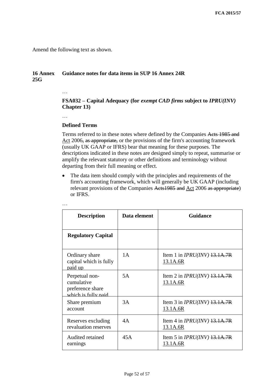Amend the following text as shown.

## **16 Annex 25G Guidance notes for data items in SUP 16 Annex 24R**

## **FSA032 – Capital Adequacy (for** *exempt CAD firms* **subject to** *IPRU(INV)*  **Chapter 13)**

…

…

## **Defined Terms**

Terms referred to in these notes where defined by the Companies Acts 1985 and Act 2006, as appropriate, or the provisions of the firm's accounting framework (usually UK GAAP or IFRS) bear that meaning for these purposes. The descriptions indicated in these notes are designed simply to repeat, summarise or amplify the relevant statutory or other definitions and terminology without departing from their full meaning or effect.

 The data item should comply with the principles and requirements of the firm's accounting framework, which will generally be UK GAAP (including relevant provisions of the Companies Acts1985 and Act 2006 as appropriate) or IFRS.

| <b>Description</b>                                                      | Data element | <b>Guidance</b>                            |
|-------------------------------------------------------------------------|--------------|--------------------------------------------|
| <b>Regulatory Capital</b>                                               |              |                                            |
| Ordinary share<br>capital which is fully<br>paid up                     | 1A           | Item 1 in $IPRU(INV)$ 13.1A.7R<br>13.1A.6R |
| Perpetual non-<br>cumulative<br>preference share<br>which is fully paid | 5A           | Item 2 in $IPRU(INV)$ 13.1A.7R<br>13.1A.6R |
| Share premium<br>account                                                | 3A           | Item 3 in $IPRU(INV)$ +3.1A.7R<br>13.1A.6R |
| Reserves excluding<br>revaluation reserves                              | 4A           | Item 4 in $IPRU(INV)$ 13.1A.7R<br>13.1A.6R |
| Audited retained<br>earnings                                            | 45A          | Item 5 in $IPRU(INV)$ 13.1A.7R<br>13.1A.6R |

…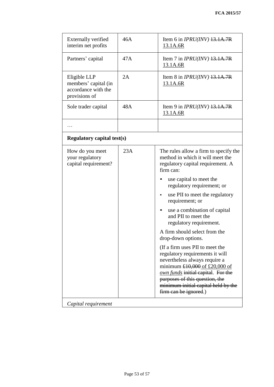| <b>Externally verified</b><br>interim net profits                            | 46A | Item 6 in $IPRU(INV)$ 13.1A.7R<br>13.1A.6R                                                                                                                                                                                                                                                                                                                                                                                                                                                                                                                                                                                                                           |  |  |
|------------------------------------------------------------------------------|-----|----------------------------------------------------------------------------------------------------------------------------------------------------------------------------------------------------------------------------------------------------------------------------------------------------------------------------------------------------------------------------------------------------------------------------------------------------------------------------------------------------------------------------------------------------------------------------------------------------------------------------------------------------------------------|--|--|
| Partners' capital                                                            | 47A | Item 7 in $IPRU(INV)$ +3.1A.7R<br>13.1A.6R                                                                                                                                                                                                                                                                                                                                                                                                                                                                                                                                                                                                                           |  |  |
| Eligible LLP<br>members' capital (in<br>accordance with the<br>provisions of | 2A  | Item 8 in $IPRU(INV)$ 13.1A.7R<br>13.1A.6R                                                                                                                                                                                                                                                                                                                                                                                                                                                                                                                                                                                                                           |  |  |
| Sole trader capital                                                          | 48A | Item 9 in $IPRU(INV)$ 13.1A.7R<br>13.1A.6R                                                                                                                                                                                                                                                                                                                                                                                                                                                                                                                                                                                                                           |  |  |
|                                                                              |     |                                                                                                                                                                                                                                                                                                                                                                                                                                                                                                                                                                                                                                                                      |  |  |
| <b>Regulatory capital test(s)</b>                                            |     |                                                                                                                                                                                                                                                                                                                                                                                                                                                                                                                                                                                                                                                                      |  |  |
| How do you meet<br>your regulatory<br>capital requirement?                   | 23A | The rules allow a firm to specify the<br>method in which it will meet the<br>regulatory capital requirement. A<br>firm can:<br>use capital to meet the<br>regulatory requirement; or<br>use PII to meet the regulatory<br>requirement; or<br>use a combination of capital<br>and PII to meet the<br>regulatory requirement.<br>A firm should select from the<br>drop-down options.<br>(If a firm uses PII to meet the<br>regulatory requirements it will<br>nevertheless always require a<br>minimum $£10,000$ of £20,000 of<br>own funds initial capital. For the<br>purposes of this question, the<br>minimum initial capital held by the<br>firm can be ignored.) |  |  |
| Capital requirement                                                          |     |                                                                                                                                                                                                                                                                                                                                                                                                                                                                                                                                                                                                                                                                      |  |  |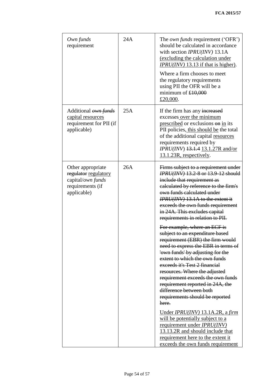| Own funds<br>requirement                                                                          | 24A | The <i>own funds</i> requirement ('OFR')<br>should be calculated in accordance<br>with section IPRU(INV) 13.1A<br>(excluding the calculation under<br>$IPRU(INV)$ 13.13 if that is higher).<br>Where a firm chooses to meet<br>the regulatory requirements<br>using PII the OFR will be a<br>minimum of $£10,000$<br>£20,000.                                                                                                                                                                                                                                                                                                                                                                                                                                                                                                                                                                                                                                                                                          |
|---------------------------------------------------------------------------------------------------|-----|------------------------------------------------------------------------------------------------------------------------------------------------------------------------------------------------------------------------------------------------------------------------------------------------------------------------------------------------------------------------------------------------------------------------------------------------------------------------------------------------------------------------------------------------------------------------------------------------------------------------------------------------------------------------------------------------------------------------------------------------------------------------------------------------------------------------------------------------------------------------------------------------------------------------------------------------------------------------------------------------------------------------|
| Additional <i>own funds</i><br>capital resources<br>requirement for PII (if<br>applicable)        | 25A | If the firm has any increased<br>excesses over the minimum<br>prescribed or exclusions on in its<br>PII policies, this should be the total<br>of the additional capital resources<br>requirements required by<br>IPRU(INV) 13.1.4 13.1.27R and/or<br>13.1.23R, respectively.                                                                                                                                                                                                                                                                                                                                                                                                                                                                                                                                                                                                                                                                                                                                           |
| Other appropriate<br>regulator regulatory<br>capital/own funds<br>requirements (if<br>applicable) | 26A | Firms subject to a requirement under<br><i><b>IPRU(INV) 13.2-8 or 13.9-12 should</b></i><br>include that requirement as<br>calculated by reference to the firm's<br>own funds calculated under<br><b>IPRU(INV) 13.1A to the extent it</b><br>exceeds the own funds requirement<br>in 24A. This excludes capital<br>requirements in relation to PII.<br>For example, where an ECF is<br>subject to an expenditure based<br>requirement (EBR) the firm would<br>need to express the EBR in terms of<br>'own funds' by adjusting for the<br>extent to which the own funds<br>exceeds it's Test 2 financial<br>resources. Where the adjusted<br>requirement exceeds the own funds<br>requirement reported in 24A, the<br>difference between both<br>requirements should be reported<br>here.<br>Under $IPRU(INV)$ 13.1A.2R, a firm<br>will be potentially subject to a<br>requirement under <i>IPRU(INV)</i><br>13.13.2R and should include that<br>requirement here to the extent it<br>exceeds the own funds requirement |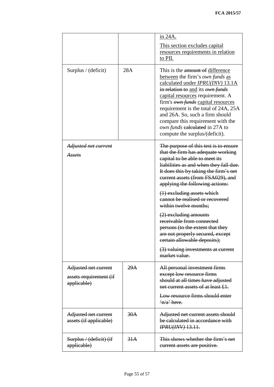|                                                               |     | in 24A.                                                                                                                                                                                                                                                                                                                                                                                                                 |  |
|---------------------------------------------------------------|-----|-------------------------------------------------------------------------------------------------------------------------------------------------------------------------------------------------------------------------------------------------------------------------------------------------------------------------------------------------------------------------------------------------------------------------|--|
|                                                               |     | This section excludes capital<br>resources requirements in relation<br>to PII.                                                                                                                                                                                                                                                                                                                                          |  |
| Surplus / (deficit)                                           | 28A | This is the amount of difference<br>between the firm's own funds as<br>calculated under <i>IPRU(INV)</i> 13.1A<br>in relation to and its own funds<br>capital resources requirement. A<br>firm's <i>own funds</i> capital resources<br>requirement is the total of 24A, 25A<br>and 26A. So, such a firm should<br>compare this requirement with the<br>own funds calculated in 27A to<br>compute the surplus/(deficit). |  |
| Adjusted net current<br>Assets                                |     | The purpose of this test is to ensure<br>that the firm has adequate working<br>capital to be able to meet its<br>liabilities as and when they fall due.<br>It does this by taking the firm's net<br>current assets (from FSA029), and<br>applying the following actions:<br>$(1)$ excluding assets which                                                                                                                |  |
|                                                               |     | cannot be realised or recovered<br>within twelve months;                                                                                                                                                                                                                                                                                                                                                                |  |
|                                                               |     | (2) excluding amounts<br>receivable from connected<br>persons (to the extent that they<br>are not properly secured, except<br>certain allowable deposits);                                                                                                                                                                                                                                                              |  |
|                                                               |     | (3) valuing investments at current<br>market value.                                                                                                                                                                                                                                                                                                                                                                     |  |
| Adjusted net current<br>assets requirement (if<br>applicable) | 29A | All personal investment firms<br>except low resource firms<br>should at all times have adjusted<br>net current assets of at least £1.                                                                                                                                                                                                                                                                                   |  |
|                                                               |     | Low resource firms should enter<br>$\frac{4}{1}$ + here.                                                                                                                                                                                                                                                                                                                                                                |  |
| Adjusted net current<br>assets (if applicable)                | 30A | Adjusted net current assets should<br>be calculated in accordance with<br><b>IPRU(INV) 13.11.</b>                                                                                                                                                                                                                                                                                                                       |  |
| Surplus / (deficit) (if<br>applicable)                        | 31A | This shows whether the firm's net<br>current assets are positive.                                                                                                                                                                                                                                                                                                                                                       |  |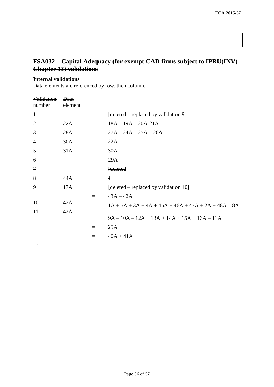| . |  |  |  |
|---|--|--|--|
|   |  |  |  |

# **FSA032 – Capital Adequacy (for exempt CAD firms subject to IPRU(INV) Chapter 13) validations**

## **Internal validations**

Data elements are referenced by row, then column.

| Validation<br>number | <b>Data</b><br>element |                                                       |
|----------------------|------------------------|-------------------------------------------------------|
| $\ddagger$           |                        | [deleted – replaced by validation 9]                  |
| 2                    | 22A                    | $18A - 19A - 20A - 21A$                               |
| 3                    | $-28A$                 | $27A - 24A - 25A - 26A$                               |
|                      | $-30A$                 | $-22A$                                                |
| 5                    | $-31A$                 | $-30A-$                                               |
| $\epsilon$           |                        | 29A                                                   |
| $\mathcal{I}$        |                        | [deleted                                              |
| 8                    | 44A                    | $\mathcal{L}$                                         |
| 9                    | 17A                    | [deleted – replaced by validation 10]                 |
|                      |                        | $43A - 42A$                                           |
| 40                   | 42A                    | $1A + 5A + 3A + 4A + 45A + 46A + 47A + 2A + 48A - 8A$ |
| $\overline{11}$      | 42A                    | $9A - 10A - 12A + 13A + 14A + 15A + 16A - 11A$        |
|                      |                        | $-25A$                                                |
|                      |                        | $40A + 41A$                                           |
| $\cdot$              |                        |                                                       |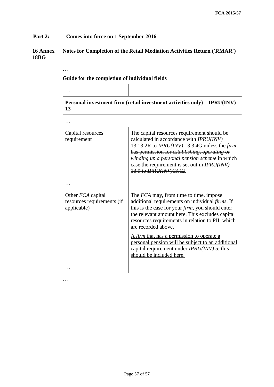# **Part 2: Comes into force on 1 September 2016**

…

## **16 Annex 18BG Notes for Completion of the Retail Mediation Activities Return ('RMAR')**

| Personal investment firm (retail investment activities only) – IPRU(INV)<br>13 |                                                                                                                                                                                                                                                                                                                                              |  |
|--------------------------------------------------------------------------------|----------------------------------------------------------------------------------------------------------------------------------------------------------------------------------------------------------------------------------------------------------------------------------------------------------------------------------------------|--|
|                                                                                |                                                                                                                                                                                                                                                                                                                                              |  |
| Capital resources<br>requirement                                               | The capital resources requirement should be<br>calculated in accordance with <i>IPRU(INV)</i><br>13.13.2R to $IPRU(INV)$ 13.3.4G unless the <i>firm</i><br>has permission for establishing, operating or<br>winding up a personal pension scheme in which<br>case the requirement is set out in IPRU(INV)<br>13.9 to <i>IPRU(INV)</i> 13.12. |  |
|                                                                                |                                                                                                                                                                                                                                                                                                                                              |  |
| Other <i>FCA</i> capital<br>resources requirements (if<br>applicable)          | The FCA may, from time to time, impose<br>additional requirements on individual firms. If<br>this is the case for your <i>firm</i> , you should enter<br>the relevant amount here. This excludes capital<br>resources requirements in relation to PII, which<br>are recorded above.                                                          |  |
|                                                                                | A firm that has a permission to operate a<br>personal pension will be subject to an additional<br>capital requirement under $IPRU(INV)$ 5; this<br>should be included here.                                                                                                                                                                  |  |
|                                                                                |                                                                                                                                                                                                                                                                                                                                              |  |

# **Guide for the completion of individual fields**

…